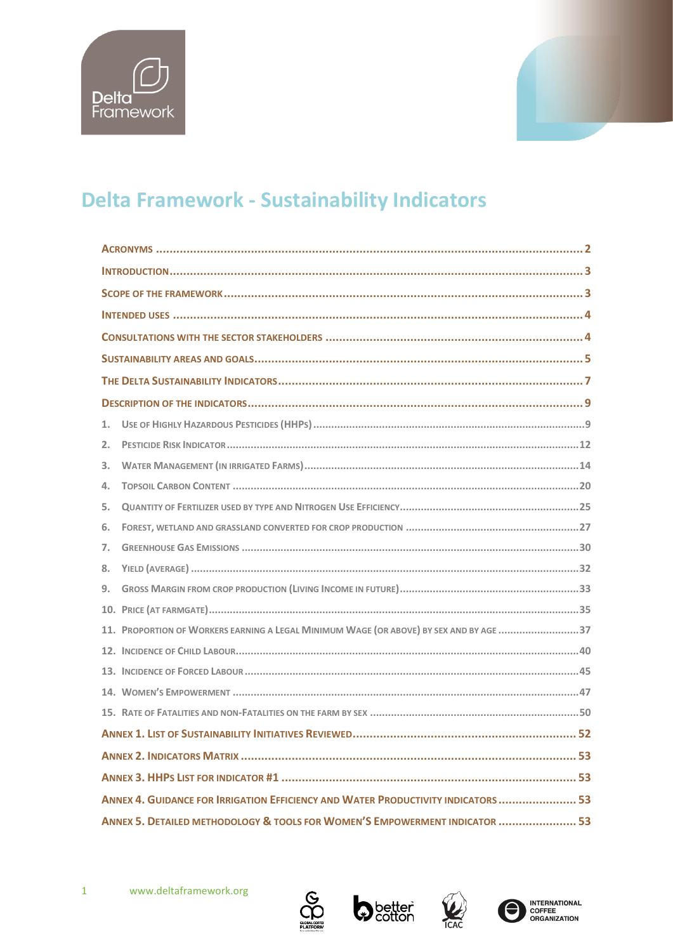



# **Delta Framework - Sustainability Indicators**

| 1.                                                                                     |  |  |  |  |
|----------------------------------------------------------------------------------------|--|--|--|--|
| 2.                                                                                     |  |  |  |  |
| 3.                                                                                     |  |  |  |  |
| 4.                                                                                     |  |  |  |  |
| 5.                                                                                     |  |  |  |  |
| 6.                                                                                     |  |  |  |  |
| 7.                                                                                     |  |  |  |  |
| 8.                                                                                     |  |  |  |  |
| 9.                                                                                     |  |  |  |  |
|                                                                                        |  |  |  |  |
| 11. PROPORTION OF WORKERS EARNING A LEGAL MINIMUM WAGE (OR ABOVE) BY SEX AND BY AGE 37 |  |  |  |  |
|                                                                                        |  |  |  |  |
|                                                                                        |  |  |  |  |
|                                                                                        |  |  |  |  |
|                                                                                        |  |  |  |  |
|                                                                                        |  |  |  |  |
|                                                                                        |  |  |  |  |
|                                                                                        |  |  |  |  |
| ANNEX 4. GUIDANCE FOR IRRIGATION EFFICIENCY AND WATER PRODUCTIVITY INDICATORS  53      |  |  |  |  |
| ANNEX 5. DETAILED METHODOLOGY & TOOLS FOR WOMEN'S EMPOWERMENT INDICATOR  53            |  |  |  |  |





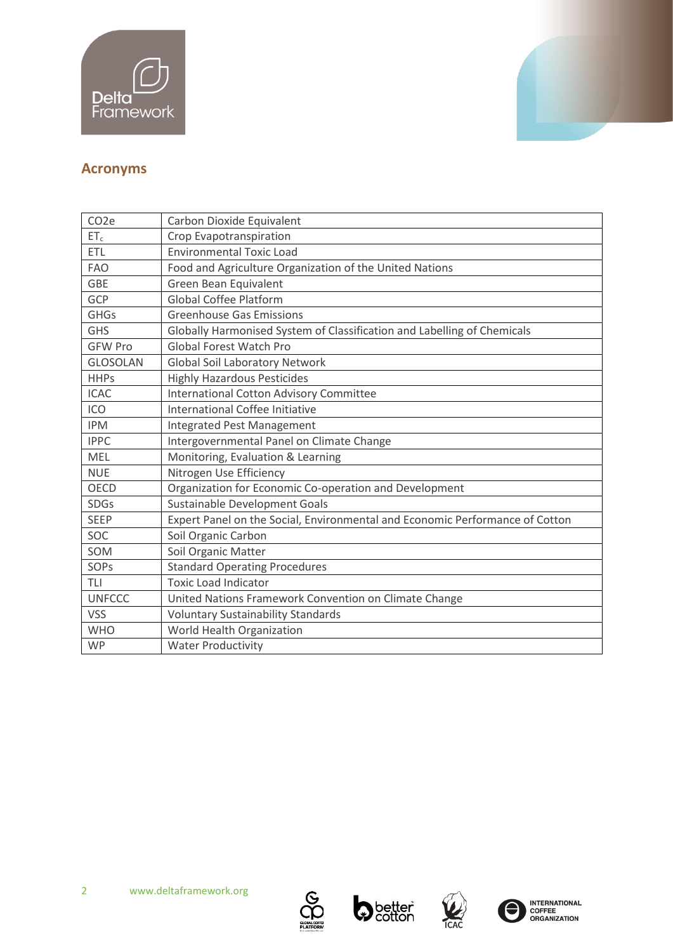



# <span id="page-1-0"></span>**Acronyms**

| CO <sub>2</sub> e | Carbon Dioxide Equivalent                                                    |
|-------------------|------------------------------------------------------------------------------|
| $ET_c$            | Crop Evapotranspiration                                                      |
| <b>ETL</b>        | <b>Environmental Toxic Load</b>                                              |
| <b>FAO</b>        | Food and Agriculture Organization of the United Nations                      |
| <b>GBE</b>        | Green Bean Equivalent                                                        |
| GCP               | <b>Global Coffee Platform</b>                                                |
| <b>GHGs</b>       | <b>Greenhouse Gas Emissions</b>                                              |
| <b>GHS</b>        | Globally Harmonised System of Classification and Labelling of Chemicals      |
| <b>GFW Pro</b>    | <b>Global Forest Watch Pro</b>                                               |
| <b>GLOSOLAN</b>   | <b>Global Soil Laboratory Network</b>                                        |
| <b>HHPs</b>       | <b>Highly Hazardous Pesticides</b>                                           |
| <b>ICAC</b>       | <b>International Cotton Advisory Committee</b>                               |
| ICO               | International Coffee Initiative                                              |
| <b>IPM</b>        | Integrated Pest Management                                                   |
| <b>IPPC</b>       | Intergovernmental Panel on Climate Change                                    |
| MEL               | Monitoring, Evaluation & Learning                                            |
| <b>NUE</b>        | Nitrogen Use Efficiency                                                      |
| <b>OECD</b>       | Organization for Economic Co-operation and Development                       |
| <b>SDGs</b>       | Sustainable Development Goals                                                |
| <b>SEEP</b>       | Expert Panel on the Social, Environmental and Economic Performance of Cotton |
| SOC               | Soil Organic Carbon                                                          |
| SOM               | Soil Organic Matter                                                          |
| SOPs              | <b>Standard Operating Procedures</b>                                         |
| <b>TLI</b>        | <b>Toxic Load Indicator</b>                                                  |
| <b>UNFCCC</b>     | United Nations Framework Convention on Climate Change                        |
| <b>VSS</b>        | <b>Voluntary Sustainability Standards</b>                                    |
| <b>WHO</b>        | World Health Organization                                                    |
| <b>WP</b>         | <b>Water Productivity</b>                                                    |





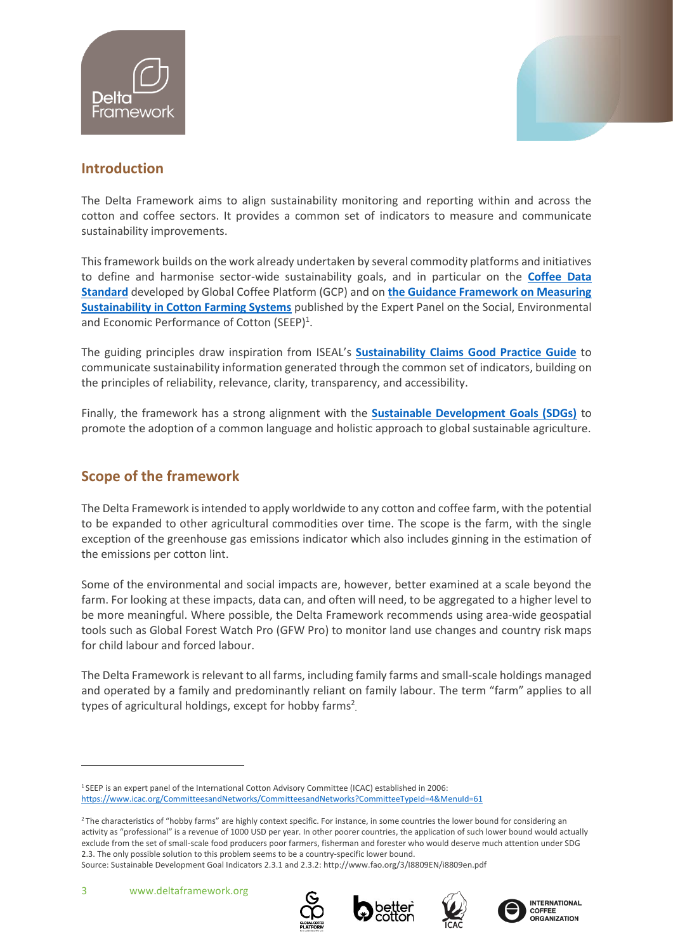



# <span id="page-2-0"></span>**Introduction**

The Delta Framework aims to align sustainability monitoring and reporting within and across the cotton and coffee sectors. It provides a common set of indicators to measure and communicate sustainability improvements.

This framework builds on the work already undertaken by several commodity platforms and initiatives to define and harmonise sector-wide sustainability goals, and in particular on the **[Coffee Data](https://www.globalcoffeeplatform.org/our-work/tools/coffee-data-standard/#common-language)  [Standard](https://www.globalcoffeeplatform.org/our-work/tools/coffee-data-standard/#common-language)** developed by Global Coffee Platform (GCP) and on **[the Guidance Framework on Measuring](https://www.icac.org/Content/PublicationsPdf%20Files/f840b34c_38de_4e2a_ab54_4ad66948d4b5/SEEP-report-english.pdf.pdf)  [Sustainability in Cotton Farming Systems](https://www.icac.org/Content/PublicationsPdf%20Files/f840b34c_38de_4e2a_ab54_4ad66948d4b5/SEEP-report-english.pdf.pdf)** published by the Expert Panel on the Social, Environmental and Economic Performance of Cotton (SEEP)<sup>1</sup>.

The guiding principles draw inspiration from ISEAL's **[Sustainability Claims Good Practice Guide](https://www.isealalliance.org/sites/default/files/resource/2017-11/ISEAL_Claims_Good_Practice_Guide.pdf#:~:text=In%20developing%20this%20Good%20Practice%20Guide%2C%20ISEAL%E2%80%99s%20objective,aspirational%20and%20provides%20several%20suggestions%20for%20good%20practice.?msclkid=44aae139d01311ec90fdf339f8b666bd)** to communicate sustainability information generated through the common set of indicators, building on the principles of reliability, relevance, clarity, transparency, and accessibility.

Finally, the framework has a strong alignment with the **[Sustainable Development Goals \(SDGs\)](https://sdgs.un.org/goals?msclkid=a1abdb4bd01311ecade7afce7feab97c)** to promote the adoption of a common language and holistic approach to global sustainable agriculture.

# <span id="page-2-1"></span>**Scope of the framework**

The Delta Framework is intended to apply worldwide to any cotton and coffee farm, with the potential to be expanded to other agricultural commodities over time. The scope is the farm, with the single exception of the greenhouse gas emissions indicator which also includes ginning in the estimation of the emissions per cotton lint.

Some of the environmental and social impacts are, however, better examined at a scale beyond the farm. For looking at these impacts, data can, and often will need, to be aggregated to a higher level to be more meaningful. Where possible, the Delta Framework recommends using area-wide geospatial tools such as Global Forest Watch Pro (GFW Pro) to monitor land use changes and country risk maps for child labour and forced labour.

The Delta Framework is relevant to all farms, including family farms and small-scale holdings managed and operated by a family and predominantly reliant on family labour. The term "farm" applies to all types of agricultural holdings, except for hobby farms<sup>2</sup>









<sup>1</sup> SEEP is an expert panel of the International Cotton Advisory Committee (ICAC) established in 2006: <https://www.icac.org/CommitteesandNetworks/CommitteesandNetworks?CommitteeTypeId=4&MenuId=61>

<sup>&</sup>lt;sup>2</sup> The characteristics of "hobby farms" are highly context specific. For instance, in some countries the lower bound for considering an activity as "professional" is a revenue of 1000 USD per year. In other poorer countries, the application of such lower bound would actually exclude from the set of small-scale food producers poor farmers, fisherman and forester who would deserve much attention under SDG 2.3. The only possible solution to this problem seems to be a country-specific lower bound.

Source: Sustainable Development Goal Indicators 2.3.1 and 2.3.2[: http://www.fao.org/3/I8809EN/i8809en.pdf](http://www.fao.org/3/I8809EN/i8809en.pdf)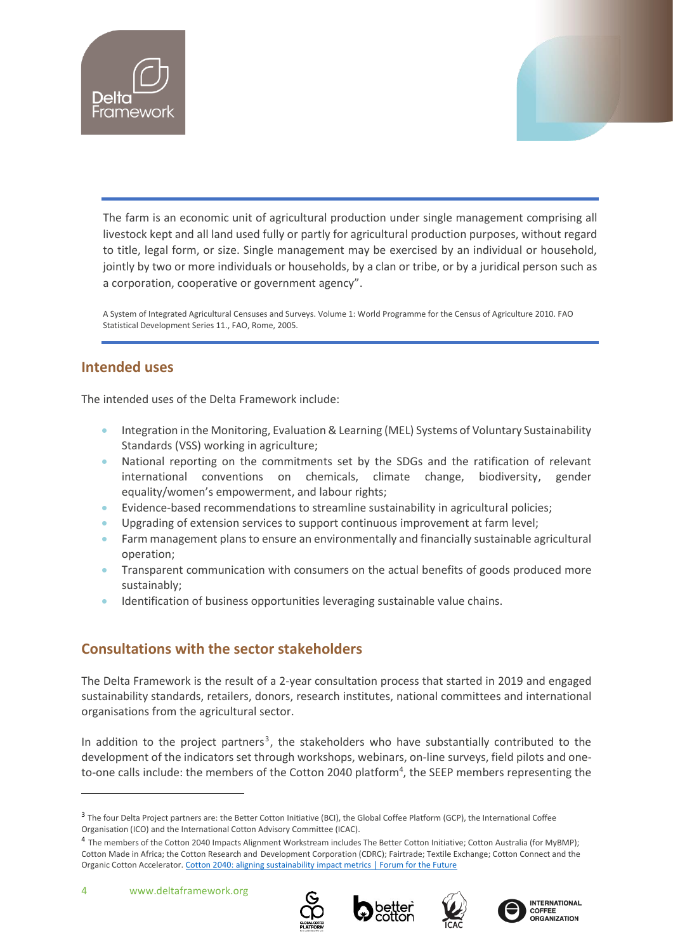



The farm is an economic unit of agricultural production under single management comprising all livestock kept and all land used fully or partly for agricultural production purposes, without regard to title, legal form, or size. Single management may be exercised by an individual or household, jointly by two or more individuals or households, by a clan or tribe, or by a juridical person such as a corporation, cooperative or government agency".

A System of Integrated Agricultural Censuses and Surveys. Volume 1: World Programme for the Census of Agriculture 2010. FAO Statistical Development Series 11., FAO, Rome, 2005.

# <span id="page-3-0"></span>**Intended uses**

The intended uses of the Delta Framework include:

- Integration in the Monitoring, Evaluation & Learning (MEL) Systems of Voluntary Sustainability Standards (VSS) working in agriculture;
- National reporting on the commitments set by the SDGs and the ratification of relevant international conventions on chemicals, climate change, biodiversity, gender equality/women's empowerment, and labour rights;
- Evidence-based recommendations to streamline sustainability in agricultural policies;
- Upgrading of extension services to support continuous improvement at farm level;
- Farm management plans to ensure an environmentally and financially sustainable agricultural operation;
- Transparent communication with consumers on the actual benefits of goods produced more sustainably;
- Identification of business opportunities leveraging sustainable value chains.

# <span id="page-3-1"></span>**Consultations with the sector stakeholders**

The Delta Framework is the result of a 2-year consultation process that started in 2019 and engaged sustainability standards, retailers, donors, research institutes, national committees and international organisations from the agricultural sector.

In addition to the project partners<sup>3</sup>, the stakeholders who have substantially contributed to the development of the indicators set through workshops, webinars, on-line surveys, field pilots and oneto-one calls include: the members of the Cotton 2040 platform<sup>4</sup>, the SEEP members representing the









<sup>&</sup>lt;sup>3</sup> The four Delta Project partners are: the Better Cotton Initiative (BCI), the Global Coffee Platform (GCP), the International Coffee Organisation (ICO) and the International Cotton Advisory Committee (ICAC).

<sup>4</sup> The members of the Cotton 2040 Impacts Alignment Workstream includes The Better Cotton Initiative; Cotton Australia (for MyBMP); Cotton Made in Africa; the Cotton Research and Development Corporation (CDRC); Fairtrade; Textile Exchange; Cotton Connect and the Organic Cotton Accelerator[. Cotton 2040: aligning sustainability impact metrics | Forum for the Future](https://www.forumforthefuture.org/cotton-2040-aligning-sustainability-impact-metrics)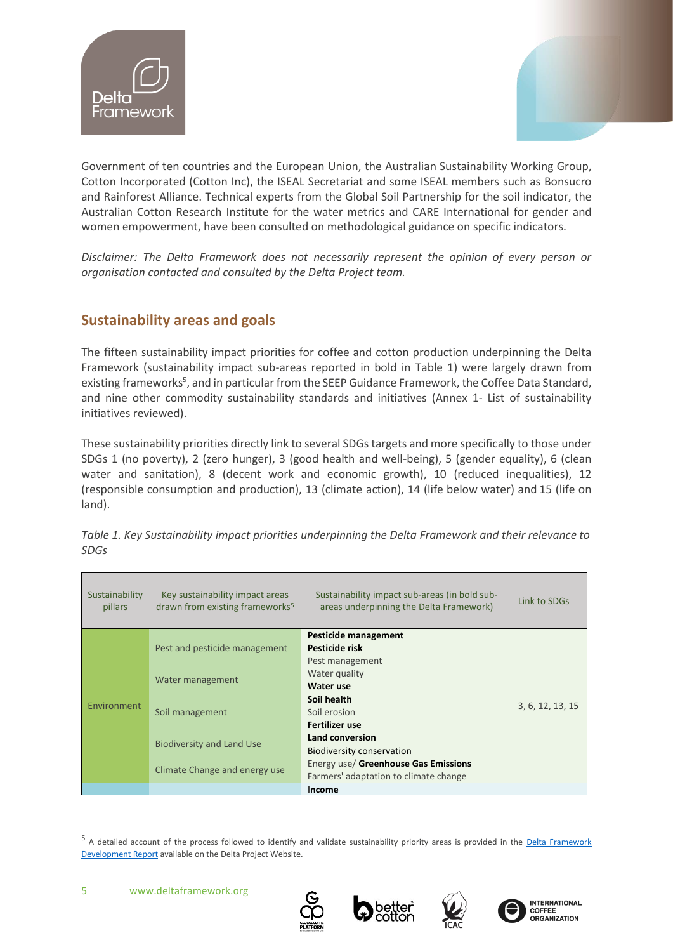



Government of ten countries and the European Union, the Australian Sustainability Working Group, Cotton Incorporated (Cotton Inc), the ISEAL Secretariat and some ISEAL members such as Bonsucro and Rainforest Alliance. Technical experts from the Global Soil Partnership for the soil indicator, the Australian Cotton Research Institute for the water metrics and CARE International for gender and women empowerment, have been consulted on methodological guidance on specific indicators.

*Disclaimer: The Delta Framework does not necessarily represent the opinion of every person or organisation contacted and consulted by the Delta Project team.* 

# <span id="page-4-0"></span>**Sustainability areas and goals**

The fifteen sustainability impact priorities for coffee and cotton production underpinning the Delta Framework (sustainability impact sub-areas reported in bold in Table 1) were largely drawn from existing frameworks<sup>5</sup>, and in particular from the SEEP Guidance Framework, the Coffee Data Standard, and nine other commodity sustainability standards and initiatives (Annex 1- List of sustainability initiatives reviewed).

These sustainability priorities directly link to several SDGs targets and more specifically to those under SDGs 1 (no poverty), 2 (zero hunger), 3 (good health and well-being), 5 (gender equality), 6 (clean water and sanitation), 8 (decent work and economic growth), 10 (reduced inequalities), 12 (responsible consumption and production), 13 (climate action), 14 (life below water) and 15 (life on land).

| Sustainability<br>pillars | Key sustainability impact areas<br>drawn from existing frameworks <sup>5</sup> | Sustainability impact sub-areas (in bold sub-<br>areas underpinning the Delta Framework) | Link to SDGs     |  |  |
|---------------------------|--------------------------------------------------------------------------------|------------------------------------------------------------------------------------------|------------------|--|--|
|                           |                                                                                | Pesticide management                                                                     |                  |  |  |
|                           | Pest and pesticide management                                                  | Pesticide risk                                                                           |                  |  |  |
|                           |                                                                                | Pest management                                                                          |                  |  |  |
|                           | Water management                                                               | Water quality                                                                            |                  |  |  |
|                           |                                                                                | Water use                                                                                |                  |  |  |
| Environment               |                                                                                | Soil health                                                                              |                  |  |  |
|                           | Soil management                                                                | Soil erosion                                                                             | 3, 6, 12, 13, 15 |  |  |
|                           |                                                                                | Fertilizer use                                                                           |                  |  |  |
|                           |                                                                                | Land conversion                                                                          |                  |  |  |
|                           | <b>Biodiversity and Land Use</b>                                               | Biodiversity conservation                                                                |                  |  |  |
|                           |                                                                                | Energy use/ Greenhouse Gas Emissions                                                     |                  |  |  |
|                           | Climate Change and energy use                                                  | Farmers' adaptation to climate change                                                    |                  |  |  |
|                           |                                                                                | Income                                                                                   |                  |  |  |

*Table 1. Key Sustainability impact priorities underpinning the Delta Framework and their relevance to SDGs*







<sup>&</sup>lt;sup>5</sup> A detailed account of the process followed to identify and validate sustainability priority areas is provided in the Delta Framework [Development Report](https://www.deltaframework.org/wp-content/uploads/2020/04/Desk-Study-Report_082019.pdf) available on the Delta Project Website.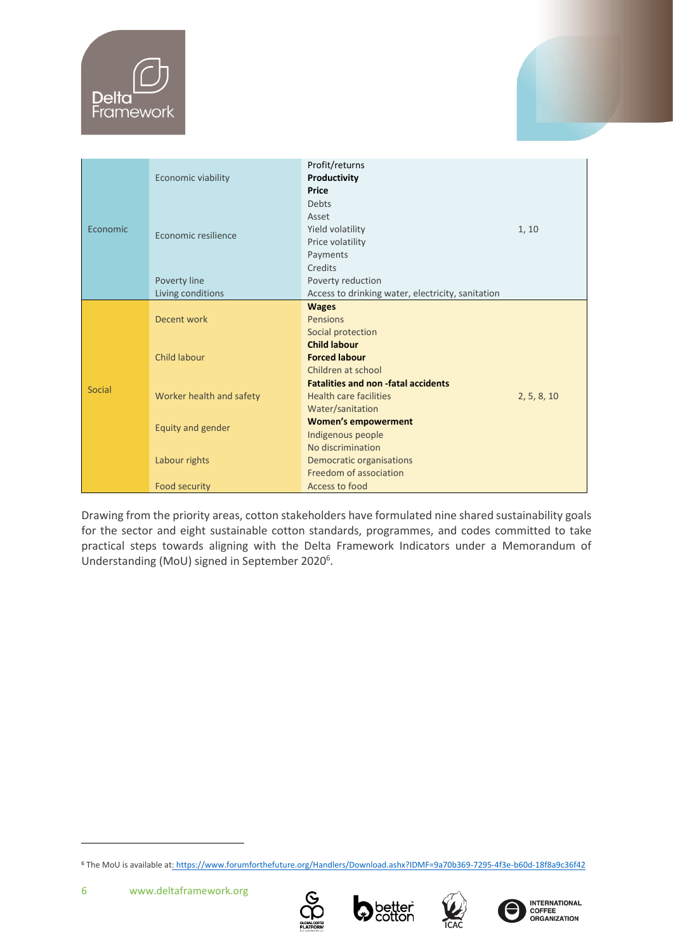

|               |                          | Profit/returns                            |             |  |  |  |
|---------------|--------------------------|-------------------------------------------|-------------|--|--|--|
|               | Economic viability       | Productivity                              |             |  |  |  |
|               |                          | <b>Price</b>                              |             |  |  |  |
|               |                          | Debts                                     |             |  |  |  |
|               |                          | Asset                                     | 1, 10       |  |  |  |
| Economic      |                          | Yield volatility                          |             |  |  |  |
|               | Economic resilience      | Price volatility                          |             |  |  |  |
|               |                          | Payments                                  |             |  |  |  |
|               |                          | Credits                                   |             |  |  |  |
|               | Poverty line             | Poverty reduction                         |             |  |  |  |
|               | Living conditions        |                                           |             |  |  |  |
|               |                          | <b>Wages</b>                              |             |  |  |  |
|               | Decent work              | Pensions                                  |             |  |  |  |
|               |                          | Social protection                         |             |  |  |  |
|               |                          | <b>Child labour</b>                       |             |  |  |  |
|               | <b>Child labour</b>      | <b>Forced labour</b>                      |             |  |  |  |
|               |                          | Children at school                        |             |  |  |  |
| <b>Social</b> |                          | <b>Fatalities and non-fatal accidents</b> |             |  |  |  |
|               | Worker health and safety | <b>Health care facilities</b>             | 2, 5, 8, 10 |  |  |  |
|               |                          | Water/sanitation                          |             |  |  |  |
|               |                          | <b>Women's empowerment</b>                |             |  |  |  |
|               | Equity and gender        | Indigenous people                         |             |  |  |  |
|               |                          | No discrimination                         |             |  |  |  |
|               | Labour rights            | Democratic organisations                  |             |  |  |  |
|               |                          | Freedom of association                    |             |  |  |  |
|               | Food security            | Access to food                            |             |  |  |  |

Drawing from the priority areas, cotton stakeholders have formulated nine shared sustainability goals for the sector and eight sustainable cotton standards, programmes, and codes committed to take practical steps towards aligning with the Delta Framework Indicators under a Memorandum of Understanding (MoU) signed in September 2020<sup>6</sup>.







<sup>6</sup> The MoU is available a[t: https://www.forumforthefuture.org/Handlers/Download.ashx?IDMF=9a70b369-7295-4f3e-b60d-18f8a9c36f42](file:///C:/Users/franc/Downloads/%20https/www.forumforthefuture.org/Handlers/Download.ashx%3fIDMF=9a70b369-7295-4f3e-b60d-18f8a9c36f42)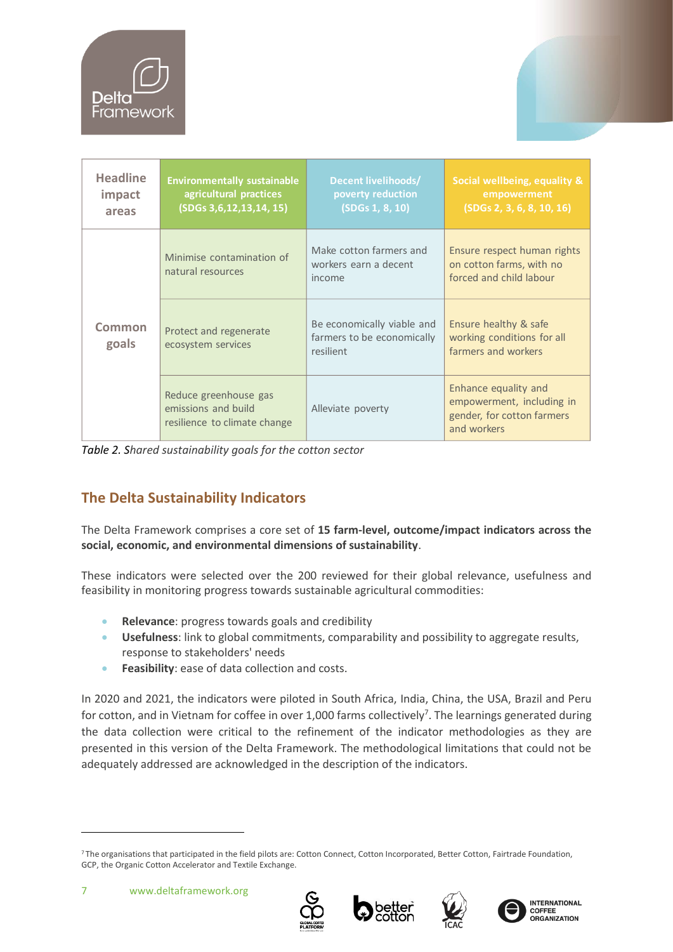

| <b>Headline</b><br>impact<br>areas | <b>Environmentally sustainable</b><br>agricultural practices<br>(SDGs 3,6,12,13,14, 15) | Decent livelihoods/<br>poverty reduction<br>(SDGs 1, 8, 10)           |                                                                                                |  |
|------------------------------------|-----------------------------------------------------------------------------------------|-----------------------------------------------------------------------|------------------------------------------------------------------------------------------------|--|
| Common<br>goals                    | Minimise contamination of<br>natural resources                                          | Make cotton farmers and<br>workers earn a decent<br>income            | Ensure respect human rights<br>on cotton farms, with no<br>forced and child labour             |  |
|                                    | Protect and regenerate<br>ecosystem services                                            | Be economically viable and<br>farmers to be economically<br>resilient | Ensure healthy & safe<br>working conditions for all<br>farmers and workers                     |  |
|                                    | Reduce greenhouse gas<br>emissions and build<br>resilience to climate change            | Alleviate poverty                                                     | Enhance equality and<br>empowerment, including in<br>gender, for cotton farmers<br>and workers |  |

*Table 2. Shared sustainability goals for the cotton sector*

# <span id="page-6-0"></span>**The Delta Sustainability Indicators**

The Delta Framework comprises a core set of **15 farm-level, outcome/impact indicators across the social, economic, and environmental dimensions of sustainability**.

These indicators were selected over the 200 reviewed for their global relevance, usefulness and feasibility in monitoring progress towards sustainable agricultural commodities:

- **Relevance**: progress towards goals and credibility
- **Usefulness**: link to global commitments, comparability and possibility to aggregate results, response to stakeholders' needs
- **Feasibility**: ease of data collection and costs.

In 2020 and 2021, the indicators were piloted in South Africa, India, China, the USA, Brazil and Peru for cotton, and in Vietnam for coffee in over 1,000 farms collectively<sup>7</sup>. The learnings generated during the data collection were critical to the refinement of the indicator methodologies as they are presented in this version of the Delta Framework. The methodological limitations that could not be adequately addressed are acknowledged in the description of the indicators.









<sup>&</sup>lt;sup>7</sup> The organisations that participated in the field pilots are: Cotton Connect, Cotton Incorporated, Better Cotton, Fairtrade Foundation, GCP, the Organic Cotton Accelerator and Textile Exchange.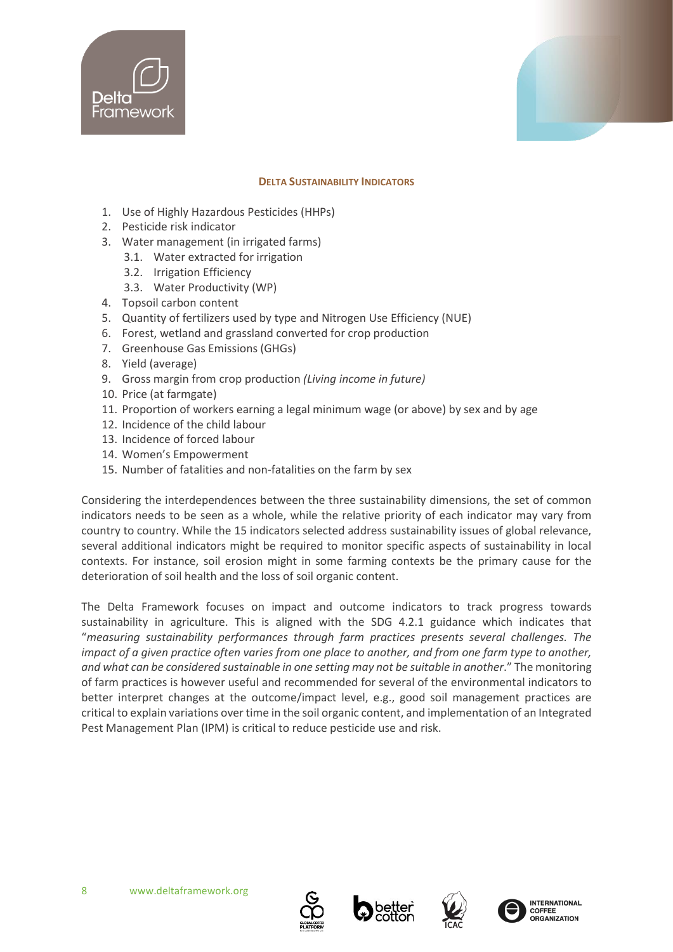



#### **DELTA SUSTAINABILITY INDICATORS**

- 1. Use of Highly Hazardous Pesticides (HHPs)
- 2. Pesticide risk indicator
- 3. Water management (in irrigated farms)
	- 3.1. Water extracted for irrigation
	- 3.2. Irrigation Efficiency
	- 3.3. Water Productivity (WP)
- 4. Topsoil carbon content
- 5. Quantity of fertilizers used by type and Nitrogen Use Efficiency (NUE)
- 6. Forest, wetland and grassland converted for crop production
- 7. Greenhouse Gas Emissions (GHGs)
- 8. Yield (average)
- 9. Gross margin from crop production *(Living income in future)*
- 10. Price (at farmgate)
- 11. Proportion of workers earning a legal minimum wage (or above) by sex and by age
- 12. Incidence of the child labour
- 13. Incidence of forced labour
- 14. Women's Empowerment
- 15. Number of fatalities and non-fatalities on the farm by sex

Considering the interdependences between the three sustainability dimensions, the set of common indicators needs to be seen as a whole, while the relative priority of each indicator may vary from country to country. While the 15 indicators selected address sustainability issues of global relevance, several additional indicators might be required to monitor specific aspects of sustainability in local contexts. For instance, soil erosion might in some farming contexts be the primary cause for the deterioration of soil health and the loss of soil organic content.

The Delta Framework focuses on impact and outcome indicators to track progress towards sustainability in agriculture. This is aligned with the SDG 4.2.1 guidance which indicates that "*measuring sustainability performances through farm practices presents several challenges. The impact of a given practice often varies from one place to another, and from one farm type to another, and what can be considered sustainable in one setting may not be suitable in another*." The monitoring of farm practices is however useful and recommended for several of the environmental indicators to better interpret changes at the outcome/impact level, e.g., good soil management practices are critical to explain variations over time in the soil organic content, and implementation of an Integrated Pest Management Plan (IPM) is critical to reduce pesticide use and risk.







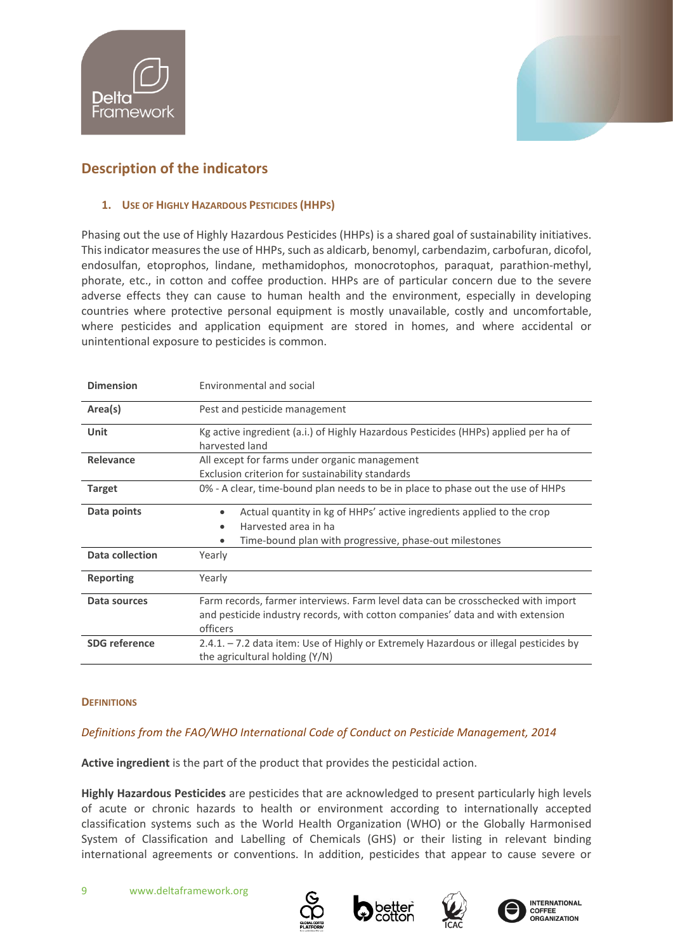



# <span id="page-8-0"></span>**Description of the indicators**

# <span id="page-8-1"></span>**1. USE OF HIGHLY HAZARDOUS PESTICIDES (HHPS)**

Phasing out the use of Highly Hazardous Pesticides (HHPs) is a shared goal of sustainability initiatives. This indicator measures the use of HHPs, such as aldicarb, benomyl, carbendazim, carbofuran, dicofol, endosulfan, etoprophos, lindane, methamidophos, monocrotophos, paraquat, parathion-methyl, phorate, etc., in cotton and coffee production. HHPs are of particular concern due to the severe adverse effects they can cause to human health and the environment, especially in developing countries where protective personal equipment is mostly unavailable, costly and uncomfortable, where pesticides and application equipment are stored in homes, and where accidental or unintentional exposure to pesticides is common.

| <b>Dimension</b>     | Environmental and social                                                                                                                                                          |  |  |  |
|----------------------|-----------------------------------------------------------------------------------------------------------------------------------------------------------------------------------|--|--|--|
| Area(s)              | Pest and pesticide management                                                                                                                                                     |  |  |  |
| Unit                 | Kg active ingredient (a.i.) of Highly Hazardous Pesticides (HHPs) applied per ha of<br>harvested land                                                                             |  |  |  |
| Relevance            | All except for farms under organic management<br>Exclusion criterion for sustainability standards                                                                                 |  |  |  |
| <b>Target</b>        | 0% - A clear, time-bound plan needs to be in place to phase out the use of HHPs                                                                                                   |  |  |  |
| Data points          | Actual quantity in kg of HHPs' active ingredients applied to the crop<br>$\bullet$<br>Harvested area in ha<br>$\bullet$<br>Time-bound plan with progressive, phase-out milestones |  |  |  |
| Data collection      | Yearly                                                                                                                                                                            |  |  |  |
| <b>Reporting</b>     | Yearly                                                                                                                                                                            |  |  |  |
| Data sources         | Farm records, farmer interviews. Farm level data can be crosschecked with import<br>and pesticide industry records, with cotton companies' data and with extension<br>officers    |  |  |  |
| <b>SDG</b> reference | $2.4.1. - 7.2$ data item: Use of Highly or Extremely Hazardous or illegal pesticides by<br>the agricultural holding (Y/N)                                                         |  |  |  |

# **DEFINITIONS**

# *Definitions from the FAO/WHO International Code of Conduct on Pesticide Management, 2014*

**Active ingredient** is the part of the product that provides the pesticidal action.

**Highly Hazardous Pesticides** are pesticides that are acknowledged to present particularly high levels of acute or chronic hazards to health or environment according to internationally accepted classification systems such as the World Health Organization (WHO) or the Globally Harmonised System of Classification and Labelling of Chemicals (GHS) or their listing in relevant binding international agreements or conventions. In addition, pesticides that appear to cause severe or







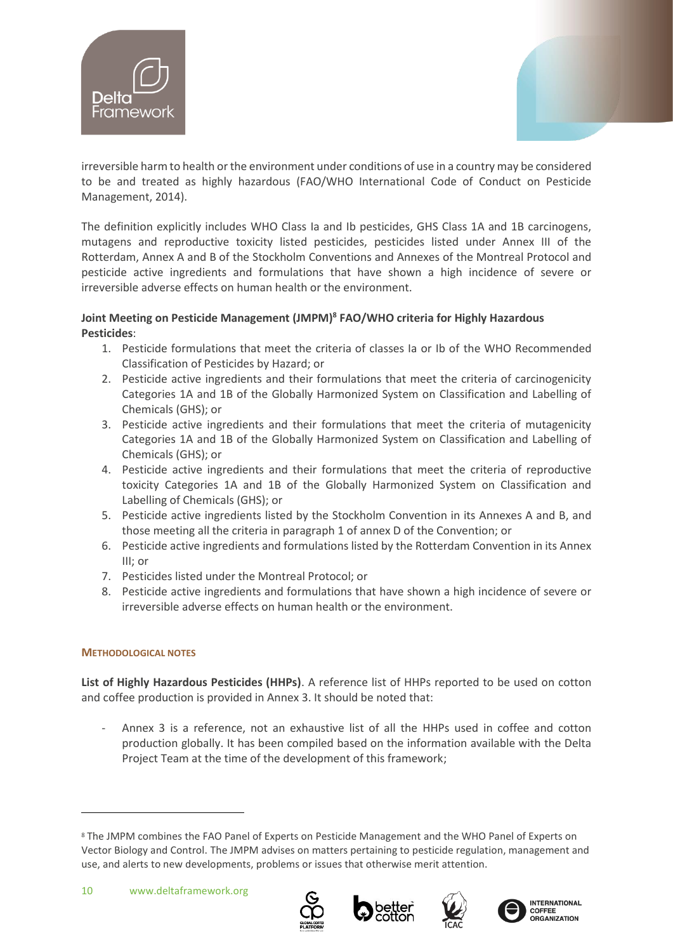



irreversible harm to health or the environment under conditions of use in a country may be considered to be and treated as highly hazardous (FAO/WHO International Code of Conduct on Pesticide Management, 2014).

The definition explicitly includes WHO Class Ia and Ib pesticides, GHS Class 1A and 1B carcinogens, mutagens and reproductive toxicity listed pesticides, pesticides listed under Annex III of the Rotterdam, Annex A and B of the Stockholm Conventions and Annexes of the Montreal Protocol and pesticide active ingredients and formulations that have shown a high incidence of severe or irreversible adverse effects on human health or the environment.

# **Joint Meeting on Pesticide Management (JMPM)<sup>8</sup> FAO/WHO criteria for Highly Hazardous Pesticides**:

- 1. Pesticide formulations that meet the criteria of classes Ia or Ib of the WHO Recommended Classification of Pesticides by Hazard; or
- 2. Pesticide active ingredients and their formulations that meet the criteria of carcinogenicity Categories 1A and 1B of the Globally Harmonized System on Classification and Labelling of Chemicals (GHS); or
- 3. Pesticide active ingredients and their formulations that meet the criteria of mutagenicity Categories 1A and 1B of the Globally Harmonized System on Classification and Labelling of Chemicals (GHS); or
- 4. Pesticide active ingredients and their formulations that meet the criteria of reproductive toxicity Categories 1A and 1B of the Globally Harmonized System on Classification and Labelling of Chemicals (GHS); or
- 5. Pesticide active ingredients listed by the Stockholm Convention in its Annexes A and B, and those meeting all the criteria in paragraph 1 of annex D of the Convention; or
- 6. Pesticide active ingredients and formulations listed by the Rotterdam Convention in its Annex III; or
- 7. Pesticides listed under the Montreal Protocol; or
- 8. Pesticide active ingredients and formulations that have shown a high incidence of severe or irreversible adverse effects on human health or the environment.

# **METHODOLOGICAL NOTES**

**List of Highly Hazardous Pesticides (HHPs)**. A reference list of HHPs reported to be used on cotton and coffee production is provided in Annex 3. It should be noted that:

- Annex 3 is a reference, not an exhaustive list of all the HHPs used in coffee and cotton production globally. It has been compiled based on the information available with the Delta Project Team at the time of the development of this framework;









<sup>8</sup> The JMPM combines the [FAO Panel of Experts on Pesticide Management](https://www.fao.org/fileadmin/templates/agphome/documents/Pests_Pesticides/Code/Panel_Members_update_2019.pdf) and the WHO Panel of Experts on Vector Biology and Control. The JMPM advises on matters pertaining to pesticide regulation, management and use, and alerts to new developments, problems or issues that otherwise merit attention.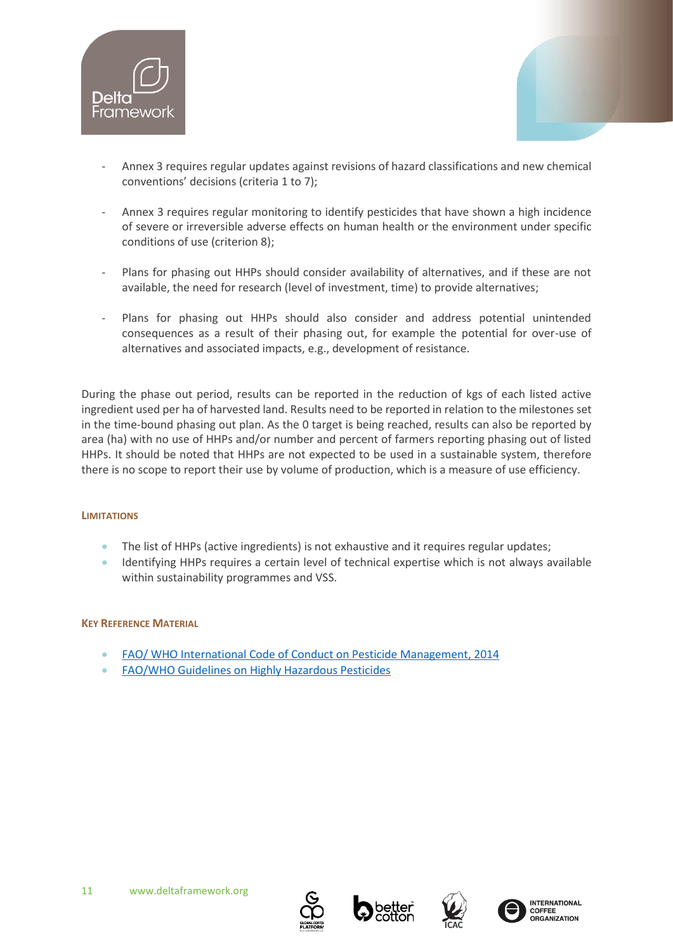



- Annex 3 requires regular updates against revisions of hazard classifications and new chemical conventions' decisions (criteria 1 to 7);
- Annex 3 requires regular monitoring to identify pesticides that have shown a high incidence of severe or irreversible adverse effects on human health or the environment under specific conditions of use (criterion 8);
- Plans for phasing out HHPs should consider availability of alternatives, and if these are not available, the need for research (level of investment, time) to provide alternatives;
- Plans for phasing out HHPs should also consider and address potential unintended consequences as a result of their phasing out, for example the potential for over-use of alternatives and associated impacts, e.g., development of resistance.

During the phase out period, results can be reported in the reduction of kgs of each listed active ingredient used per ha of harvested land. Results need to be reported in relation to the milestones set in the time-bound phasing out plan. As the 0 target is being reached, results can also be reported by area (ha) with no use of HHPs and/or number and percent of farmers reporting phasing out of listed HHPs. It should be noted that HHPs are not expected to be used in a sustainable system, therefore there is no scope to report their use by volume of production, which is a measure of use efficiency.

# **LIMITATIONS**

- The list of HHPs (active ingredients) is not exhaustive and it requires regular updates;
- Identifying HHPs requires a certain level of technical expertise which is not always available within sustainability programmes and VSS.

# **KEY REFERENCE MATERIAL**

- [FAO/ WHO International Code of Conduct on Pesticide Management, 2014](http://www.fao.org/agriculture/crops/thematic-sitemap/theme/pests/code/en/)
- [FAO/WHO Guidelines on Highly Hazardous Pesticides](http://www.fao.org/3/a-i5566e.pdf)





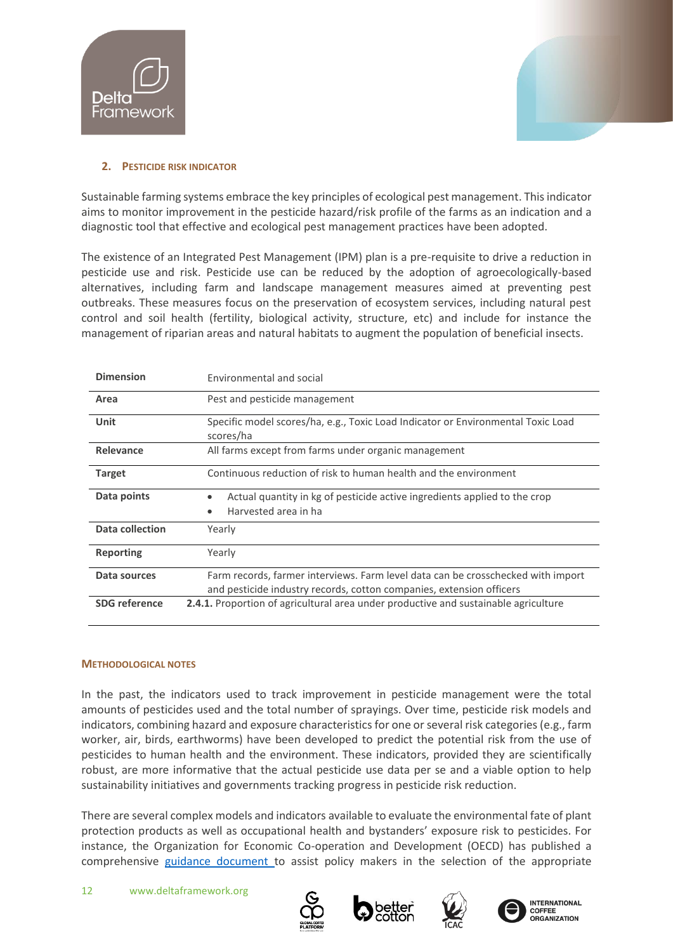



# <span id="page-11-0"></span>**2. PESTICIDE RISK INDICATOR**

Sustainable farming systems embrace the key principles of ecological pest management. This indicator aims to monitor improvement in the pesticide hazard/risk profile of the farms as an indication and a diagnostic tool that effective and ecological pest management practices have been adopted.

The existence of an Integrated Pest Management (IPM) plan is a pre-requisite to drive a reduction in pesticide use and risk. Pesticide use can be reduced by the adoption of agroecologically-based alternatives, including farm and landscape management measures aimed at preventing pest outbreaks. These measures focus on the preservation of ecosystem services, including natural pest control and soil health (fertility, biological activity, structure, etc) and include for instance the management of riparian areas and natural habitats to augment the population of beneficial insects.

| <b>Dimension</b>     | Environmental and social                                                                                                                                 |  |  |  |  |
|----------------------|----------------------------------------------------------------------------------------------------------------------------------------------------------|--|--|--|--|
| Area                 | Pest and pesticide management                                                                                                                            |  |  |  |  |
| <b>Unit</b>          | Specific model scores/ha, e.g., Toxic Load Indicator or Environmental Toxic Load<br>scores/ha                                                            |  |  |  |  |
| Relevance            | All farms except from farms under organic management                                                                                                     |  |  |  |  |
| <b>Target</b>        | Continuous reduction of risk to human health and the environment                                                                                         |  |  |  |  |
| Data points          | Actual quantity in kg of pesticide active ingredients applied to the crop<br>Harvested area in ha<br>٠                                                   |  |  |  |  |
| Data collection      | Yearly                                                                                                                                                   |  |  |  |  |
| <b>Reporting</b>     | Yearly                                                                                                                                                   |  |  |  |  |
| Data sources         | Farm records, farmer interviews. Farm level data can be crosschecked with import<br>and pesticide industry records, cotton companies, extension officers |  |  |  |  |
| <b>SDG</b> reference | <b>2.4.1.</b> Proportion of agricultural area under productive and sustainable agriculture                                                               |  |  |  |  |

# **METHODOLOGICAL NOTES**

In the past, the indicators used to track improvement in pesticide management were the total amounts of pesticides used and the total number of sprayings. Over time, pesticide risk models and indicators, combining hazard and exposure characteristics for one or several risk categories (e.g., farm worker, air, birds, earthworms) have been developed to predict the potential risk from the use of pesticides to human health and the environment. These indicators, provided they are scientifically robust, are more informative that the actual pesticide use data per se and a viable option to help sustainability initiatives and governments tracking progress in pesticide risk reduction.

There are several complex models and indicators available to evaluate the environmental fate of plant protection products as well as occupational health and bystanders' exposure risk to pesticides. For instance, the Organization for Economic Co-operation and Development (OECD) has published a comprehensive [guidance document t](http://www.oecd.org/officialdocuments/publicdisplaydocumentpdf/?cote=env/jm/mono(2016)56&doclanguage=en)o assist policy makers in the selection of the appropriate







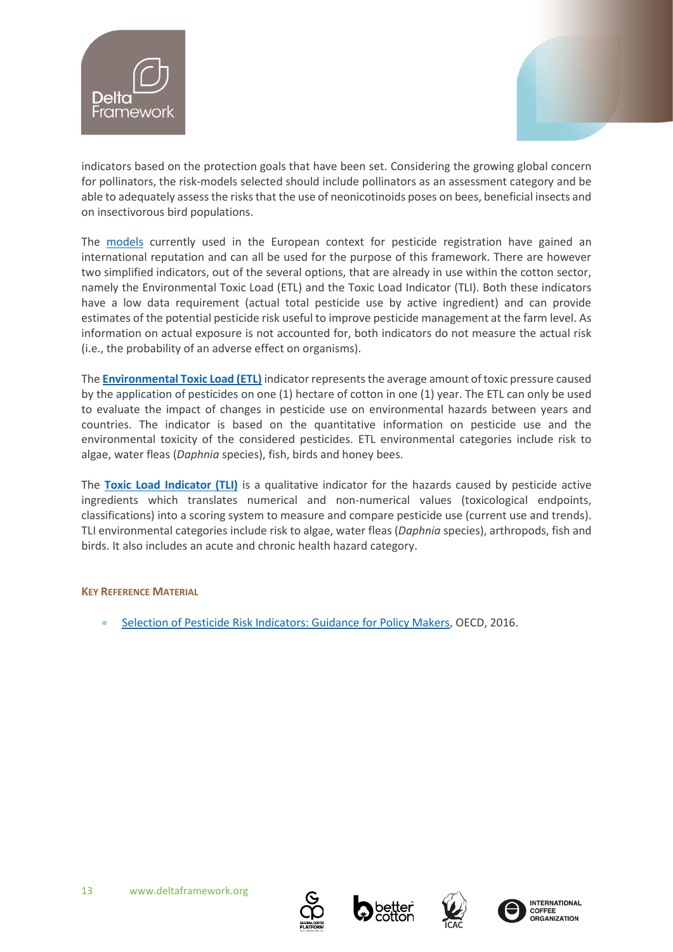



indicators based on the protection goals that have been set. Considering the growing global concern for pollinators, the risk-models selected should include pollinators as an assessment category and be able to adequately assess the risks that the use of neonicotinoids poses on bees, beneficial insects and on insectivorous bird populations.

The [models](https://www.pesticidemodels.eu/) currently used in the European context for pesticide registration have gained an international reputation and can all be used for the purpose of this framework. There are however two simplified indicators, out of the several options, that are already in use within the cotton sector, namely the Environmental Toxic Load (ETL) and the Toxic Load Indicator (TLI). Both these indicators have a low data requirement (actual total pesticide use by active ingredient) and can provide estimates of the potential pesticide risk useful to improve pesticide management at the farm level. As information on actual exposure is not accounted for, both indicators do not measure the actual risk (i.e., the probability of an adverse effect on organisms).

The **[Environmental Toxic Load \(ETL\)](http://www.insidecotton.com/xmlui/bitstream/handle/1/4769/Environmental%20Toxic%20Load%20For%20Australian%20Cotton%20Production%202000-2018.pdf?sequence=4&isAllowed=y)** indicator represents the average amount of toxic pressure caused by the application of pesticides on one (1) hectare of cotton in one (1) year. The ETL can only be used to evaluate the impact of changes in pesticide use on environmental hazards between years and countries. The indicator is based on the quantitative information on pesticide use and the environmental toxicity of the considered pesticides. ETL environmental categories include risk to algae, water fleas (*Daphnia* species), fish, birds and honey bees.

The **[Toxic Load Indicator \(TLI\)](https://www.researchgate.net/publication/319259870_Toxic_Load_Indicator_-_A_new_tool_for_analyzing_and_evaluating_pesticide_use_Introduction_to_the_methodology_and_its_potential_for_evaluating_pesticide_use)** is a qualitative indicator for the hazards caused by pesticide active ingredients which translates numerical and non-numerical values (toxicological endpoints, classifications) into a scoring system to measure and compare pesticide use (current use and trends). TLI environmental categories include risk to algae, water fleas (*Daphnia* species), arthropods, fish and birds. It also includes an acute and chronic health hazard category.

# **KEY REFERENCE MATERIAL**

• Selection of [Pesticide Risk Indicators: Guidance for](http://www.oecd.org/officialdocuments/publicdisplaydocumentpdf/?cote=env/jm/mono(2016)56&doclanguage=e) Policy Makers, OECD, 2016.





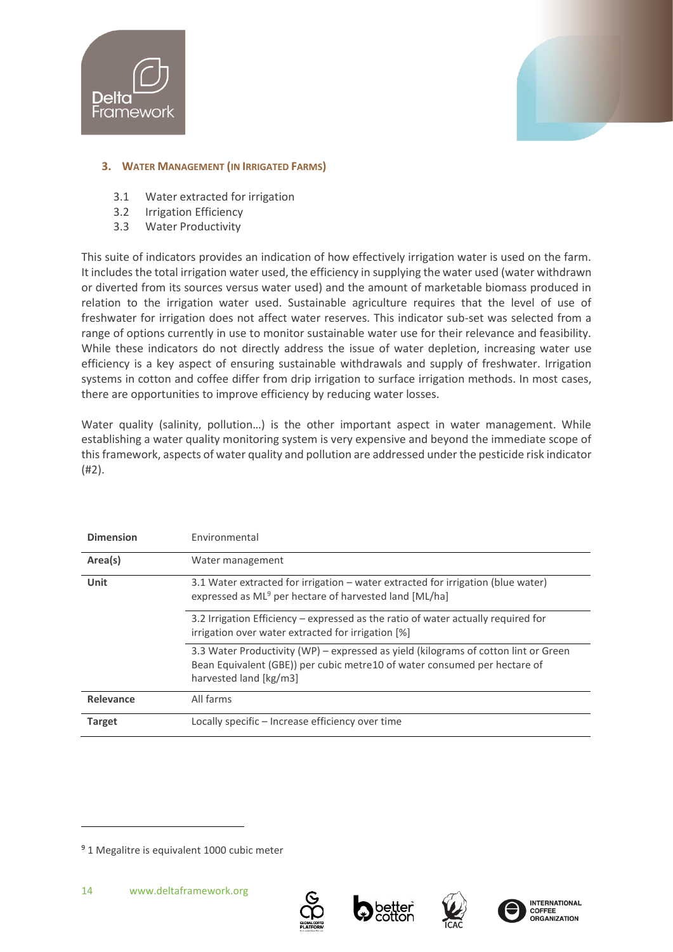



# <span id="page-13-0"></span>**3. WATER MANAGEMENT (IN IRRIGATED FARMS)**

- 3.1 Water extracted for irrigation
- 3.2 Irrigation Efficiency
- 3.3 Water Productivity

This suite of indicators provides an indication of how effectively irrigation water is used on the farm. It includes the total irrigation water used, the efficiency in supplying the water used (water withdrawn or diverted from its sources versus water used) and the amount of marketable biomass produced in relation to the irrigation water used. Sustainable agriculture requires that the level of use of freshwater for irrigation does not affect water reserves. This indicator sub-set was selected from a range of options currently in use to monitor sustainable water use for their relevance and feasibility. While these indicators do not directly address the issue of water depletion, increasing water use efficiency is a key aspect of ensuring sustainable withdrawals and supply of freshwater. Irrigation systems in cotton and coffee differ from drip irrigation to surface irrigation methods. In most cases, there are opportunities to improve efficiency by reducing water losses.

Water quality (salinity, pollution...) is the other important aspect in water management. While establishing a water quality monitoring system is very expensive and beyond the immediate scope of this framework, aspects of water quality and pollution are addressed under the pesticide risk indicator (#2).

| <b>Dimension</b> | Environmental                                                                                                                                                                               |  |  |
|------------------|---------------------------------------------------------------------------------------------------------------------------------------------------------------------------------------------|--|--|
| Area(s)          | Water management                                                                                                                                                                            |  |  |
| Unit             | 3.1 Water extracted for irrigation - water extracted for irrigation (blue water)<br>expressed as ML <sup>9</sup> per hectare of harvested land [ML/ha]                                      |  |  |
|                  | 3.2 Irrigation Efficiency – expressed as the ratio of water actually required for<br>irrigation over water extracted for irrigation [%]                                                     |  |  |
|                  | 3.3 Water Productivity (WP) – expressed as yield (kilograms of cotton lint or Green<br>Bean Equivalent (GBE)) per cubic metre 10 of water consumed per hectare of<br>harvested land [kg/m3] |  |  |
| Relevance        | All farms                                                                                                                                                                                   |  |  |
| <b>Target</b>    | Locally specific – Increase efficiency over time                                                                                                                                            |  |  |







<sup>&</sup>lt;sup>9</sup> 1 Megalitre is equivalent 1000 cubic meter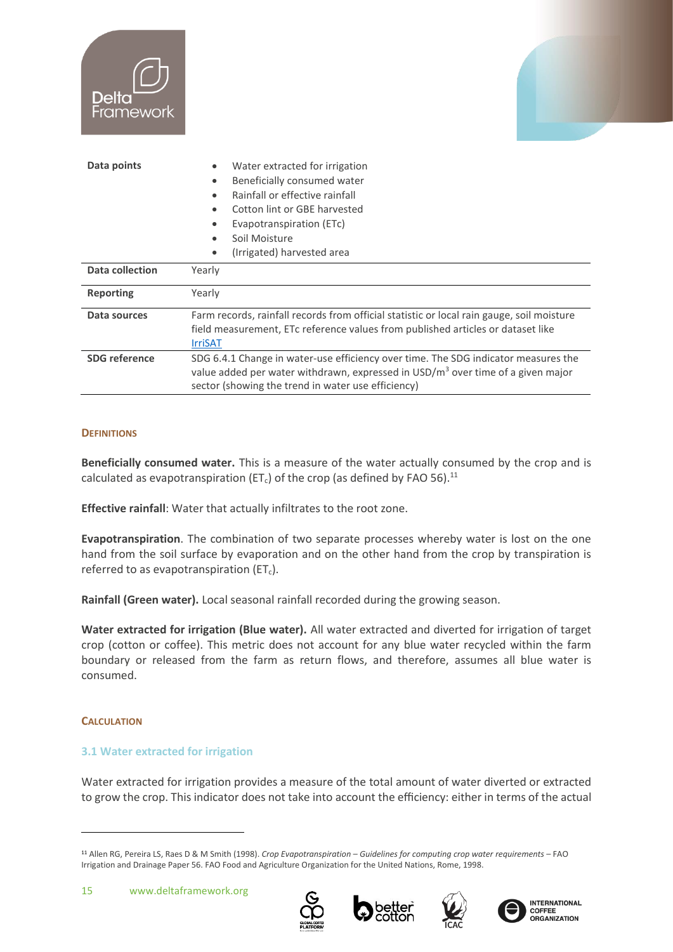| <b>Delta</b><br>Framework |                                                                                                                                                                                                                                         |  |  |  |  |
|---------------------------|-----------------------------------------------------------------------------------------------------------------------------------------------------------------------------------------------------------------------------------------|--|--|--|--|
| Data points               | Water extracted for irrigation<br>٠<br>Beneficially consumed water<br>٠<br>Rainfall or effective rainfall<br>Cotton lint or GBE harvested<br>Evapotranspiration (ETc)<br>Soil Moisture<br>٠<br>(Irrigated) harvested area<br>$\bullet$  |  |  |  |  |
| <b>Data collection</b>    | Yearly                                                                                                                                                                                                                                  |  |  |  |  |
| <b>Reporting</b>          | Yearly                                                                                                                                                                                                                                  |  |  |  |  |
| Data sources              | Farm records, rainfall records from official statistic or local rain gauge, soil moisture<br>field measurement, ETc reference values from published articles or dataset like<br><b>IrriSAT</b>                                          |  |  |  |  |
| <b>SDG</b> reference      | SDG 6.4.1 Change in water-use efficiency over time. The SDG indicator measures the<br>value added per water withdrawn, expressed in USD/m <sup>3</sup> over time of a given major<br>sector (showing the trend in water use efficiency) |  |  |  |  |

# **DEFINITIONS**

**Beneficially consumed water.** This is a measure of the water actually consumed by the crop and is calculated as evapotranspiration (ET<sub>c</sub>) of the crop (as defined by FAO 56).<sup>11</sup>

**Effective rainfall**: Water that actually infiltrates to the root zone.

**Evapotranspiration**. The combination of two separate processes whereby water is lost on the one hand from the soil surface by evaporation and on the other hand from the crop by transpiration is referred to as evapotranspiration ( $ET<sub>c</sub>$ ).

**Rainfall (Green water).** Local seasonal rainfall recorded during the growing season.

**Water extracted for irrigation (Blue water).** All water extracted and diverted for irrigation of target crop (cotton or coffee). This metric does not account for any blue water recycled within the farm boundary or released from the farm as return flows, and therefore, assumes all blue water is consumed.

# **CALCULATION**

# **3.1 Water extracted for irrigation**

Water extracted for irrigation provides a measure of the total amount of water diverted or extracted to grow the crop. This indicator does not take into account the efficiency: either in terms of the actual









<sup>11</sup> Allen RG, Pereira LS, Raes D & M Smith (1998). *Crop Evapotranspiration – Guidelines for computing crop water requirements* – FAO Irrigation and Drainage Paper 56. FAO Food and Agriculture Organization for the United Nations, Rome, 1998.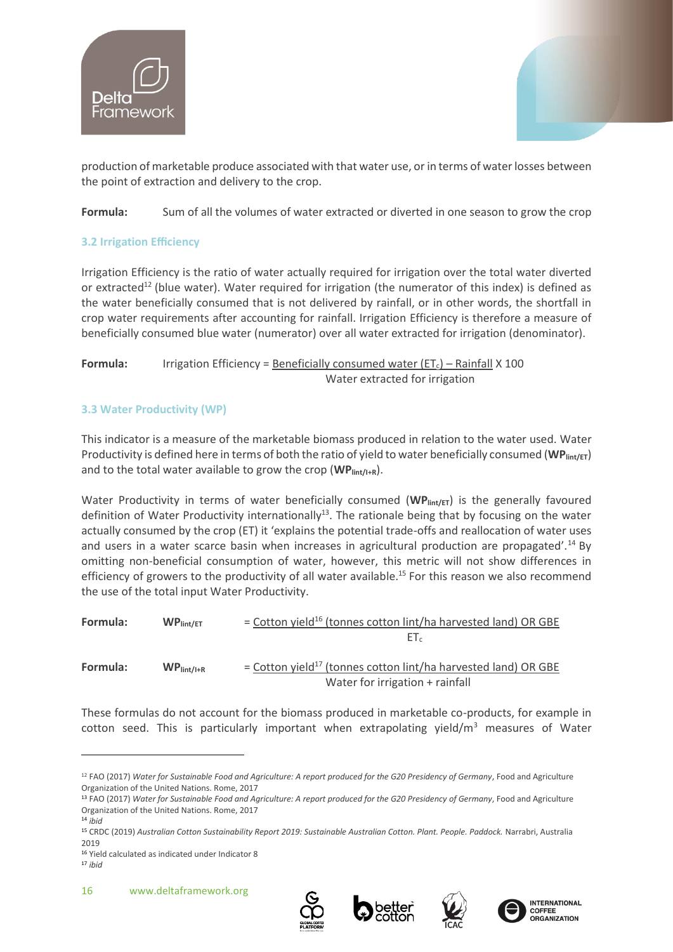



production of marketable produce associated with that water use, or in terms of water losses between the point of extraction and delivery to the crop.

**Formula:** Sum of all the volumes of water extracted or diverted in one season to grow the crop

# **3.2 Irrigation Efficiency**

Irrigation Efficiency is the ratio of water actually required for irrigation over the total water diverted or extracted<sup>12</sup> (blue water). Water required for irrigation (the numerator of this index) is defined as the water beneficially consumed that is not delivered by rainfall, or in other words, the shortfall in crop water requirements after accounting for rainfall. Irrigation Efficiency is therefore a measure of beneficially consumed blue water (numerator) over all water extracted for irrigation (denominator).

# **Formula:** Irrigation Efficiency = Beneficially consumed water  $(ET_c)$  – Rainfall X 100 Water extracted for irrigation

# **3.3 Water Productivity (WP)**

This indicator is a measure of the marketable biomass produced in relation to the water used. Water Productivity is defined here in terms of both the ratio of yield to water beneficially consumed (WP<sub>lint/ET</sub>) and to the total water available to grow the crop (WP<sub>lint/I+R</sub>).

Water Productivity in terms of water beneficially consumed (WP<sub>lint/ET</sub>) is the generally favoured definition of Water Productivity internationally<sup>13</sup>. The rationale being that by focusing on the water actually consumed by the crop (ET) it 'explains the potential trade-offs and reallocation of water uses and users in a water scarce basin when increases in agricultural production are propagated'.<sup>14</sup> By omitting non-beneficial consumption of water, however, this metric will not show differences in efficiency of growers to the productivity of all water available.<sup>15</sup> For this reason we also recommend the use of the total input Water Productivity.

| Formula:                 | WP <sub>lint/ET</sub> | $=$ Cotton yield <sup>16</sup> (tonnes cotton lint/ha harvested land) OR GBE                                  |
|--------------------------|-----------------------|---------------------------------------------------------------------------------------------------------------|
|                          |                       | $E_{\rm L}$                                                                                                   |
| Formula:<br>$WPlint/l+R$ |                       | = Cotton yield <sup>17</sup> (tonnes cotton lint/ha harvested land) OR GBE<br>Water for irrigation + rainfall |

These formulas do not account for the biomass produced in marketable co-products, for example in cotton seed. This is particularly important when extrapolating yield/ $m<sup>3</sup>$  measures of Water







<sup>12</sup> FAO (2017) *Water for Sustainable Food and Agriculture: A report produced for the G20 Presidency of Germany*, Food and Agriculture Organization of the United Nations. Rome, 2017

<sup>13</sup> FAO (2017) *Water for Sustainable Food and Agriculture: A report produced for the G20 Presidency of Germany*, Food and Agriculture Organization of the United Nations. Rome, 2017

<sup>14</sup> *ibid*

<sup>15</sup> CRDC (2019) *Australian Cotton Sustainability Report 2019: Sustainable Australian Cotton. Plant. People. Paddock.* Narrabri, Australia 2019

<sup>16</sup> Yield calculated as indicated under Indicator 8

<sup>17</sup> *ibid*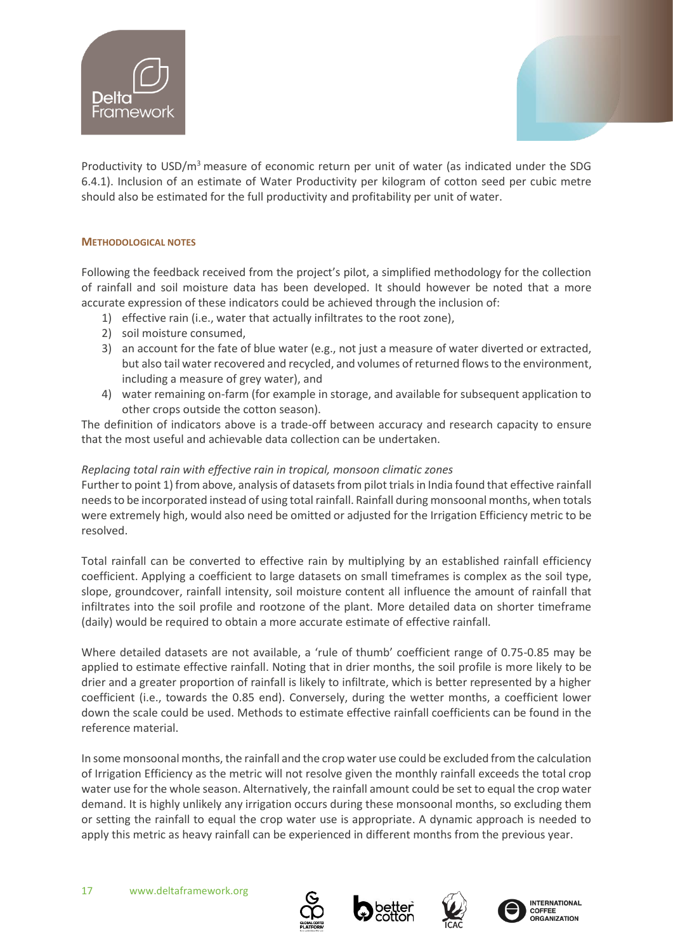



Productivity to USD/m<sup>3</sup> measure of economic return per unit of water (as indicated under the SDG 6.4.1). Inclusion of an estimate of Water Productivity per kilogram of cotton seed per cubic metre should also be estimated for the full productivity and profitability per unit of water.

# **METHODOLOGICAL NOTES**

Following the feedback received from the project's pilot, a simplified methodology for the collection of rainfall and soil moisture data has been developed. It should however be noted that a more accurate expression of these indicators could be achieved through the inclusion of:

- 1) effective rain (i.e., water that actually infiltrates to the root zone),
- 2) soil moisture consumed,
- 3) an account for the fate of blue water (e.g., not just a measure of water diverted or extracted, but also tail water recovered and recycled, and volumes of returned flows to the environment, including a measure of grey water), and
- 4) water remaining on-farm (for example in storage, and available for subsequent application to other crops outside the cotton season).

The definition of indicators above is a trade-off between accuracy and research capacity to ensure that the most useful and achievable data collection can be undertaken.

# *Replacing total rain with effective rain in tropical, monsoon climatic zones*

Further to point 1) from above, analysis of datasets from pilot trials in India found that effective rainfall needs to be incorporated instead of using total rainfall. Rainfall during monsoonal months, when totals were extremely high, would also need be omitted or adjusted for the Irrigation Efficiency metric to be resolved.

Total rainfall can be converted to effective rain by multiplying by an established rainfall efficiency coefficient. Applying a coefficient to large datasets on small timeframes is complex as the soil type, slope, groundcover, rainfall intensity, soil moisture content all influence the amount of rainfall that infiltrates into the soil profile and rootzone of the plant. More detailed data on shorter timeframe (daily) would be required to obtain a more accurate estimate of effective rainfall.

Where detailed datasets are not available, a 'rule of thumb' coefficient range of 0.75-0.85 may be applied to estimate effective rainfall. Noting that in drier months, the soil profile is more likely to be drier and a greater proportion of rainfall is likely to infiltrate, which is better represented by a higher coefficient (i.e., towards the 0.85 end). Conversely, during the wetter months, a coefficient lower down the scale could be used. Methods to estimate effective rainfall coefficients can be found in the reference material.

In some monsoonal months, the rainfall and the crop water use could be excluded from the calculation of Irrigation Efficiency as the metric will not resolve given the monthly rainfall exceeds the total crop water use for the whole season. Alternatively, the rainfall amount could be set to equal the crop water demand. It is highly unlikely any irrigation occurs during these monsoonal months, so excluding them or setting the rainfall to equal the crop water use is appropriate. A dynamic approach is needed to apply this metric as heavy rainfall can be experienced in different months from the previous year.

![](_page_16_Picture_16.jpeg)

![](_page_16_Picture_17.jpeg)

![](_page_16_Picture_18.jpeg)

![](_page_16_Picture_19.jpeg)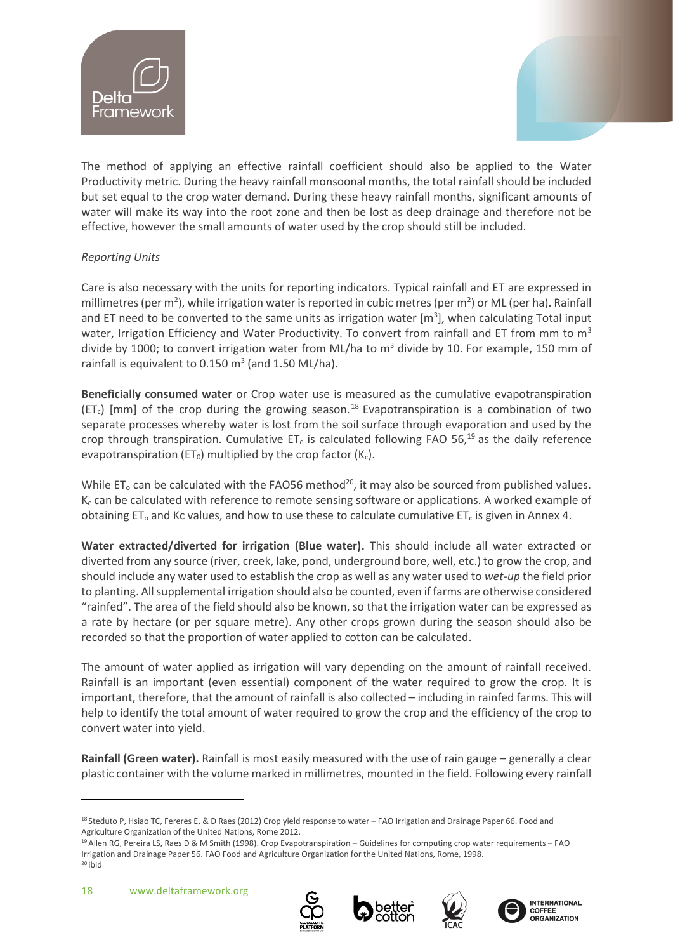![](_page_17_Picture_0.jpeg)

![](_page_17_Picture_1.jpeg)

The method of applying an effective rainfall coefficient should also be applied to the Water Productivity metric. During the heavy rainfall monsoonal months, the total rainfall should be included but set equal to the crop water demand. During these heavy rainfall months, significant amounts of water will make its way into the root zone and then be lost as deep drainage and therefore not be effective, however the small amounts of water used by the crop should still be included.

# *Reporting Units*

Care is also necessary with the units for reporting indicators. Typical rainfall and ET are expressed in millimetres (per m<sup>2</sup>), while irrigation water is reported in cubic metres (per m<sup>2</sup>) or ML (per ha). Rainfall and ET need to be converted to the same units as irrigation water  $[m<sup>3</sup>]$ , when calculating Total input water, Irrigation Efficiency and Water Productivity. To convert from rainfall and ET from mm to  $m<sup>3</sup>$ divide by 1000; to convert irrigation water from ML/ha to  $m<sup>3</sup>$  divide by 10. For example, 150 mm of rainfall is equivalent to  $0.150 \text{ m}^3$  (and  $1.50 \text{ ML/ha}$ ).

**Beneficially consumed water** or Crop water use is measured as the cumulative evapotranspiration (ET<sub>c</sub>) [mm] of the crop during the growing season.<sup>18</sup> Evapotranspiration is a combination of two separate processes whereby water is lost from the soil surface through evaporation and used by the crop through transpiration. Cumulative ET<sub>c</sub> is calculated following FAO 56,<sup>19</sup> as the daily reference evapotranspiration (ET<sub>0</sub>) multiplied by the crop factor ( $K_c$ ).

While  $ET_0$  can be calculated with the FAO56 method<sup>20</sup>, it may also be sourced from published values.  $K_c$  can be calculated with reference to remote sensing software or applications. A worked example of obtaining ET<sub>o</sub> and Kc values, and how to use these to calculate cumulative ET<sub>c</sub> is given in Annex 4.

**Water extracted/diverted for irrigation (Blue water).** This should include all water extracted or diverted from any source (river, creek, lake, pond, underground bore, well, etc.) to grow the crop, and should include any water used to establish the crop as well as any water used to *wet-up* the field prior to planting. All supplemental irrigation should also be counted, even if farms are otherwise considered "rainfed". The area of the field should also be known, so that the irrigation water can be expressed as a rate by hectare (or per square metre). Any other crops grown during the season should also be recorded so that the proportion of water applied to cotton can be calculated.

The amount of water applied as irrigation will vary depending on the amount of rainfall received. Rainfall is an important (even essential) component of the water required to grow the crop. It is important, therefore, that the amount of rainfall is also collected – including in rainfed farms. This will help to identify the total amount of water required to grow the crop and the efficiency of the crop to convert water into yield.

**Rainfall (Green water).** Rainfall is most easily measured with the use of rain gauge – generally a clear plastic container with the volume marked in millimetres, mounted in the field. Following every rainfall

![](_page_17_Picture_13.jpeg)

![](_page_17_Picture_14.jpeg)

![](_page_17_Picture_15.jpeg)

![](_page_17_Picture_16.jpeg)

<sup>18</sup> Steduto P, Hsiao TC, Fereres E, & D Raes (2012) Crop yield response to water – FAO Irrigation and Drainage Paper 66. Food and Agriculture Organization of the United Nations, Rome 2012.

<sup>19</sup> Allen RG, Pereira LS, Raes D & M Smith (1998). Crop Evapotranspiration – Guidelines for computing crop water requirements – FAO Irrigation and Drainage Paper 56. FAO Food and Agriculture Organization for the United Nations, Rome, 1998.  $20$  ibid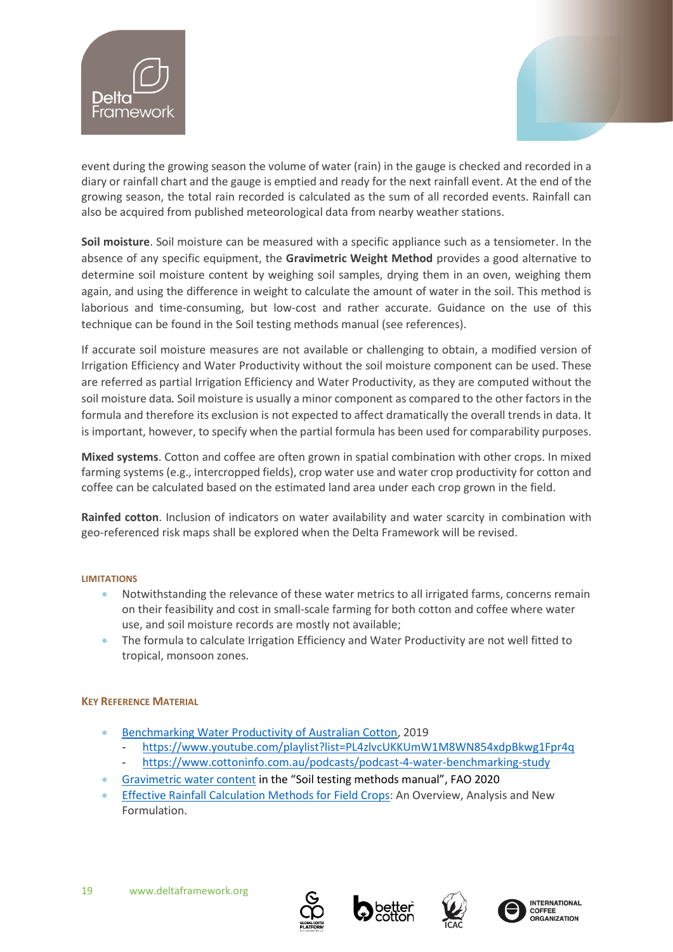![](_page_18_Picture_0.jpeg)

![](_page_18_Picture_1.jpeg)

event during the growing season the volume of water (rain) in the gauge is checked and recorded in a diary or rainfall chart and the gauge is emptied and ready for the next rainfall event. At the end of the growing season, the total rain recorded is calculated as the sum of all recorded events. Rainfall can also be acquired from published meteorological data from nearby weather stations.

**Soil moisture**. Soil moisture can be measured with a specific appliance such as a tensiometer. In the absence of any specific equipment, the **Gravimetric Weight Method** provides a good alternative to determine soil moisture content by weighing soil samples, drying them in an oven, weighing them again, and using the difference in weight to calculate the amount of water in the soil. This method is laborious and time-consuming, but low-cost and rather accurate. Guidance on the use of this technique can be found in the Soil testing methods manual (see references).

If accurate soil moisture measures are not available or challenging to obtain, a modified version of Irrigation Efficiency and Water Productivity without the soil moisture component can be used. These are referred as partial Irrigation Efficiency and Water Productivity, as they are computed without the soil moisture data*.* Soil moisture is usually a minor component as compared to the other factors in the formula and therefore its exclusion is not expected to affect dramatically the overall trends in data. It is important, however, to specify when the partial formula has been used for comparability purposes.

**Mixed systems**. Cotton and coffee are often grown in spatial combination with other crops. In mixed farming systems (e.g., intercropped fields), crop water use and water crop productivity for cotton and coffee can be calculated based on the estimated land area under each crop grown in the field.

**Rainfed cotton**. Inclusion of indicators on water availability and water scarcity in combination with geo-referenced risk maps shall be explored when the Delta Framework will be revised.

# **LIMITATIONS**

- Notwithstanding the relevance of these water metrics to all irrigated farms, concerns remain on their feasibility and cost in small-scale farming for both cotton and coffee where water use, and soil moisture records are mostly not available;
- The formula to calculate Irrigation Efficiency and Water Productivity are not well fitted to tropical, monsoon zones.

# **KEY REFERENCE MATERIAL**

- [Benchmarking Water Productivity of Australian Cotton,](https://d.docs.live.net/b0448ed9c423e870/Documents/BCI/Indicators/-%09https:/www.dpi.nsw.gov.au/agriculture/irrigation/irrigation/irrigation-primefacts/benchmarking-water-productivity-of-australian-cotton-primefact) 2019
	- <https://www.youtube.com/playlist?list=PL4zlvcUKKUmW1M8WN854xdpBkwg1Fpr4q>
	- <https://www.cottoninfo.com.au/podcasts/podcast-4-water-benchmarking-study>
- [Gravimetric water content](http://www.fao.org/3/ca2796en/CA2796EN.pdf) in the "Soil testing methods manual", FAO 2020
- [Effective Rainfall Calculation Methods for Field Crops:](https://www.researchgate.net/profile/M-Ali-23/publication/321363262_Effective_Rainfall_Calculation_Methods_for_Field_Crops_An_Overview_Analysis_and_New_Formulation/links/5a222fc8aca2727dd87af23a/Effective-Rainfall-Calculation-Methods-for-Field-Crops-An-Overview-Analysis-and-New-Formulation.pdf) An Overview, Analysis and New Formulation.

![](_page_18_Picture_17.jpeg)

![](_page_18_Picture_18.jpeg)

![](_page_18_Picture_19.jpeg)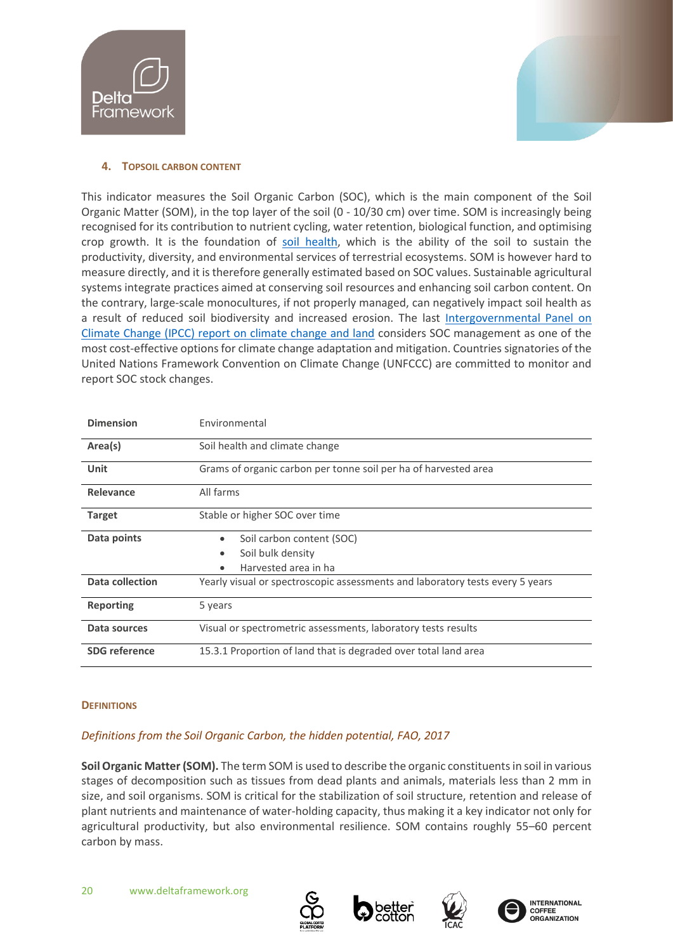![](_page_19_Picture_0.jpeg)

![](_page_19_Picture_1.jpeg)

# <span id="page-19-0"></span>**4. TOPSOIL CARBON CONTENT**

This indicator measures the Soil Organic Carbon (SOC), which is the main component of the Soil Organic Matter (SOM), in the top layer of the soil (0 - 10/30 cm) over time. SOM is increasingly being recognised for its contribution to nutrient cycling, water retention, biological function, and optimising crop growth. It is the foundation of [soil health,](https://www.fao.org/3/cb1110en/cb1110en.pdf) which is the ability of the soil to sustain the productivity, diversity, and environmental services of terrestrial ecosystems. SOM is however hard to measure directly, and it is therefore generally estimated based on SOC values. Sustainable agricultural systems integrate practices aimed at conserving soil resources and enhancing soil carbon content. On the contrary, large-scale monocultures, if not properly managed, can negatively impact soil health as a result of reduced soil biodiversity and increased erosion. The last [Intergovernmental Panel on](https://www.ipcc.ch/srccl/)  [Climate Change \(IPCC\) report on climate change and land](https://www.ipcc.ch/srccl/) considers SOC management as one of the most cost-effective options for climate change adaptation and mitigation. Countries signatories of the United Nations Framework Convention on Climate Change (UNFCCC) are committed to monitor and report SOC stock changes.

| <b>Dimension</b>     | <b>Environmental</b>                                                          |  |  |  |  |
|----------------------|-------------------------------------------------------------------------------|--|--|--|--|
| Area(s)              | Soil health and climate change                                                |  |  |  |  |
| Unit                 | Grams of organic carbon per tonne soil per ha of harvested area               |  |  |  |  |
| Relevance            | All farms                                                                     |  |  |  |  |
| <b>Target</b>        | Stable or higher SOC over time                                                |  |  |  |  |
| Data points          | Soil carbon content (SOC)                                                     |  |  |  |  |
|                      | Soil bulk density                                                             |  |  |  |  |
|                      | Harvested area in ha                                                          |  |  |  |  |
| Data collection      | Yearly visual or spectroscopic assessments and laboratory tests every 5 years |  |  |  |  |
| <b>Reporting</b>     | 5 years                                                                       |  |  |  |  |
| Data sources         | Visual or spectrometric assessments, laboratory tests results                 |  |  |  |  |
| <b>SDG</b> reference | 15.3.1 Proportion of land that is degraded over total land area               |  |  |  |  |

# **DEFINITIONS**

# *Definitions from the Soil Organic Carbon, the hidden potential, FAO, 2017*

**Soil Organic Matter (SOM).** The term SOM is used to describe the organic constituents in soil in various stages of decomposition such as tissues from dead plants and animals, materials less than 2 mm in size, and soil organisms. SOM is critical for the stabilization of soil structure, retention and release of plant nutrients and maintenance of water-holding capacity, thus making it a key indicator not only for agricultural productivity, but also environmental resilience. SOM contains roughly 55–60 percent carbon by mass.

![](_page_19_Picture_9.jpeg)

![](_page_19_Picture_10.jpeg)

![](_page_19_Picture_11.jpeg)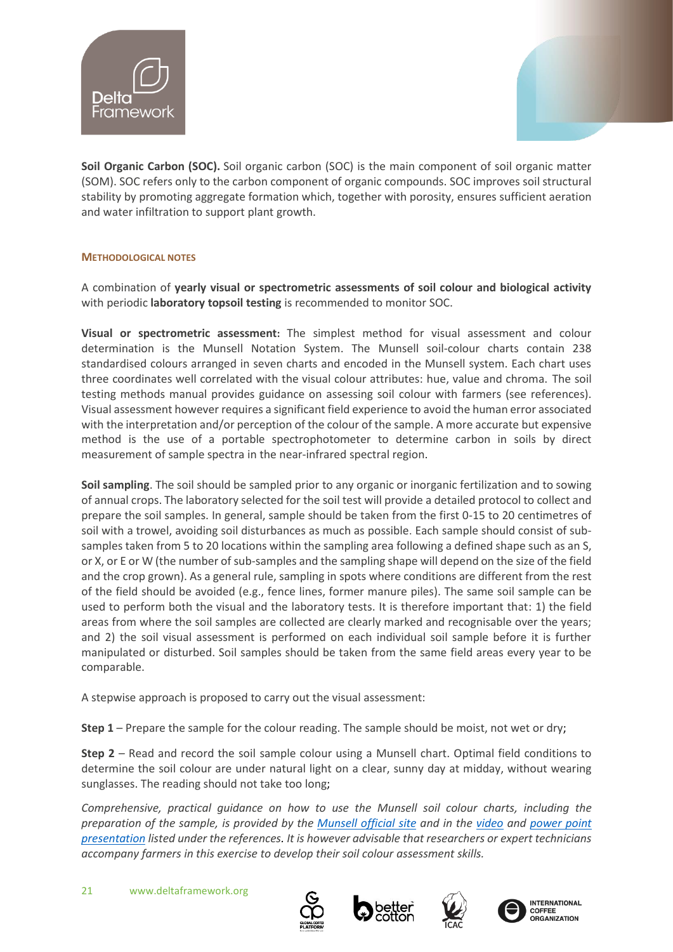![](_page_20_Picture_0.jpeg)

![](_page_20_Picture_1.jpeg)

**Soil Organic Carbon (SOC).** Soil organic carbon (SOC) is the main component of soil organic matter (SOM). SOC refers only to the carbon component of organic compounds. SOC improves soil structural stability by promoting aggregate formation which, together with porosity, ensures sufficient aeration and water infiltration to support plant growth.

# **METHODOLOGICAL NOTES**

A combination of **yearly visual or spectrometric assessments of soil colour and biological activity** with periodic **laboratory topsoil testing** is recommended to monitor SOC.

**Visual or spectrometric assessment:** The simplest method for visual assessment and colour determination is the Munsell Notation System. The Munsell soil-colour charts contain 238 standardised colours arranged in seven charts and encoded in the Munsell system. Each chart uses three coordinates well correlated with the visual colour attributes: hue, value and chroma. The soil testing methods manual provides guidance on assessing soil colour with farmers (see references). Visual assessment however requires a significant field experience to avoid the human error associated with the interpretation and/or perception of the colour of the sample. A more accurate but expensive method is the use of a portable spectrophotometer to determine carbon in soils by direct measurement of sample spectra in the near-infrared spectral region.

**Soil sampling**. The soil should be sampled prior to any organic or inorganic fertilization and to sowing of annual crops. The laboratory selected for the soil test will provide a detailed protocol to collect and prepare the soil samples. In general, sample should be taken from the first 0-15 to 20 centimetres of soil with a trowel, avoiding soil disturbances as much as possible. Each sample should consist of subsamples taken from 5 to 20 locations within the sampling area following a defined shape such as an S, or X, or E or W (the number of sub-samples and the sampling shape will depend on the size of the field and the crop grown). As a general rule, sampling in spots where conditions are different from the rest of the field should be avoided (e.g., fence lines, former manure piles). The same soil sample can be used to perform both the visual and the laboratory tests. It is therefore important that: 1) the field areas from where the soil samples are collected are clearly marked and recognisable over the years; and 2) the soil visual assessment is performed on each individual soil sample before it is further manipulated or disturbed. Soil samples should be taken from the same field areas every year to be comparable.

A stepwise approach is proposed to carry out the visual assessment:

**Step 1** – Prepare the sample for the colour reading. The sample should be moist, not wet or dry;

**Step 2** – Read and record the soil sample colour using a Munsell chart. Optimal field conditions to determine the soil colour are under natural light on a clear, sunny day at midday, without wearing sunglasses. The reading should not take too long;

*Comprehensive, practical guidance on how to use the Munsell soil colour charts, including the preparation of the sample, is provided by the [Munsell official site](https://munsell.com/about-munsell-color/how-color-notation-works/how-to-read-color-chart/) and in the [video](https://www.youtube.com/watch?v=826cPcxeULw) and [power point](http://www.floridahealth.gov/environmental-health/onsite-sewage/training/_documents/1-soil-colors.pdf)  [presentation](http://www.floridahealth.gov/environmental-health/onsite-sewage/training/_documents/1-soil-colors.pdf) listed under the references. It is however advisable that researchers or expert technicians accompany farmers in this exercise to develop their soil colour assessment skills.*

![](_page_20_Picture_12.jpeg)

![](_page_20_Picture_13.jpeg)

![](_page_20_Picture_14.jpeg)

![](_page_20_Picture_15.jpeg)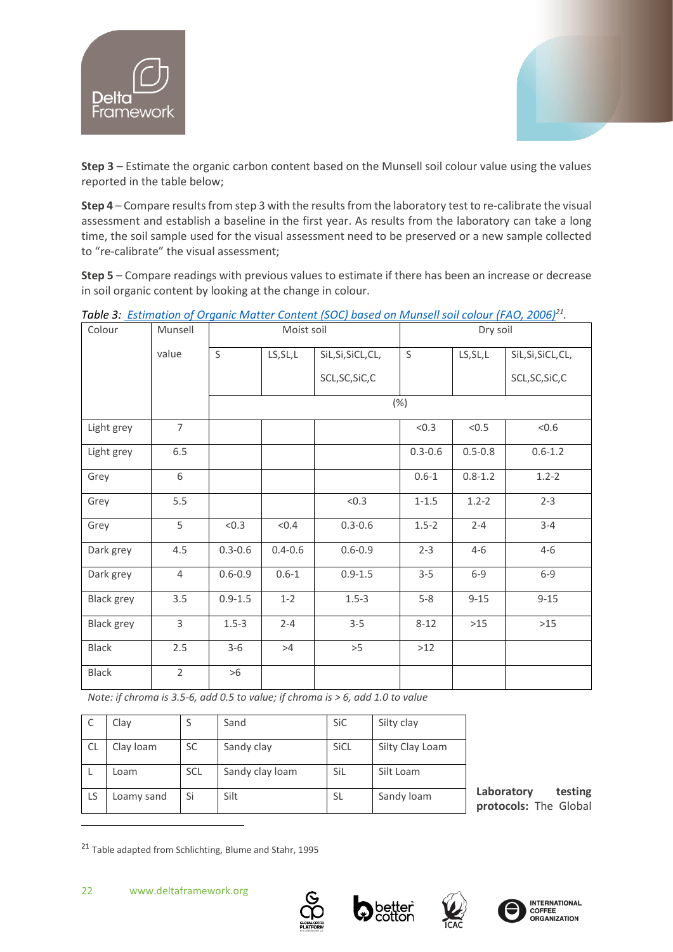![](_page_21_Picture_0.jpeg)

![](_page_21_Picture_1.jpeg)

**Step 3** – Estimate the organic carbon content based on the Munsell soil colour value using the values reported in the table below;

**Step 4** – Compare results from step 3 with the results from the laboratory test to re-calibrate the visual assessment and establish a baseline in the first year. As results from the laboratory can take a long time, the soil sample used for the visual assessment need to be preserved or a new sample collected to "re-calibrate" the visual assessment;

**Step 5** – Compare readings with previous values to estimate if there has been an increase or decrease in soil organic content by looking at the change in colour.

| Colour            | Munsell        | Moist soil  |             |                    | Dry soil    |             |                    |
|-------------------|----------------|-------------|-------------|--------------------|-------------|-------------|--------------------|
|                   | value          | $\mathsf S$ | LS, SL, L   | SiL, Si, SiCL, CL, | $\mathsf S$ | LS, SL, L   | SiL, Si, SiCL, CL, |
|                   |                |             |             | SCL, SC, SiC, C    |             |             | SCL, SC, SiC, C    |
|                   |                |             |             |                    | (%)         |             |                    |
| Light grey        | $\overline{7}$ |             |             |                    | < 0.3       | < 0.5       | < 0.6              |
| Light grey        | 6.5            |             |             |                    | $0.3 - 0.6$ | $0.5 - 0.8$ | $0.6 - 1.2$        |
| Grey              | 6              |             |             |                    | $0.6 - 1$   | $0.8 - 1.2$ | $1.2 - 2$          |
| Grey              | 5.5            |             |             | < 0.3              | $1 - 1.5$   | $1.2 - 2$   | $2 - 3$            |
| Grey              | 5              | < 0.3       | < 0.4       | $0.3 - 0.6$        | $1.5 - 2$   | $2 - 4$     | $3 - 4$            |
| Dark grey         | 4.5            | $0.3 - 0.6$ | $0.4 - 0.6$ | $0.6 - 0.9$        | $2 - 3$     | $4 - 6$     | $4 - 6$            |
| Dark grey         | $\overline{4}$ | $0.6 - 0.9$ | $0.6 - 1$   | $0.9 - 1.5$        | $3 - 5$     | $6 - 9$     | $6 - 9$            |
| <b>Black grey</b> | 3.5            | $0.9 - 1.5$ | $1 - 2$     | $1.5 - 3$          | $5-8$       | $9 - 15$    | $9 - 15$           |
| <b>Black grey</b> | 3              | $1.5 - 3$   | $2 - 4$     | $3 - 5$            | $8 - 12$    | $>15$       | $>15$              |
| <b>Black</b>      | 2.5            | $3 - 6$     | >4          | >5                 | $>12$       |             |                    |
| <b>Black</b>      | $\overline{2}$ | >6          |             |                    |             |             |                    |

*Table 3: [Estimation of Organic Matter Content \(SOC\) based on Munsell soil colour](http://www.fao.org/3/a0541e/a0541e.pdf) (FAO, 2006)<sup>21</sup> .* 

*Note: if chroma is 3.5-6, add 0.5 to value; if chroma is > 6, add 1.0 to value*

|    | Clay       | S          | Sand            | SiC         | Silty clay      |
|----|------------|------------|-----------------|-------------|-----------------|
| CL | Clay Ioam  | SC         | Sandy clay      | <b>SiCL</b> | Silty Clay Loam |
|    | Loam       | <b>SCL</b> | Sandy clay loam | SiL         | Silt Loam       |
| LS | Loamy sand | Si         | Silt            | SL          | Sandy loam      |

**Laboratory testing protocols:** The Global

<sup>21</sup> Table adapted from Schlichting, Blume and Stahr, 1995

![](_page_21_Picture_12.jpeg)

![](_page_21_Picture_13.jpeg)

![](_page_21_Picture_14.jpeg)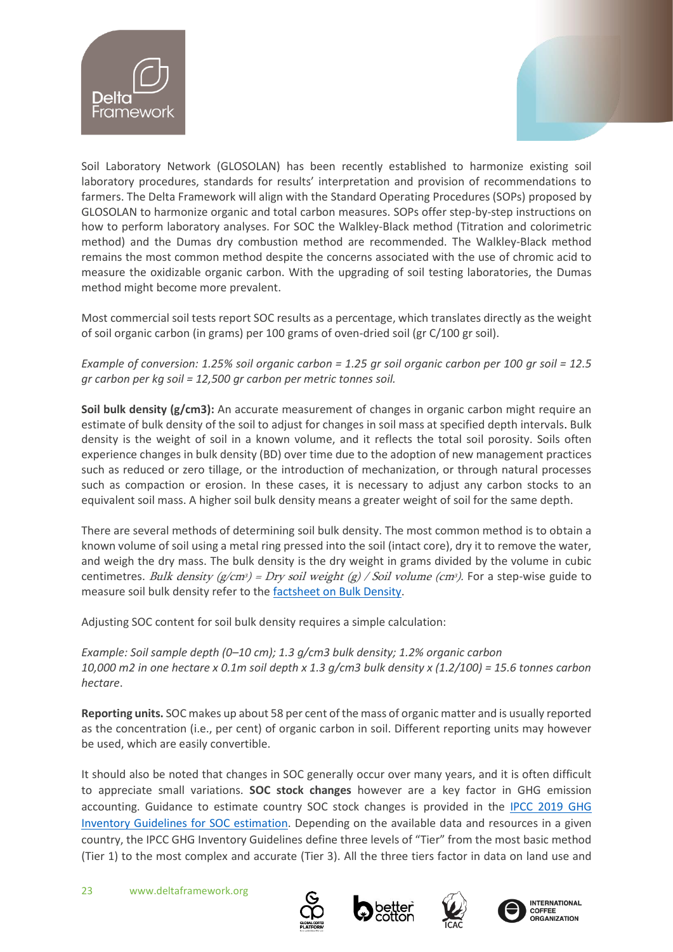![](_page_22_Picture_0.jpeg)

![](_page_22_Picture_1.jpeg)

Soil Laboratory Network (GLOSOLAN) has been recently established to harmonize existing soil laboratory procedures, standards for results' interpretation and provision of recommendations to farmers. The Delta Framework will align with the Standard Operating Procedures (SOPs) proposed by GLOSOLAN to harmonize organic and total carbon measures. SOPs offer step-by-step instructions on how to perform laboratory analyses. For SOC the Walkley-Black method (Titration and colorimetric method) and the Dumas dry combustion method are recommended. The Walkley-Black method remains the most common method despite the concerns associated with the use of chromic acid to measure the oxidizable organic carbon. With the upgrading of soil testing laboratories, the Dumas method might become more prevalent.

Most commercial soil tests report SOC results as a percentage, which translates directly as the weight of soil organic carbon (in grams) per 100 grams of oven-dried soil (gr C/100 gr soil).

*Example of conversion: 1.25% soil organic carbon = 1.25 gr soil organic carbon per 100 gr soil = 12.5 gr carbon per kg soil = 12,500 gr carbon per metric tonnes soil.* 

**Soil bulk density (g/cm3):** An accurate measurement of changes in organic carbon might require an estimate of bulk density of the soil to adjust for changes in soil mass at specified depth intervals. Bulk density is the weight of soil in a known volume, and it reflects the total soil porosity. Soils often experience changes in bulk density (BD) over time due to the adoption of new management practices such as reduced or zero tillage, or the introduction of mechanization, or through natural processes such as compaction or erosion. In these cases, it is necessary to adjust any carbon stocks to an equivalent soil mass. A higher soil bulk density means a greater weight of soil for the same depth.

There are several methods of determining soil bulk density. The most common method is to obtain a known volume of soil using a metal ring pressed into the soil (intact core), dry it to remove the water, and weigh the dry mass. The bulk density is the dry weight in grams divided by the volume in cubic centimetres. Bulk density  $(g/cm^3)$  = Dry soil weight (g) / Soil volume (cm<sup>3</sup>). For a step-wise guide to measure soil bulk density refer to th[e factsheet](http://soilquality.org.au/factsheets/bulk-density-measurement) on Bulk Density.

Adjusting SOC content for soil bulk density requires a simple calculation:

*Example: Soil sample depth (0–10 cm); 1.3 g/cm3 bulk density; 1.2% organic carbon 10,000 m2 in one hectare x 0.1m soil depth x 1.3 g/cm3 bulk density x (1.2/100) = 15.6 tonnes carbon hectare*.

**Reporting units.** SOC makes up about 58 per cent of the mass of organic matter and is usually reported as the concentration (i.e., per cent) of organic carbon in soil. Different reporting units may however be used, which are easily convertible.

It should also be noted that changes in SOC generally occur over many years, and it is often difficult to appreciate small variations. **SOC stock changes** however are a key factor in GHG emission accounting. Guidance to estimate country SOC stock changes is provided in the [IPCC 2019 GHG](https://www.ipcc-nggip.iges.or.jp/public/2019rf/pdf/4_Volume4/19R_V4_Ch02_Generic%20Methods.pdf)  [Inventory Guidelines for SOC estimation.](https://www.ipcc-nggip.iges.or.jp/public/2019rf/pdf/4_Volume4/19R_V4_Ch02_Generic%20Methods.pdf) Depending on the available data and resources in a given country, the IPCC GHG Inventory Guidelines define three levels of "Tier" from the most basic method (Tier 1) to the most complex and accurate (Tier 3). All the three tiers factor in data on land use and

![](_page_22_Picture_12.jpeg)

![](_page_22_Picture_13.jpeg)

![](_page_22_Picture_14.jpeg)

![](_page_22_Picture_15.jpeg)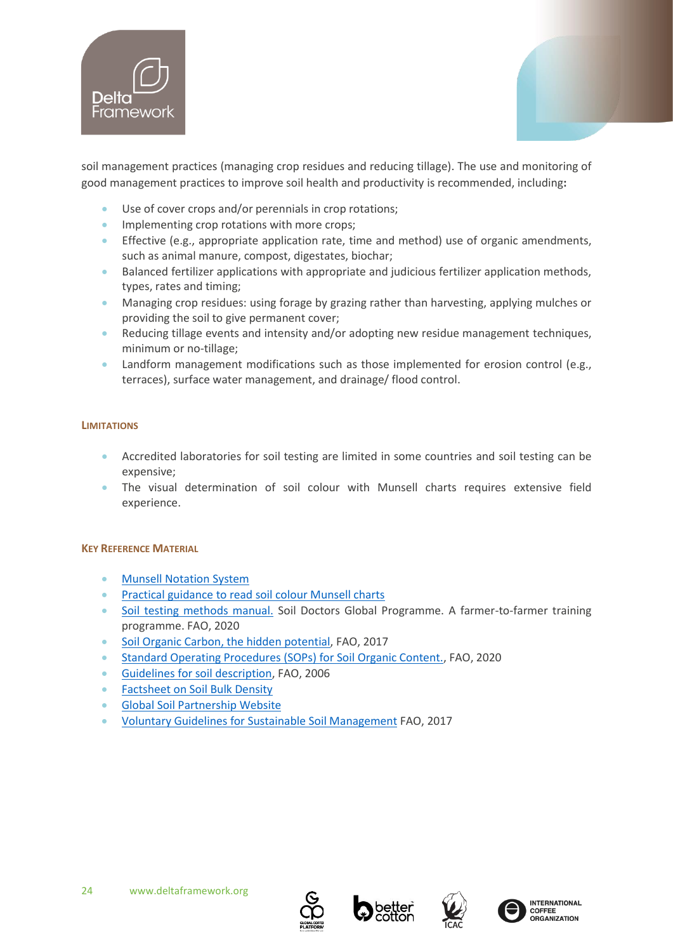![](_page_23_Picture_0.jpeg)

![](_page_23_Picture_1.jpeg)

soil management practices (managing crop residues and reducing tillage). The use and monitoring of good management practices to improve soil health and productivity is recommended, including**:**

- Use of cover crops and/or perennials in crop rotations;
- Implementing crop rotations with more crops;
- Effective (e.g., appropriate application rate, time and method) use of organic amendments, such as animal manure, compost, digestates, biochar;
- Balanced fertilizer applications with appropriate and judicious fertilizer application methods, types, rates and timing;
- Managing crop residues: using forage by grazing rather than harvesting, applying mulches or providing the soil to give permanent cover;
- Reducing tillage events and intensity and/or adopting new residue management techniques, minimum or no-tillage;
- Landform management modifications such as those implemented for erosion control (e.g., terraces), surface water management, and drainage/ flood control.

# **LIMITATIONS**

- Accredited laboratories for soil testing are limited in some countries and soil testing can be expensive;
- The visual determination of soil colour with Munsell charts requires extensive field experience.

# **KEY REFERENCE MATERIAL**

- [Munsell Notation](https://munsell.com/about-munsell-color/how-color-notation-works/) System
- [Practical guidance to read soil colour Munsell charts](https://fendaki.com/how-to-read-munsell-soil-color-chart/)
- [Soil testing methods manual.](http://www.fao.org/3/ca2796en/CA2796EN.pdf) Soil Doctors Global Programme. A farmer-to-farmer training programme. FAO, 2020
- [Soil Organic Carbon, the hidden potential,](http://www.fao.org/3/a-i6937e.pdf) FAO, 2017
- [Standard Operating Procedures \(SOPs\) for Soil Organic Content.,](http://www.fao.org/3/ca7471en/CA7471EN.pdf) FAO, 2020
- [Guidelines for soil description,](http://www.fao.org/3/a0541e/a0541e.pdf) FAO, 2006
- [Factsheet on Soil Bulk Density](https://www.soilquality.org.au/factsheets/bulk-density-measurement)
- [Global Soil Partnership](http://www.fao.org/global-soil-partnership/pillars-action/5-harmonization/glosolan/en/) Website
- [Voluntary Guidelines for Sustainable Soil Management](https://d.docs.live.net/b0448ed9c423e870/Documents/BCI/Indicators/bl813e.pdf%20(fao.org)) FAO, 2017

![](_page_23_Picture_24.jpeg)

![](_page_23_Picture_25.jpeg)

![](_page_23_Picture_26.jpeg)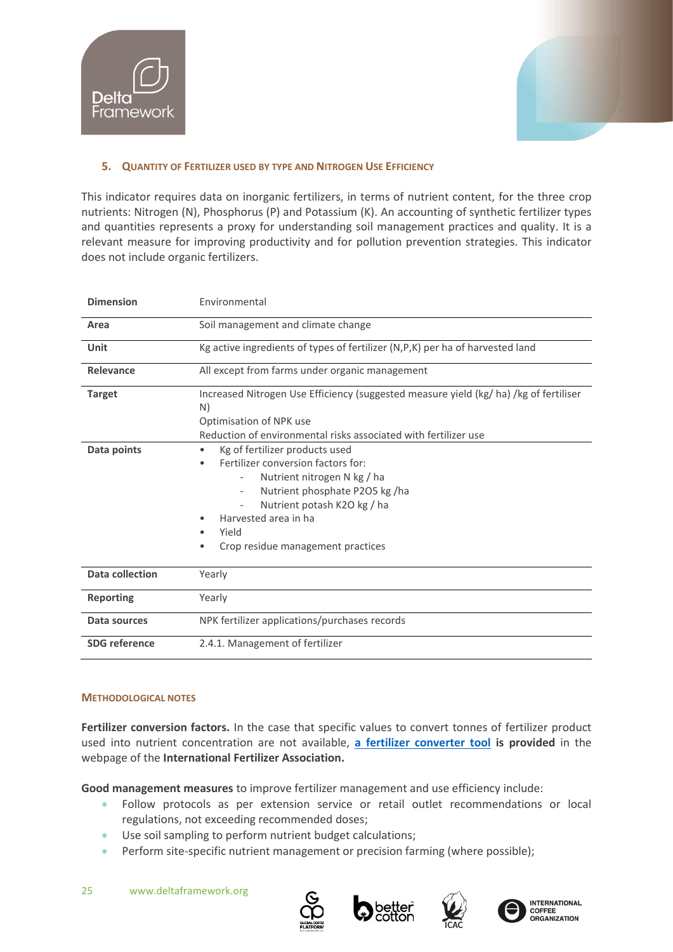![](_page_24_Picture_0.jpeg)

![](_page_24_Picture_1.jpeg)

# <span id="page-24-0"></span>**5. QUANTITY OF FERTILIZER USED BY TYPE AND NITROGEN USE EFFICIENCY**

This indicator requires data on inorganic fertilizers, in terms of nutrient content, for the three crop nutrients: Nitrogen (N), Phosphorus (P) and Potassium (K). An accounting of synthetic fertilizer types and quantities represents a proxy for understanding soil management practices and quality. It is a relevant measure for improving productivity and for pollution prevention strategies. This indicator does not include organic fertilizers.

| <b>Dimension</b>       | Environmental                                                                                                                                                                                                                                                          |  |
|------------------------|------------------------------------------------------------------------------------------------------------------------------------------------------------------------------------------------------------------------------------------------------------------------|--|
| Area                   | Soil management and climate change                                                                                                                                                                                                                                     |  |
| Unit                   | Kg active ingredients of types of fertilizer (N,P,K) per ha of harvested land                                                                                                                                                                                          |  |
| Relevance              | All except from farms under organic management                                                                                                                                                                                                                         |  |
| <b>Target</b>          | Increased Nitrogen Use Efficiency (suggested measure yield (kg/ ha)/kg of fertiliser<br>N)<br>Optimisation of NPK use<br>Reduction of environmental risks associated with fertilizer use                                                                               |  |
| Data points            | Kg of fertilizer products used<br>Fertilizer conversion factors for:<br>Nutrient nitrogen N kg / ha<br>Nutrient phosphate P2O5 kg /ha<br>$\overline{\phantom{a}}$<br>Nutrient potash K2O kg / ha<br>Harvested area in ha<br>Yield<br>Crop residue management practices |  |
| <b>Data collection</b> | Yearly                                                                                                                                                                                                                                                                 |  |
| <b>Reporting</b>       | Yearly                                                                                                                                                                                                                                                                 |  |
| Data sources           | NPK fertilizer applications/purchases records                                                                                                                                                                                                                          |  |
| <b>SDG</b> reference   | 2.4.1. Management of fertilizer                                                                                                                                                                                                                                        |  |

# **METHODOLOGICAL NOTES**

**Fertilizer conversion factors.** In the case that specific values to convert tonnes of fertilizer product used into nutrient concentration are not available, **[a fertilizer converter tool](https://www.ifastat.org/) is provided** in the webpage of the **International Fertilizer Association.**

**Good management measures** to improve fertilizer management and use efficiency include:

- Follow protocols as per extension service or retail outlet recommendations or local regulations, not exceeding recommended doses;
- Use soil sampling to perform nutrient budget calculations;
- Perform site-specific nutrient management or precision farming (where possible);

![](_page_24_Picture_12.jpeg)

![](_page_24_Picture_13.jpeg)

![](_page_24_Picture_14.jpeg)

![](_page_24_Picture_15.jpeg)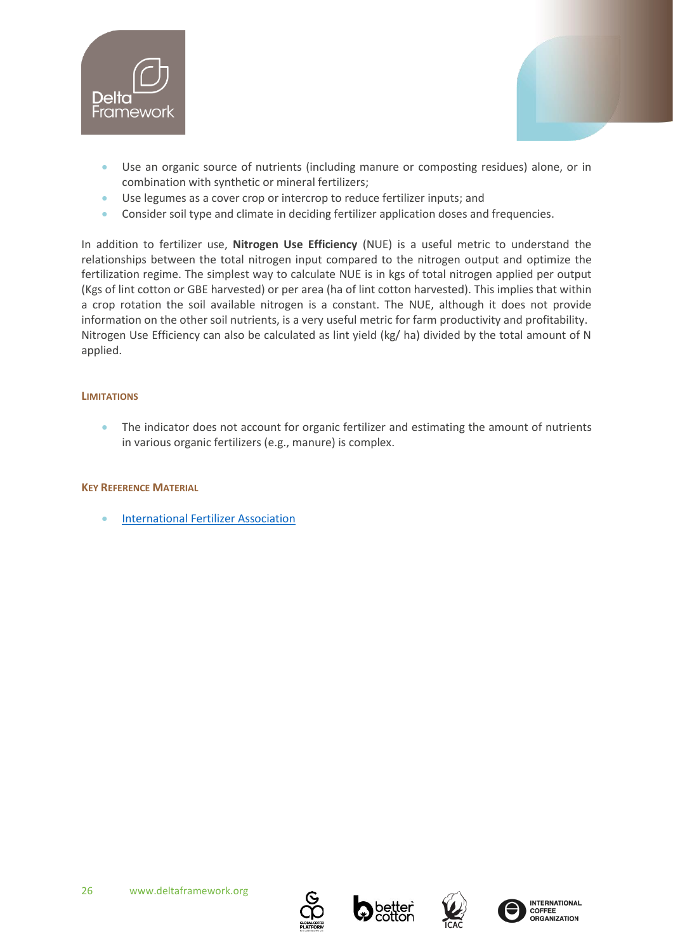![](_page_25_Picture_0.jpeg)

![](_page_25_Picture_1.jpeg)

- Use an organic source of nutrients (including manure or composting residues) alone, or in combination with synthetic or mineral fertilizers;
- Use legumes as a cover crop or intercrop to reduce fertilizer inputs; and
- Consider soil type and climate in deciding fertilizer application doses and frequencies.

In addition to fertilizer use, **Nitrogen Use Efficiency** (NUE) is a useful metric to understand the relationships between the total nitrogen input compared to the nitrogen output and optimize the fertilization regime. The simplest way to calculate NUE is in kgs of total nitrogen applied per output (Kgs of lint cotton or GBE harvested) or per area (ha of lint cotton harvested). This implies that within a crop rotation the soil available nitrogen is a constant. The NUE, although it does not provide information on the other soil nutrients, is a very useful metric for farm productivity and profitability. Nitrogen Use Efficiency can also be calculated as lint yield (kg/ ha) divided by the total amount of N applied.

# **LIMITATIONS**

• The indicator does not account for organic fertilizer and estimating the amount of nutrients in various organic fertilizers (e.g., manure) is complex.

# **KEY REFERENCE MATERIAL**

• [International Fertilizer Association](https://www.ifastat.org/)

![](_page_25_Picture_11.jpeg)

![](_page_25_Picture_12.jpeg)

![](_page_25_Picture_13.jpeg)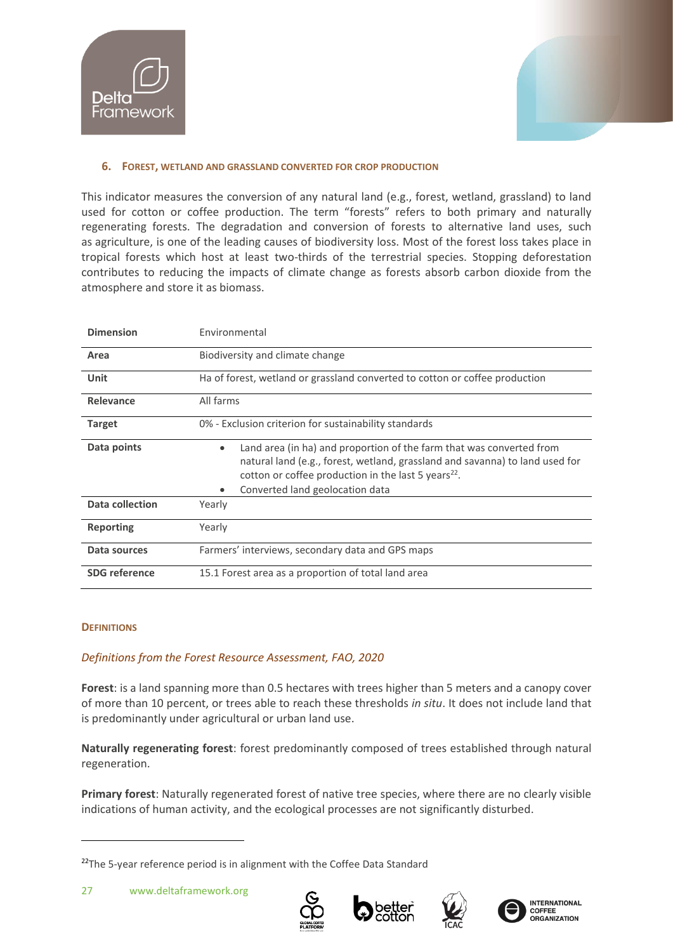![](_page_26_Picture_0.jpeg)

![](_page_26_Picture_1.jpeg)

# <span id="page-26-0"></span>**6. FOREST, WETLAND AND GRASSLAND CONVERTED FOR CROP PRODUCTION**

This indicator measures the conversion of any natural land (e.g., forest, wetland, grassland) to land used for cotton or coffee production. The term "forests" refers to both primary and naturally regenerating forests. The degradation and conversion of forests to alternative land uses, such as agriculture, is one of the leading causes of biodiversity loss. Most of the forest loss takes place in tropical forests which host at least two-thirds of the terrestrial species. Stopping deforestation contributes to reducing the impacts of climate change as forests absorb carbon dioxide from the atmosphere and store it as biomass.

| <b>Dimension</b>     | Environmental                                                                                                                                                                                                                                                           |  |
|----------------------|-------------------------------------------------------------------------------------------------------------------------------------------------------------------------------------------------------------------------------------------------------------------------|--|
| Area                 | Biodiversity and climate change                                                                                                                                                                                                                                         |  |
| Unit                 | Ha of forest, wetland or grassland converted to cotton or coffee production                                                                                                                                                                                             |  |
| Relevance            | All farms                                                                                                                                                                                                                                                               |  |
| <b>Target</b>        | 0% - Exclusion criterion for sustainability standards                                                                                                                                                                                                                   |  |
| Data points          | Land area (in ha) and proportion of the farm that was converted from<br>$\bullet$<br>natural land (e.g., forest, wetland, grassland and savanna) to land used for<br>cotton or coffee production in the last 5 years <sup>22</sup> .<br>Converted land geolocation data |  |
| Data collection      | Yearly                                                                                                                                                                                                                                                                  |  |
| <b>Reporting</b>     | Yearly                                                                                                                                                                                                                                                                  |  |
| Data sources         | Farmers' interviews, secondary data and GPS maps                                                                                                                                                                                                                        |  |
| <b>SDG</b> reference | 15.1 Forest area as a proportion of total land area                                                                                                                                                                                                                     |  |

# **DEFINITIONS**

# *Definitions from the Forest Resource Assessment, FAO, 2020*

**Forest**: is a land spanning more than 0.5 hectares with trees higher than 5 meters and a canopy cover of more than 10 percent, or trees able to reach these thresholds *in situ*. It does not include land that is predominantly under agricultural or urban land use.

**Naturally regenerating forest**: forest predominantly composed of trees established through natural regeneration.

**Primary forest**: Naturally regenerated forest of native tree species, where there are no clearly visible indications of human activity, and the ecological processes are not significantly disturbed.

![](_page_26_Picture_12.jpeg)

![](_page_26_Picture_13.jpeg)

![](_page_26_Picture_14.jpeg)

<sup>&</sup>lt;sup>22</sup>The 5-year reference period is in alignment with the Coffee Data Standard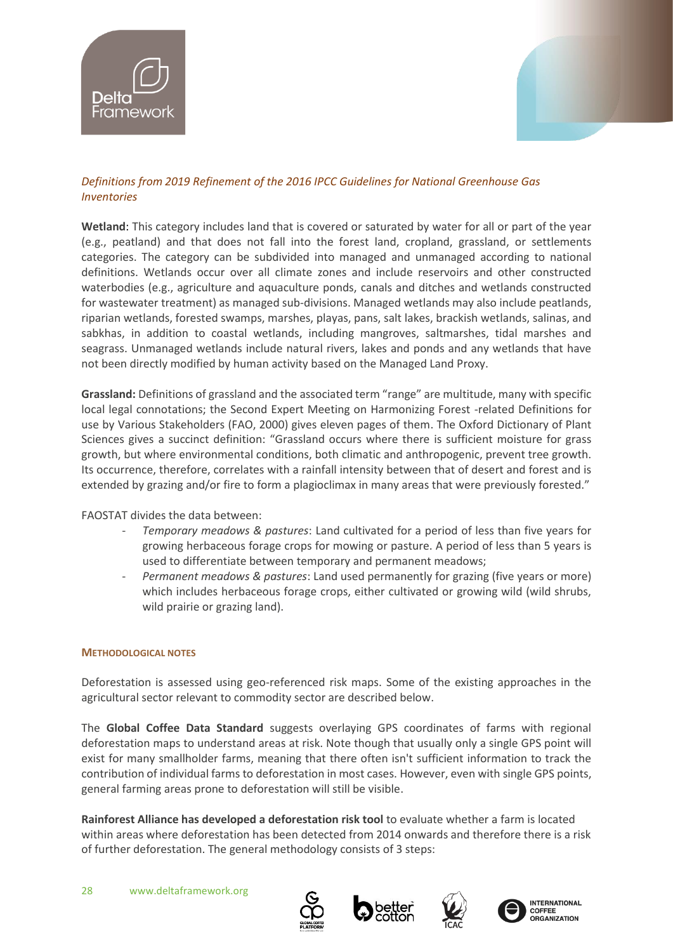![](_page_27_Picture_0.jpeg)

![](_page_27_Picture_1.jpeg)

# *Definitions from [2019 Refinement of the 2016 IPCC Guidelines for National Greenhouse Gas](https://www.ipcc.ch/report/2019-refinement-to-the-2006-ipcc-guidelines-for-national-greenhouse-gas-inventories/)  [Inventories](https://www.ipcc.ch/report/2019-refinement-to-the-2006-ipcc-guidelines-for-national-greenhouse-gas-inventories/)*

**Wetland**: This category includes land that is covered or saturated by water for all or part of the year (e.g., peatland) and that does not fall into the forest land, cropland, grassland, or settlements categories. The category can be subdivided into managed and unmanaged according to national definitions. Wetlands occur over all climate zones and include reservoirs and other constructed waterbodies (e.g., agriculture and aquaculture ponds, canals and ditches and wetlands constructed for wastewater treatment) as managed sub-divisions. Managed wetlands may also include peatlands, riparian wetlands, forested swamps, marshes, playas, pans, salt lakes, brackish wetlands, salinas, and sabkhas, in addition to coastal wetlands, including mangroves, saltmarshes, tidal marshes and seagrass. Unmanaged wetlands include natural rivers, lakes and ponds and any wetlands that have not been directly modified by human activity based on the Managed Land Proxy.

**Grassland:** Definitions of grassland and the associated term "range" are multitude, many with specific local legal connotations; the Second Expert Meeting on Harmonizing Forest -related Definitions for use by Various Stakeholders (FAO, 2000) gives eleven pages of them. The Oxford Dictionary of Plant Sciences gives a succinct definition: "Grassland occurs where there is sufficient moisture for grass growth, but where environmental conditions, both climatic and anthropogenic, prevent tree growth. Its occurrence, therefore, correlates with a rainfall intensity between that of desert and forest and is extended by grazing and/or fire to form a plagioclimax in many areas that were previously forested."

FAOSTAT divides the data between:

- *Temporary meadows & pastures*: Land cultivated for a period of less than five years for growing herbaceous forage crops for mowing or pasture. A period of less than 5 years is used to differentiate between temporary and permanent meadows;
- *Permanent meadows & pastures*: Land used permanently for grazing (five years or more) which includes herbaceous forage crops, either cultivated or growing wild (wild shrubs, wild prairie or grazing land).

# **METHODOLOGICAL NOTES**

Deforestation is assessed using geo-referenced risk maps. Some of the existing approaches in the agricultural sector relevant to commodity sector are described below.

The **Global Coffee Data Standard** suggests overlaying GPS coordinates of farms with regional deforestation maps to understand areas at risk. Note though that usually only a single GPS point will exist for many smallholder farms, meaning that there often isn't sufficient information to track the contribution of individual farms to deforestation in most cases. However, even with single GPS points, general farming areas prone to deforestation will still be visible.

**Rainforest Alliance has developed a deforestation risk tool** to evaluate whether a farm is located within areas where deforestation has been detected from 2014 onwards and therefore there is a risk of further deforestation. The general methodology consists of 3 steps:

![](_page_27_Picture_13.jpeg)

![](_page_27_Picture_14.jpeg)

![](_page_27_Picture_15.jpeg)

![](_page_27_Picture_16.jpeg)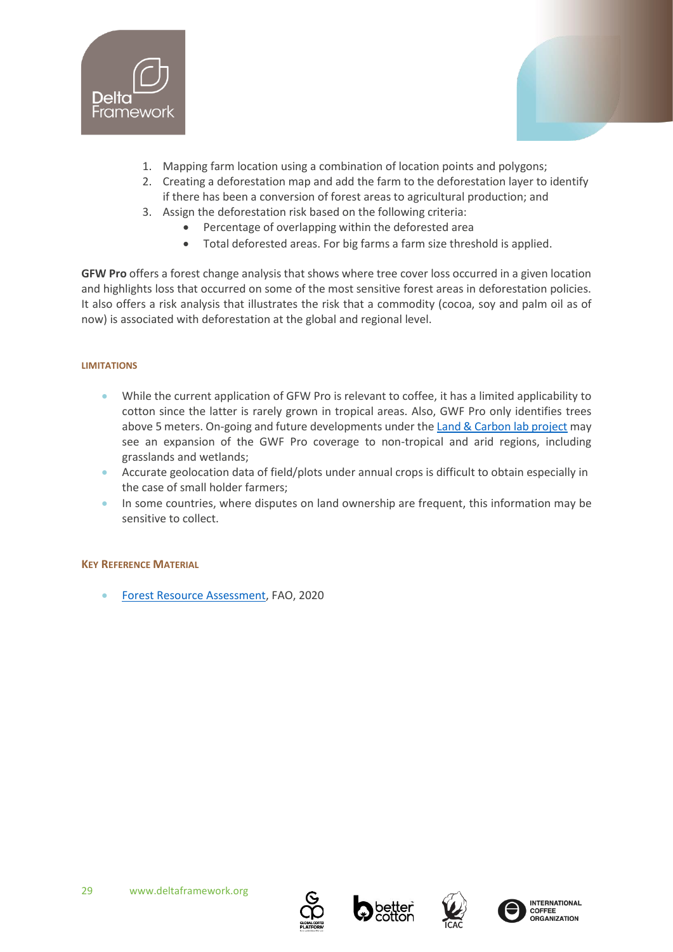![](_page_28_Picture_0.jpeg)

![](_page_28_Picture_1.jpeg)

- 1. Mapping farm location using a combination of location points and polygons;
- 2. Creating a deforestation map and add the farm to the deforestation layer to identify if there has been a conversion of forest areas to agricultural production; and
- 3. Assign the deforestation risk based on the following criteria:
	- Percentage of overlapping within the deforested area
	- Total deforested areas. For big farms a farm size threshold is applied.

**GFW Pro** offers a forest change analysis that shows where tree cover loss occurred in a given location and highlights loss that occurred on some of the most sensitive forest areas in deforestation policies. It also offers a risk analysis that illustrates the risk that a commodity (cocoa, soy and palm oil as of now) is associated with deforestation at the global and regional level.

#### **LIMITATIONS**

- While the current application of GFW Pro is relevant to coffee, it has a limited applicability to cotton since the latter is rarely grown in tropical areas. Also, GWF Pro only identifies trees above 5 meters. On-going and future developments under the [Land & Carbon lab project](https://www.landcarbonlab.org/data) may see an expansion of the GWF Pro coverage to non-tropical and arid regions, including grasslands and wetlands;
- Accurate geolocation data of field/plots under annual crops is difficult to obtain especially in the case of small holder farmers;
- In some countries, where disputes on land ownership are frequent, this information may be sensitive to collect.

# **KEY REFERENCE MATERIAL**

• [Forest Resource Assessment,](http://www.fao.org/3/I8661EN/i8661en.pdf) FAO, 2020

![](_page_28_Picture_15.jpeg)

![](_page_28_Picture_16.jpeg)

![](_page_28_Picture_17.jpeg)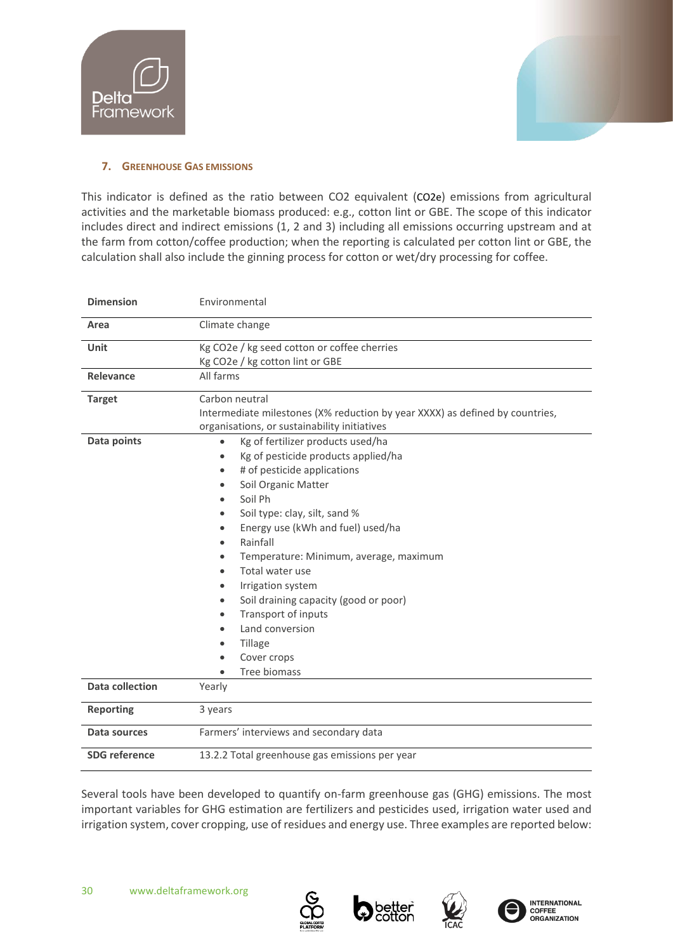![](_page_29_Picture_0.jpeg)

![](_page_29_Picture_1.jpeg)

# <span id="page-29-0"></span>**7. GREENHOUSE GAS EMISSIONS**

This indicator is defined as the ratio between CO2 equivalent (CO2e) emissions from agricultural activities and the marketable biomass produced: e.g., cotton lint or GBE. The scope of this indicator includes direct and indirect emissions (1, 2 and 3) including all emissions occurring upstream and at the farm from cotton/coffee production; when the reporting is calculated per cotton lint or GBE, the calculation shall also include the ginning process for cotton or wet/dry processing for coffee.

| <b>Dimension</b>     | Environmental                                                                                                                                                                                                                                                                                                                                                                                                                                           |
|----------------------|---------------------------------------------------------------------------------------------------------------------------------------------------------------------------------------------------------------------------------------------------------------------------------------------------------------------------------------------------------------------------------------------------------------------------------------------------------|
| Area                 | Climate change                                                                                                                                                                                                                                                                                                                                                                                                                                          |
| Unit                 | Kg CO2e / kg seed cotton or coffee cherries<br>Kg CO2e / kg cotton lint or GBE                                                                                                                                                                                                                                                                                                                                                                          |
| Relevance            | All farms                                                                                                                                                                                                                                                                                                                                                                                                                                               |
| <b>Target</b>        | Carbon neutral<br>Intermediate milestones (X% reduction by year XXXX) as defined by countries,<br>organisations, or sustainability initiatives                                                                                                                                                                                                                                                                                                          |
| Data points          | Kg of fertilizer products used/ha<br>Kg of pesticide products applied/ha<br>$\bullet$<br># of pesticide applications<br>Soil Organic Matter<br>Soil Ph<br>Soil type: clay, silt, sand %<br>Energy use (kWh and fuel) used/ha<br>Rainfall<br>Temperature: Minimum, average, maximum<br>Total water use<br>Irrigation system<br>Soil draining capacity (good or poor)<br>Transport of inputs<br>Land conversion<br>Tillage<br>Cover crops<br>Tree biomass |
| Data collection      | Yearly                                                                                                                                                                                                                                                                                                                                                                                                                                                  |
| <b>Reporting</b>     | 3 years                                                                                                                                                                                                                                                                                                                                                                                                                                                 |
| Data sources         | Farmers' interviews and secondary data                                                                                                                                                                                                                                                                                                                                                                                                                  |
| <b>SDG</b> reference | 13.2.2 Total greenhouse gas emissions per year                                                                                                                                                                                                                                                                                                                                                                                                          |

Several tools have been developed to quantify on-farm greenhouse gas (GHG) emissions. The most important variables for GHG estimation are fertilizers and pesticides used, irrigation water used and irrigation system, cover cropping, use of residues and energy use. Three examples are reported below:

![](_page_29_Picture_7.jpeg)

![](_page_29_Picture_8.jpeg)

![](_page_29_Picture_9.jpeg)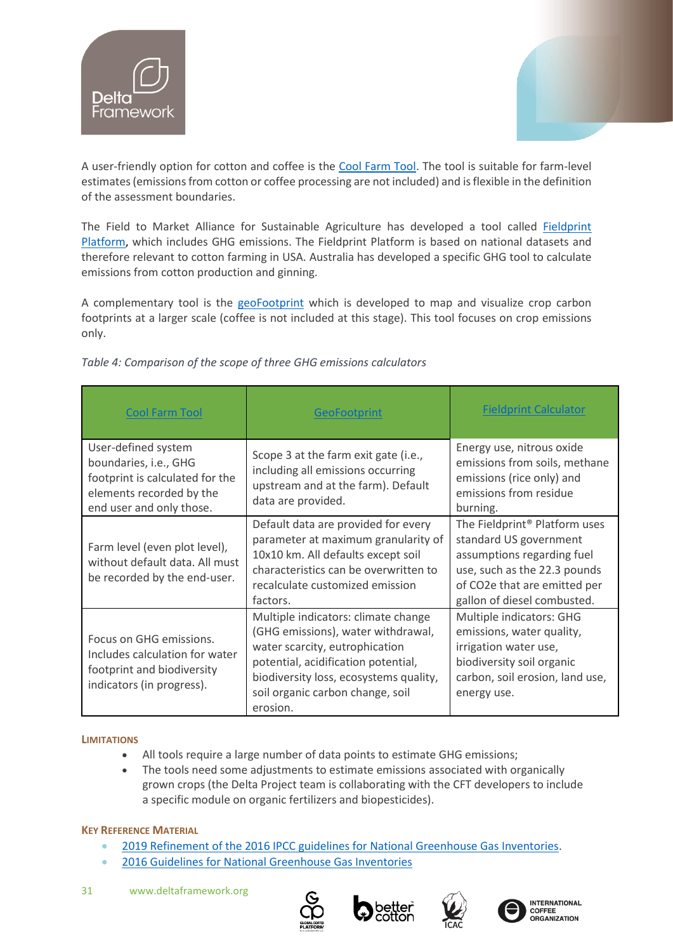![](_page_30_Picture_0.jpeg)

![](_page_30_Picture_1.jpeg)

A user-friendly option for cotton and coffee is the [Cool Farm Tool.](https://coolfarmtool.org/) The tool is suitable for farm-level estimates (emissions from cotton or coffee processing are not included) and is flexible in the definition of the assessment boundaries.

The Field to Market Alliance for Sustainable Agriculture has developed a tool called [Fieldprint](https://fieldtomarket.org/our-programs/fieldprint-platform/#:~:text=The%20Fieldprint%C2%AE%20Platform%20is%20a%20pioneering%20assessment%20framework,crop%20production%20and%20identify%20opportunities%20for%20continuous%20improvement.)  [Platform,](https://fieldtomarket.org/our-programs/fieldprint-platform/#:~:text=The%20Fieldprint%C2%AE%20Platform%20is%20a%20pioneering%20assessment%20framework,crop%20production%20and%20identify%20opportunities%20for%20continuous%20improvement.) which includes GHG emissions. The Fieldprint Platform is based on national datasets and therefore relevant to cotton farming in USA. Australia has developed a specific GHG tool to calculate emissions from cotton production and ginning.

A complementary tool is the [geoFootprint](https://www.bing.com/search?q=geoFootprint&cvid=b1ef1de52c4d4288ba014ff009698379&aqs=edge..69i57.514j0j4&FORM=ANAB01&PC=HCTS) which is developed to map and visualize crop carbon footprints at a larger scale (coffee is not included at this stage). This tool focuses on crop emissions only.

| <b>Cool Farm Tool</b>                                                                                                                   | <b>GeoFootprint</b>                                                                                                                                                                                                                          | <b>Fieldprint Calculator</b>                                                                                                                                                                     |
|-----------------------------------------------------------------------------------------------------------------------------------------|----------------------------------------------------------------------------------------------------------------------------------------------------------------------------------------------------------------------------------------------|--------------------------------------------------------------------------------------------------------------------------------------------------------------------------------------------------|
| User-defined system<br>boundaries, i.e., GHG<br>footprint is calculated for the<br>elements recorded by the<br>end user and only those. | Scope 3 at the farm exit gate (i.e.,<br>including all emissions occurring<br>upstream and at the farm). Default<br>data are provided.                                                                                                        | Energy use, nitrous oxide<br>emissions from soils, methane<br>emissions (rice only) and<br>emissions from residue<br>burning.                                                                    |
| Farm level (even plot level),<br>without default data. All must<br>be recorded by the end-user.                                         | Default data are provided for every<br>parameter at maximum granularity of<br>10x10 km. All defaults except soil<br>characteristics can be overwritten to<br>recalculate customized emission<br>factors.                                     | The Fieldprint <sup>®</sup> Platform uses<br>standard US government<br>assumptions regarding fuel<br>use, such as the 22.3 pounds<br>of CO2e that are emitted per<br>gallon of diesel combusted. |
| Focus on GHG emissions.<br>Includes calculation for water<br>footprint and biodiversity<br>indicators (in progress).                    | Multiple indicators: climate change<br>(GHG emissions), water withdrawal,<br>water scarcity, eutrophication<br>potential, acidification potential,<br>biodiversity loss, ecosystems quality,<br>soil organic carbon change, soil<br>erosion. | Multiple indicators: GHG<br>emissions, water quality,<br>irrigation water use,<br>biodiversity soil organic<br>carbon, soil erosion, land use,<br>energy use.                                    |

*Table 4: Comparison of the scope of three GHG emissions calculators*

#### **LIMITATIONS**

- All tools require a large number of data points to estimate GHG emissions;
- The tools need some adjustments to estimate emissions associated with organically grown crops (the Delta Project team is collaborating with the CFT developers to include a specific module on organic fertilizers and biopesticides).

# **KEY REFERENCE MATERIAL**

- [2019 Refinement of the 2016 IPCC guidelines for National Greenhouse Gas Inventories.](https://www.ipcc.ch/report/2019-refinement-to-the-2006-ipcc-guidelines-for-national-greenhouse-gas-inventories/)
- [2016 Guidelines for National Greenhouse Gas Inventories](https://www.ipcc.ch/report/2006-ipcc-guidelines-for-national-greenhouse-gas-inventories/)
- 31 www.deltaframework.org

![](_page_30_Picture_14.jpeg)

![](_page_30_Picture_15.jpeg)

![](_page_30_Picture_16.jpeg)

**INTERNATIONAL** COFFEE<br>COFFEE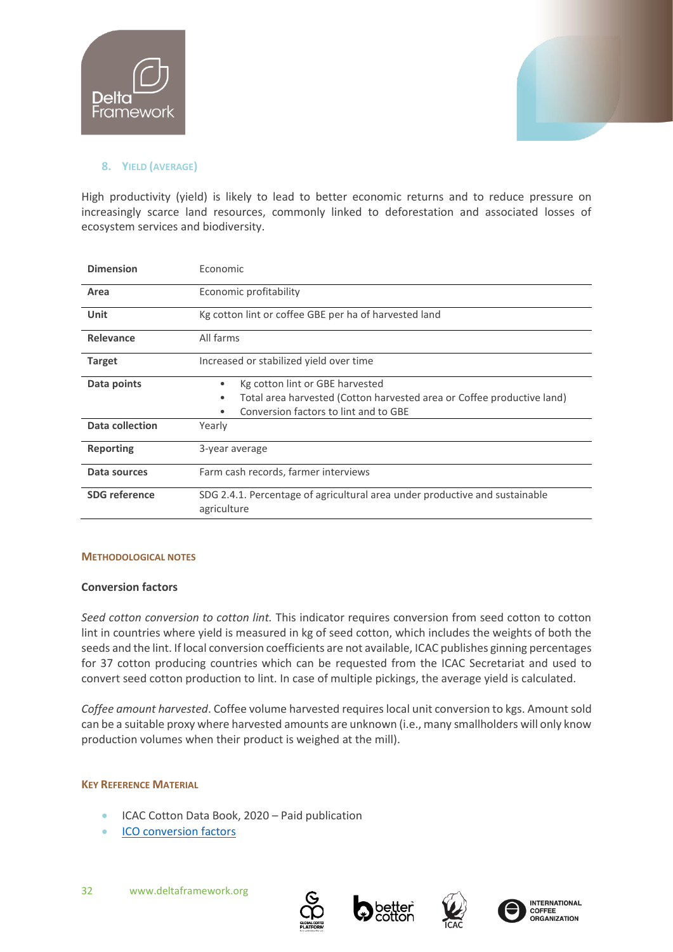![](_page_31_Picture_0.jpeg)

![](_page_31_Picture_1.jpeg)

# <span id="page-31-0"></span>**8. YIELD (AVERAGE)**

High productivity (yield) is likely to lead to better economic returns and to reduce pressure on increasingly scarce land resources, commonly linked to deforestation and associated losses of ecosystem services and biodiversity.

| <b>Dimension</b>     | Economic                                                                                                                                                          |  |
|----------------------|-------------------------------------------------------------------------------------------------------------------------------------------------------------------|--|
| Area                 | Economic profitability                                                                                                                                            |  |
| Unit                 | Kg cotton lint or coffee GBE per ha of harvested land                                                                                                             |  |
| Relevance            | All farms                                                                                                                                                         |  |
| <b>Target</b>        | Increased or stabilized yield over time                                                                                                                           |  |
| Data points          | Kg cotton lint or GBE harvested<br>٠<br>Total area harvested (Cotton harvested area or Coffee productive land)<br>٠<br>Conversion factors to lint and to GBE<br>٠ |  |
| Data collection      | Yearly                                                                                                                                                            |  |
| <b>Reporting</b>     | 3-year average                                                                                                                                                    |  |
| Data sources         | Farm cash records, farmer interviews                                                                                                                              |  |
| <b>SDG</b> reference | SDG 2.4.1. Percentage of agricultural area under productive and sustainable<br>agriculture                                                                        |  |

# **METHODOLOGICAL NOTES**

# **Conversion factors**

*Seed cotton conversion to cotton lint.* This indicator requires conversion from seed cotton to cotton lint in countries where yield is measured in kg of seed cotton, which includes the weights of both the seeds and the lint. If local conversion coefficients are not available, ICAC publishes ginning percentages for 37 cotton producing countries which can be requested from the ICAC Secretariat and used to convert seed cotton production to lint. In case of multiple pickings, the average yield is calculated.

*Coffee amount harvested*. Coffee volume harvested requires local unit conversion to kgs. Amount sold can be a suitable proxy where harvested amounts are unknown (i.e., many smallholders will only know production volumes when their product is weighed at the mill).

# **KEY REFERENCE MATERIAL**

- ICAC Cotton Data Book, 2020 Paid publication
- [ICO conversion factors](https://d.docs.live.net/b0448ed9c423e870/Documents/BCI/Indicators/•%09http:/www.ico.org/documents/cy2016-17/conversion-factors-e.pdf)

![](_page_31_Picture_13.jpeg)

![](_page_31_Picture_14.jpeg)

![](_page_31_Picture_15.jpeg)

![](_page_31_Picture_16.jpeg)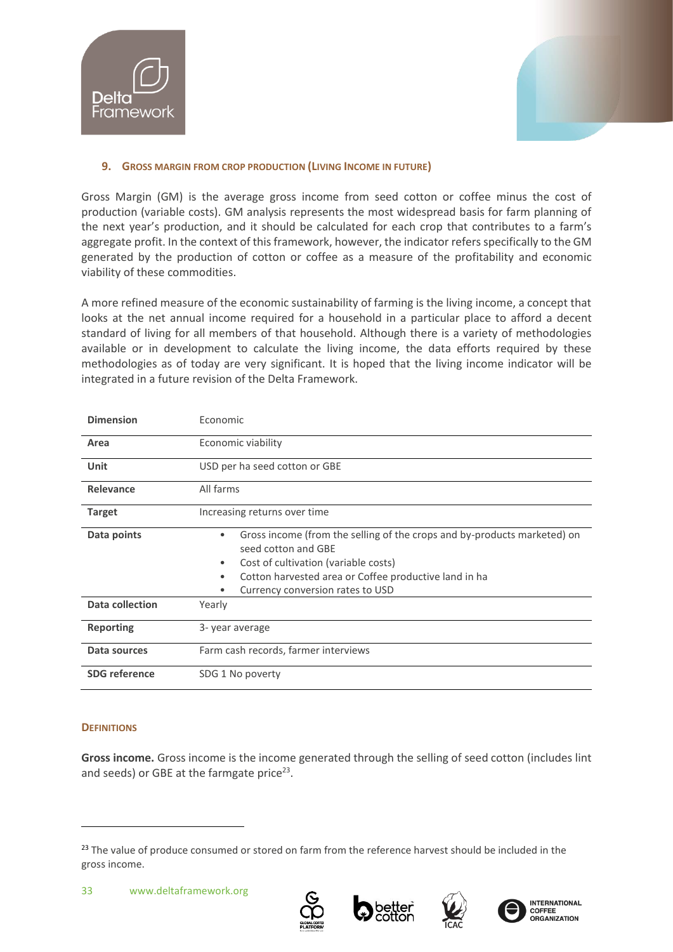![](_page_32_Picture_0.jpeg)

![](_page_32_Picture_1.jpeg)

# <span id="page-32-0"></span>**9. GROSS MARGIN FROM CROP PRODUCTION (LIVING INCOME IN FUTURE)**

Gross Margin (GM) is the average gross income from seed cotton or coffee minus the cost of production (variable costs). GM analysis represents the most widespread basis for farm planning of the next year's production, and it should be calculated for each crop that contributes to a farm's aggregate profit. In the context of this framework, however, the indicator refers specifically to the GM generated by the production of cotton or coffee as a measure of the profitability and economic viability of these commodities.

A more refined measure of the economic sustainability of farming is the living income, a concept that looks at the net annual income required for a household in a particular place to afford a decent standard of living for all members of that household. Although there is a variety of methodologies available or in development to calculate the living income, the data efforts required by these methodologies as of today are very significant. It is hoped that the living income indicator will be integrated in a future revision of the Delta Framework.

| <b>Dimension</b>       | Economic                                                                                                                                                                                                                                               |  |
|------------------------|--------------------------------------------------------------------------------------------------------------------------------------------------------------------------------------------------------------------------------------------------------|--|
| Area                   | Economic viability                                                                                                                                                                                                                                     |  |
| <b>Unit</b>            | USD per ha seed cotton or GBE                                                                                                                                                                                                                          |  |
| Relevance              | All farms                                                                                                                                                                                                                                              |  |
| <b>Target</b>          | Increasing returns over time                                                                                                                                                                                                                           |  |
| Data points            | Gross income (from the selling of the crops and by-products marketed) on<br>seed cotton and GBE<br>Cost of cultivation (variable costs)<br>$\bullet$<br>Cotton harvested area or Coffee productive land in ha<br>٠<br>Currency conversion rates to USD |  |
| <b>Data collection</b> | Yearly                                                                                                                                                                                                                                                 |  |
| <b>Reporting</b>       | 3-year average                                                                                                                                                                                                                                         |  |
| Data sources           | Farm cash records, farmer interviews                                                                                                                                                                                                                   |  |
| <b>SDG</b> reference   | SDG 1 No poverty                                                                                                                                                                                                                                       |  |

# **DEFINITIONS**

**Gross income.** Gross income is the income generated through the selling of seed cotton (includes lint and seeds) or GBE at the farmgate price<sup>23</sup>.

![](_page_32_Picture_10.jpeg)

![](_page_32_Picture_11.jpeg)

![](_page_32_Picture_12.jpeg)

![](_page_32_Picture_13.jpeg)

<sup>&</sup>lt;sup>23</sup> The value of produce consumed or stored on farm from the reference harvest should be included in the gross income.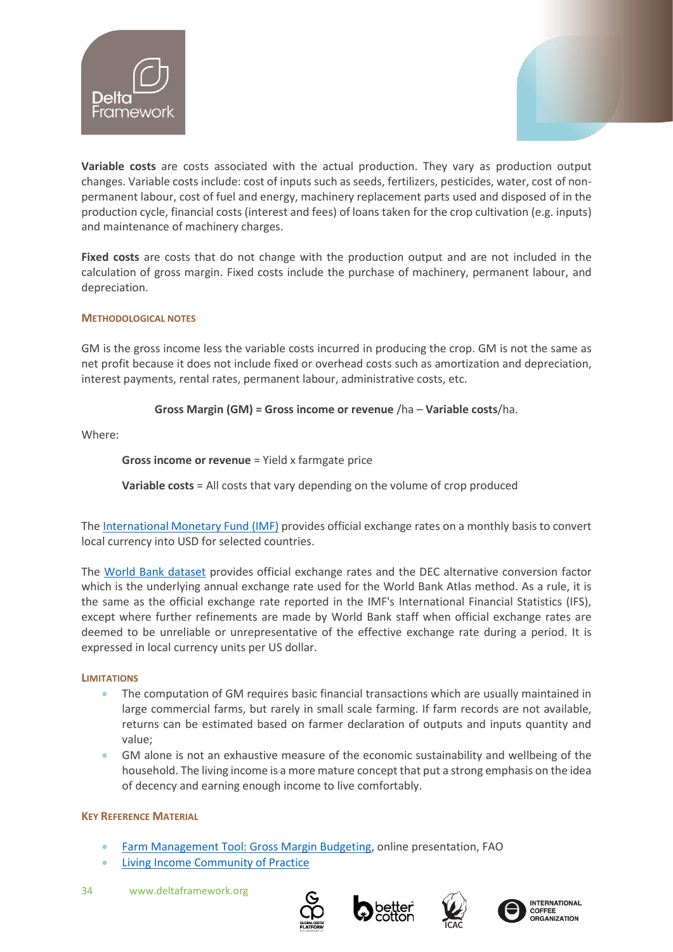![](_page_33_Picture_0.jpeg)

![](_page_33_Picture_1.jpeg)

**Variable costs** are costs associated with the actual production. They vary as production output changes. Variable costs include: cost of inputs such as seeds, fertilizers, pesticides, water, cost of nonpermanent labour, cost of fuel and energy, machinery replacement parts used and disposed of in the production cycle, financial costs (interest and fees) of loans taken for the crop cultivation (e.g. inputs) and maintenance of machinery charges.

**Fixed costs** are costs that do not change with the production output and are not included in the calculation of gross margin. Fixed costs include the purchase of machinery, permanent labour, and depreciation.

# **METHODOLOGICAL NOTES**

GM is the gross income less the variable costs incurred in producing the crop. GM is not the same as net profit because it does not include fixed or overhead costs such as amortization and depreciation, interest payments, rental rates, permanent labour, administrative costs, etc.

# **Gross Margin (GM) = Gross income or revenue** /ha – **Variable costs**/ha.

Where:

# **Gross income or revenue** = Yield x farmgate price

**Variable costs** = All costs that vary depending on the volume of crop produced

The [International Monetary Fund \(IMF\)](https://www.imf.org/external/np/fin/data/param_rms_mth.aspx) provides official exchange rates on a monthly basis to convert local currency into USD for selected countries.

The [World Bank dataset](http://wdi.worldbank.org/table/4.16) provides official exchange rates and the DEC alternative conversion factor which is the underlying annual exchange rate used for the World Bank Atlas method. As a rule, it is the same as the official exchange rate reported in the IMF's International Financial Statistics (IFS), except where further refinements are made by World Bank staff when official exchange rates are deemed to be unreliable or unrepresentative of the effective exchange rate during a period. It is expressed in local currency units per US dollar.

# **LIMITATIONS**

- The computation of GM requires basic financial transactions which are usually maintained in large commercial farms, but rarely in small scale farming. If farm records are not available, returns can be estimated based on farmer declaration of outputs and inputs quantity and value;
- GM alone is not an exhaustive measure of the economic sustainability and wellbeing of the household. The living income is a more mature concept that put a strong emphasis on the idea of decency and earning enough income to live comfortably.

# **KEY REFERENCE MATERIAL**

- [Farm Management Tool: Gross Margin Budgeting,](https://www.fao.org/3/a1298e/a1298e12.pdf) online presentation, FAO
- **[Living Income Community of Practice](https://www.living-income.com/)**
- 34 www.deltaframework.org

![](_page_33_Picture_19.jpeg)

![](_page_33_Picture_20.jpeg)

![](_page_33_Picture_21.jpeg)

**INTERNATIONAL COFFEE**<br>ORGANIZATION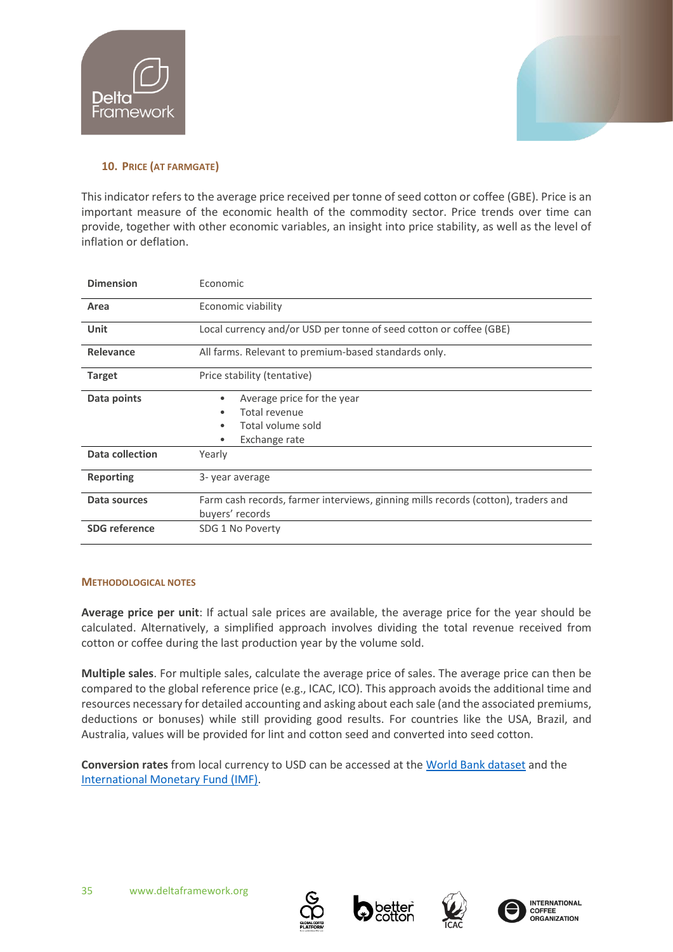![](_page_34_Picture_0.jpeg)

![](_page_34_Picture_1.jpeg)

# <span id="page-34-0"></span>**10. PRICE (AT FARMGATE)**

This indicator refers to the average price received per tonne of seed cotton or coffee (GBE). Price is an important measure of the economic health of the commodity sector. Price trends over time can provide, together with other economic variables, an insight into price stability, as well as the level of [inflation](https://www.investopedia.com/terms/i/inflation.asp) or [deflation.](https://www.investopedia.com/terms/d/deflation.asp)

| <b>Dimension</b>       | Economic                                                                                             |  |  |
|------------------------|------------------------------------------------------------------------------------------------------|--|--|
| Area                   | Economic viability                                                                                   |  |  |
| Unit                   | Local currency and/or USD per tonne of seed cotton or coffee (GBE)                                   |  |  |
| Relevance              | All farms. Relevant to premium-based standards only.                                                 |  |  |
| <b>Target</b>          | Price stability (tentative)                                                                          |  |  |
| Data points            | Average price for the year<br>٠<br>Total revenue<br>٠<br>Total volume sold<br>٠<br>Exchange rate     |  |  |
| <b>Data collection</b> | Yearly                                                                                               |  |  |
| <b>Reporting</b>       | 3-year average                                                                                       |  |  |
| Data sources           | Farm cash records, farmer interviews, ginning mills records (cotton), traders and<br>buyers' records |  |  |
| <b>SDG</b> reference   | SDG 1 No Poverty                                                                                     |  |  |

# **METHODOLOGICAL NOTES**

**Average price per unit**: If actual sale prices are available, the average price for the year should be calculated. Alternatively, a simplified approach involves dividing the total revenue received from cotton or coffee during the last production year by the volume sold.

**Multiple sales**. For multiple sales, calculate the average price of sales. The average price can then be compared to the global reference price (e.g., ICAC, ICO). This approach avoids the additional time and resources necessary for detailed accounting and asking about each sale (and the associated premiums, deductions or bonuses) while still providing good results. For countries like the USA, Brazil, and Australia, values will be provided for lint and cotton seed and converted into seed cotton.

**Conversion rates** from local currency to USD can be accessed at the [World Bank dataset](http://wdi.worldbank.org/table/4.16) and the [International Monetary Fund \(IMF\).](https://www.imf.org/external/np/fin/data/param_rms_mth.aspx)

![](_page_34_Picture_10.jpeg)

![](_page_34_Picture_11.jpeg)

![](_page_34_Picture_12.jpeg)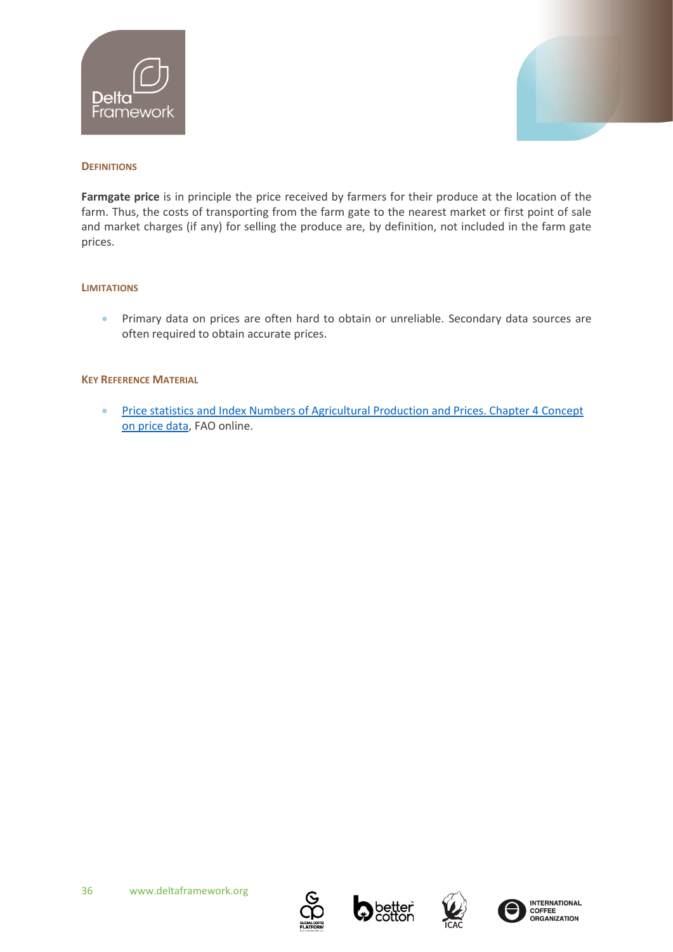![](_page_35_Picture_0.jpeg)

![](_page_35_Picture_1.jpeg)

# **DEFINITIONS**

**Farmgate price** is in principle the price received by farmers for their produce at the location of the farm. Thus, the costs of transporting from the farm gate to the nearest market or first point of sale and market charges (if any) for selling the produce are, by definition, not included in the farm gate prices.

# **LIMITATIONS**

• Primary data on prices are often hard to obtain or unreliable. Secondary data sources are often required to obtain accurate prices.

#### **KEY REFERENCE MATERIAL**

• Price statistics and Index Numbers of Agricultural Production and Prices. Chapter 4 Concept [on price data,](https://www.fao.org/economic/the-statistics-division-ess/methodology/methodology-systems/price-statistics-and-index-numbers-of-agricultural-production-and-prices/4-concepts-on-price-data/en/) FAO online.

![](_page_35_Picture_9.jpeg)

![](_page_35_Picture_10.jpeg)

![](_page_35_Picture_11.jpeg)

![](_page_35_Picture_12.jpeg)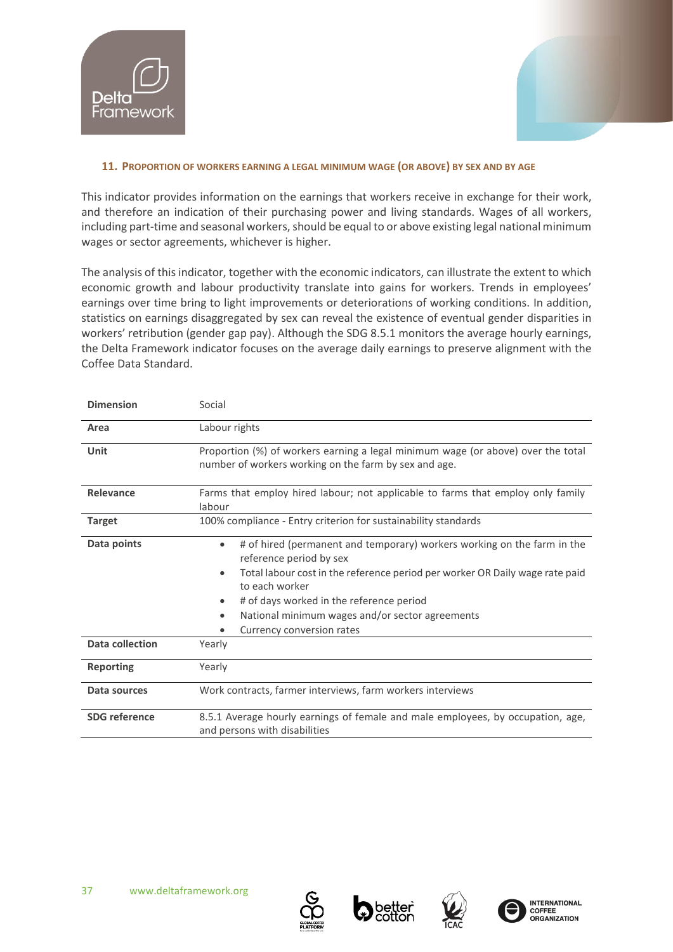![](_page_36_Picture_0.jpeg)

![](_page_36_Picture_1.jpeg)

# <span id="page-36-0"></span>**11. PROPORTION OF WORKERS EARNING A LEGAL MINIMUM WAGE (OR ABOVE) BY SEX AND BY AGE**

This indicator provides information on the earnings that workers receive in exchange for their work, and therefore an indication of their purchasing power and living standards. Wages of all workers, including part-time and seasonal workers, should be equal to or above existing legal national minimum wages or sector agreements, whichever is higher.

The analysis of this indicator, together with the economic indicators, can illustrate the extent to which economic growth and labour productivity translate into gains for workers. Trends in employees' earnings over time bring to light improvements or deteriorations of working conditions. In addition, statistics on earnings disaggregated by sex can reveal the existence of eventual gender disparities in workers' retribution (gender gap pay). Although the SDG 8.5.1 monitors the average hourly earnings, the Delta Framework indicator focuses on the average daily earnings to preserve alignment with the Coffee Data Standard.

| <b>Dimension</b>       | Social                                                                                                                                                                                                                                                                                                                                                               |  |  |
|------------------------|----------------------------------------------------------------------------------------------------------------------------------------------------------------------------------------------------------------------------------------------------------------------------------------------------------------------------------------------------------------------|--|--|
| Area                   | Labour rights                                                                                                                                                                                                                                                                                                                                                        |  |  |
| Unit                   | Proportion (%) of workers earning a legal minimum wage (or above) over the total<br>number of workers working on the farm by sex and age.                                                                                                                                                                                                                            |  |  |
| Relevance              | Farms that employ hired labour; not applicable to farms that employ only family<br>labour                                                                                                                                                                                                                                                                            |  |  |
| <b>Target</b>          | 100% compliance - Entry criterion for sustainability standards                                                                                                                                                                                                                                                                                                       |  |  |
| Data points            | # of hired (permanent and temporary) workers working on the farm in the<br>$\bullet$<br>reference period by sex<br>Total labour cost in the reference period per worker OR Daily wage rate paid<br>$\bullet$<br>to each worker<br># of days worked in the reference period<br>٠<br>National minimum wages and/or sector agreements<br>٠<br>Currency conversion rates |  |  |
| <b>Data collection</b> | Yearly                                                                                                                                                                                                                                                                                                                                                               |  |  |
| <b>Reporting</b>       | Yearly                                                                                                                                                                                                                                                                                                                                                               |  |  |
| Data sources           | Work contracts, farmer interviews, farm workers interviews                                                                                                                                                                                                                                                                                                           |  |  |
| <b>SDG</b> reference   | 8.5.1 Average hourly earnings of female and male employees, by occupation, age,<br>and persons with disabilities                                                                                                                                                                                                                                                     |  |  |

![](_page_36_Picture_7.jpeg)

![](_page_36_Picture_8.jpeg)

![](_page_36_Picture_9.jpeg)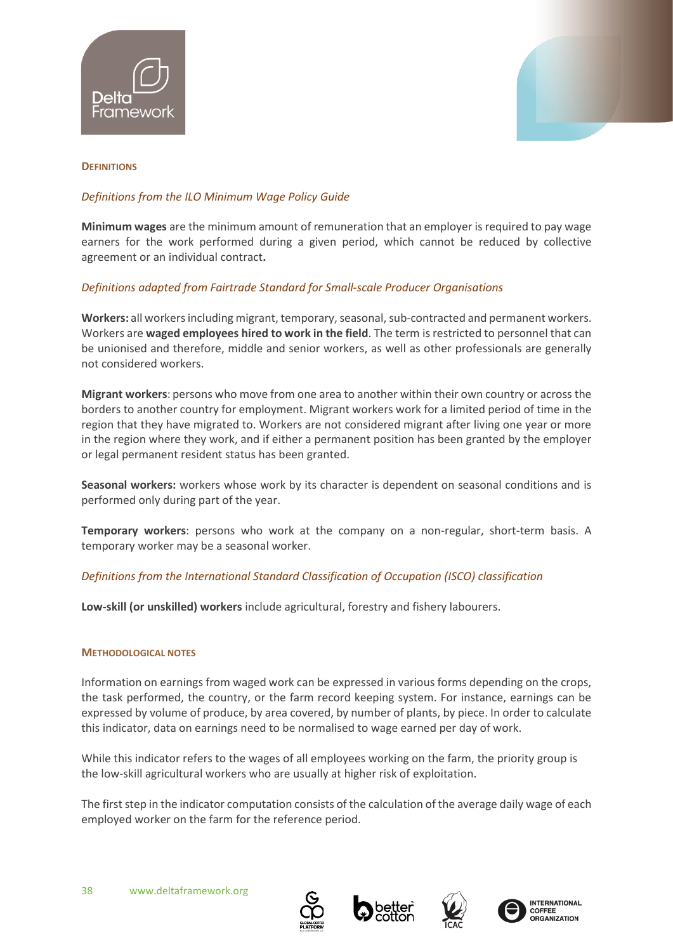![](_page_37_Picture_0.jpeg)

![](_page_37_Picture_1.jpeg)

#### **DEFINITIONS**

# *Definitions from the IL[O Minimum Wage Policy Guide](https://www.ilo.org/global/topics/wages/minimum-wages/lang--en/index.htm)*

**Minimum wages** are the minimum amount of remuneration that an employer is required to pay wage earners for the work performed during a given period, which cannot be reduced by collective agreement or an individual contract**.** 

# *Definitions adapted from Fairtrade Standard for Small-scale Producer Organisations*

**Workers:** all workers including migrant, temporary, seasonal, sub-contracted and permanent workers. Workers are **waged employees hired to work in the field**. The term is restricted to personnel that can be unionised and therefore, middle and senior workers, as well as other professionals are generally not considered workers.

**Migrant workers**: persons who move from one area to another within their own country or across the borders to another country for employment. Migrant workers work for a limited period of time in the region that they have migrated to. Workers are not considered migrant after living one year or more in the region where they work, and if either a permanent position has been granted by the employer or legal permanent resident status has been granted.

**Seasonal workers:** workers whose work by its character is dependent on seasonal conditions and is performed only during part of the year.

**Temporary workers**: persons who work at the company on a non-regular, short-term basis. A temporary worker may be a seasonal worker.

# *Definitions from the International Standard Classification of Occupation (ISCO) classification*

**Low-skill (or unskilled) workers** include agricultural, forestry and fishery labourers.

#### **METHODOLOGICAL NOTES**

Information on earnings from waged work can be expressed in various forms depending on the crops, the task performed, the country, or the farm record keeping system. For instance, earnings can be expressed by volume of produce, by area covered, by number of plants, by piece. In order to calculate this indicator, data on earnings need to be normalised to wage earned per day of work.

While this indicator refers to the wages of all employees working on the farm, the priority group is the low-skill agricultural workers who are usually at higher risk of exploitation.

The first step in the indicator computation consists of the calculation of the average daily wage of each employed worker on the farm for the reference period.

![](_page_37_Picture_17.jpeg)

![](_page_37_Picture_18.jpeg)

![](_page_37_Picture_19.jpeg)

![](_page_37_Picture_20.jpeg)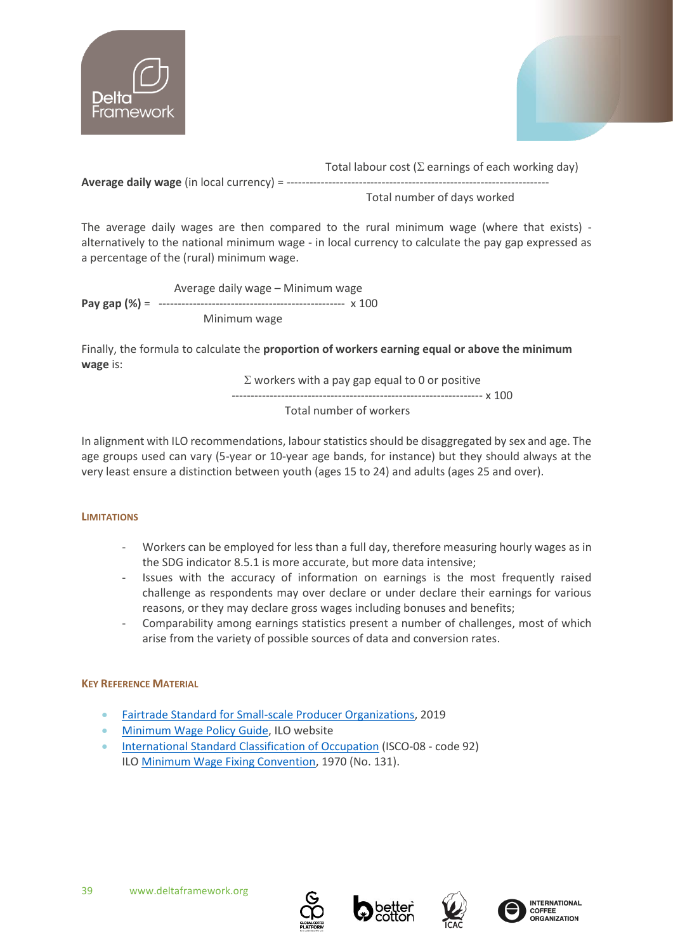![](_page_38_Picture_0.jpeg)

![](_page_38_Picture_1.jpeg)

Total labour cost ( $\Sigma$  earnings of each working day)

**Average daily wage** (in local currency) = ------------

Total number of days worked

The average daily wages are then compared to the rural minimum wage (where that exists) alternatively to the national minimum wage - in local currency to calculate the pay gap expressed as a percentage of the (rural) minimum wage.

 Average daily wage – Minimum wage **Pay gap (%)** = ------------------------------------------------- x 100 Minimum wage

Finally, the formula to calculate the **proportion of workers earning equal or above the minimum wage** is:

 $\Sigma$  workers with a pay gap equal to 0 or positive

------------------------------------------------------------------ x 100

Total number of workers

In alignment with ILO recommendations, labour statistics should be disaggregated by sex and age. The age groups used can vary (5-year or 10-year age bands, for instance) but they should always at the very least ensure a distinction between youth (ages 15 to 24) and adults (ages 25 and over).

# **LIMITATIONS**

- Workers can be employed for less than a full day, therefore measuring hourly wages as in the SDG indicator 8.5.1 is more accurate, but more data intensive;
- Issues with the accuracy of information on earnings is the most frequently raised challenge as respondents may over declare or under declare their earnings for various reasons, or they may declare gross wages including bonuses and benefits;
- Comparability among earnings statistics present a number of challenges, most of which arise from the variety of possible sources of data and conversion rates.

# **KEY REFERENCE MATERIAL**

- [Fairtrade Standard for Small-scale Producer Organizations,](https://files.fairtrade.net/standards/SPO_EN.pdf#:~:text=The%20Fairtrade%20Standard%20for%20Small-scale%20Producer%20Organizations%20has,chapter%20defines%20the%20unique%20Fairtrade%20approach%20to%20development.) 2019
- [Minimum Wage](https://www.ilo.org/global/topics/wages/minimum-wages/lang--en/index.htm) Policy Guide, ILO website
- [International Standard Classification of Occupation](https://www.ilo.org/public/english/bureau/stat/isco/docs/groupdefn08.pdf) (ISCO-08 code 92) ILO [Minimum Wage Fixing Convention,](https://www.ilo.org/dyn/normlex/en/f?p=NORMLEXPUB:12100:0::NO::P12100_INSTRUMENT_ID:312276) 1970 (No. 131).

![](_page_38_Picture_21.jpeg)

![](_page_38_Picture_22.jpeg)

![](_page_38_Picture_23.jpeg)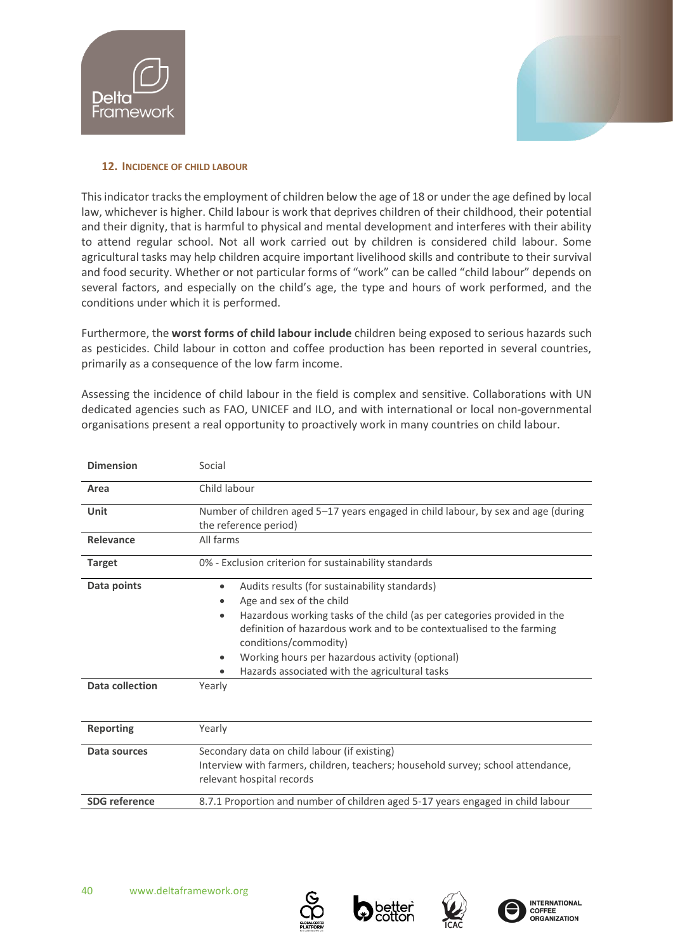![](_page_39_Picture_0.jpeg)

![](_page_39_Picture_1.jpeg)

#### <span id="page-39-0"></span>**12. INCIDENCE OF CHILD LABOUR**

This indicator tracks the employment of children below the age of 18 or under the age defined by local law, whichever is higher. Child labour is work that deprives children of their childhood, their potential and their dignity, that is harmful to physical and mental development and interferes with their ability to attend regular school. Not all work carried out by children is considered child labour. Some agricultural tasks may help children acquire important livelihood skills and contribute to their survival and food security. Whether or not particular forms of "work" can be called "child labour" depends on several factors, and especially on the child's age, the type and hours of work performed, and the conditions under which it is performed.

Furthermore, the **worst forms of child labour include** children being exposed to serious hazards such as pesticides. Child labour in cotton and coffee production has been reported in several countries, primarily as a consequence of the low farm income.

Assessing the incidence of child labour in the field is complex and sensitive. Collaborations with UN dedicated agencies such as FAO, UNICEF and ILO, and with international or local non-governmental organisations present a real opportunity to proactively work in many countries on child labour.

| <b>Dimension</b>               | Social                                                                                                                                                                                                                                                                                                                                                                                                      |
|--------------------------------|-------------------------------------------------------------------------------------------------------------------------------------------------------------------------------------------------------------------------------------------------------------------------------------------------------------------------------------------------------------------------------------------------------------|
| Area                           | Child labour                                                                                                                                                                                                                                                                                                                                                                                                |
| Unit                           | Number of children aged 5-17 years engaged in child labour, by sex and age (during<br>the reference period)                                                                                                                                                                                                                                                                                                 |
| Relevance                      | All farms                                                                                                                                                                                                                                                                                                                                                                                                   |
| <b>Target</b>                  | 0% - Exclusion criterion for sustainability standards                                                                                                                                                                                                                                                                                                                                                       |
| Data points<br>Data collection | Audits results (for sustainability standards)<br>$\bullet$<br>Age and sex of the child<br>Hazardous working tasks of the child (as per categories provided in the<br>$\bullet$<br>definition of hazardous work and to be contextualised to the farming<br>conditions/commodity)<br>Working hours per hazardous activity (optional)<br>$\bullet$<br>Hazards associated with the agricultural tasks<br>Yearly |
|                                |                                                                                                                                                                                                                                                                                                                                                                                                             |
| <b>Reporting</b>               | Yearly                                                                                                                                                                                                                                                                                                                                                                                                      |
| Data sources                   | Secondary data on child labour (if existing)<br>Interview with farmers, children, teachers; household survey; school attendance,<br>relevant hospital records                                                                                                                                                                                                                                               |
| <b>SDG</b> reference           | 8.7.1 Proportion and number of children aged 5-17 years engaged in child labour                                                                                                                                                                                                                                                                                                                             |

![](_page_39_Picture_8.jpeg)

![](_page_39_Picture_9.jpeg)

![](_page_39_Picture_10.jpeg)

![](_page_39_Picture_11.jpeg)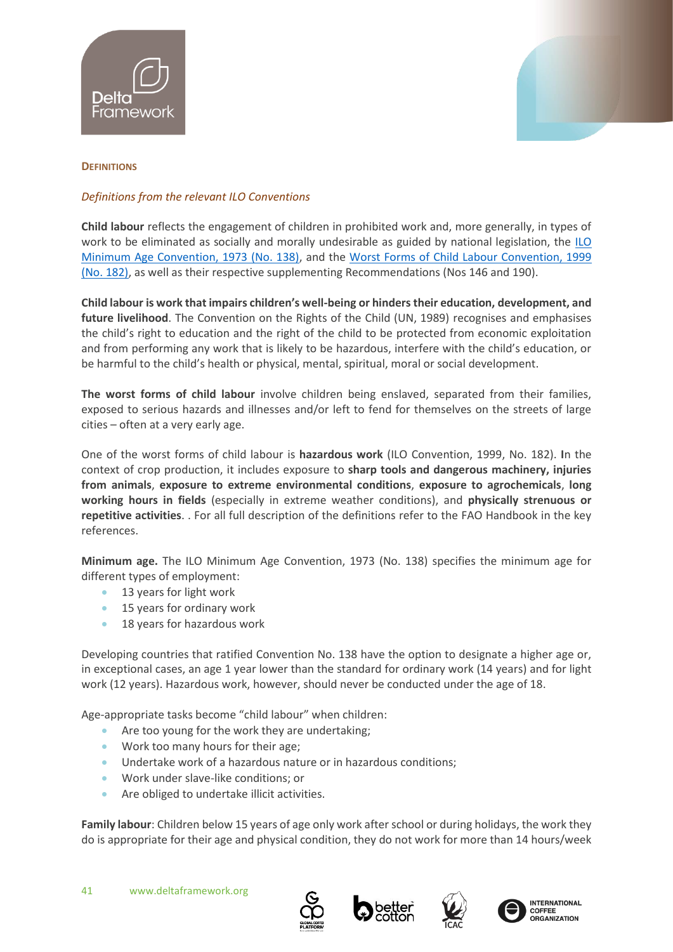![](_page_40_Picture_0.jpeg)

![](_page_40_Picture_1.jpeg)

# **DEFINITIONS**

# *Definitions from the relevant ILO Conventions*

**Child labour** reflects the engagement of children in prohibited work and, more generally, in types of work to be eliminated as socially and morally undesirable as guided by national legislation, the [ILO](https://www.ilo.org/dyn/normlex/en/f?p=NORMLEXPUB:12100:0::NO::P12100_ILO_CODE:C138)  [Minimum Age Convention, 1973 \(No. 138\),](https://www.ilo.org/dyn/normlex/en/f?p=NORMLEXPUB:12100:0::NO::P12100_ILO_CODE:C138) and the [Worst Forms of Child Labour Convention, 1999](https://www.ilo.org/dyn/normlex/en/f?p=NORMLEXPUB:12100:0::NO::P12100_ILO_CODE:C182)  [\(No. 182\),](https://www.ilo.org/dyn/normlex/en/f?p=NORMLEXPUB:12100:0::NO::P12100_ILO_CODE:C182) as well as their respective supplementing Recommendations (Nos 146 and 190).

**Child labour is work that impairs children's well-being or hinders their education, development, and**  future livelihood. The Convention on the Rights of the Child (UN, 1989) recognises and emphasises the child's right to education and the right of the child to be protected from economic exploitation and from performing any work that is likely to be hazardous, interfere with the child's education, or be harmful to the child's health or physical, mental, spiritual, moral or social development.

**The worst forms of child labour** involve children being enslaved, separated from their families, exposed to serious hazards and illnesses and/or left to fend for themselves on the streets of large cities – often at a very early age.

One of the worst forms of child labour is **hazardous work** (ILO Convention, 1999, No. 182). **I**n the context of crop production, it includes exposure to **sharp tools and dangerous machinery, injuries from animals**, **exposure to extreme environmental conditions**, **exposure to agrochemicals**, **long working hours in fields** (especially in extreme weather conditions), and **physically strenuous or repetitive activities**. . For all full description of the definitions refer to the FAO Handbook in the key references.

**Minimum age.** The ILO Minimum Age Convention, 1973 (No. 138) specifies the minimum age for different types of employment:

- 13 years for light work
- 15 years for ordinary work
- 18 years for hazardous work

Developing countries that ratified Convention No. 138 have the option to designate a higher age or, in exceptional cases, an age 1 year lower than the standard for ordinary work (14 years) and for light work (12 years). Hazardous work, however, should never be conducted under the age of 18.

Age-appropriate tasks become "child labour" when children:

- Are too young for the work they are undertaking;
- Work too many hours for their age;
- Undertake work of a hazardous nature or in hazardous conditions;
- Work under slave-like conditions; or
- Are obliged to undertake illicit activities.

**Family labour**: Children below 15 years of age only work after school or during holidays, the work they do is appropriate for their age and physical condition, they do not work for more than 14 hours/week

![](_page_40_Picture_21.jpeg)

![](_page_40_Picture_22.jpeg)

![](_page_40_Picture_23.jpeg)

![](_page_40_Picture_24.jpeg)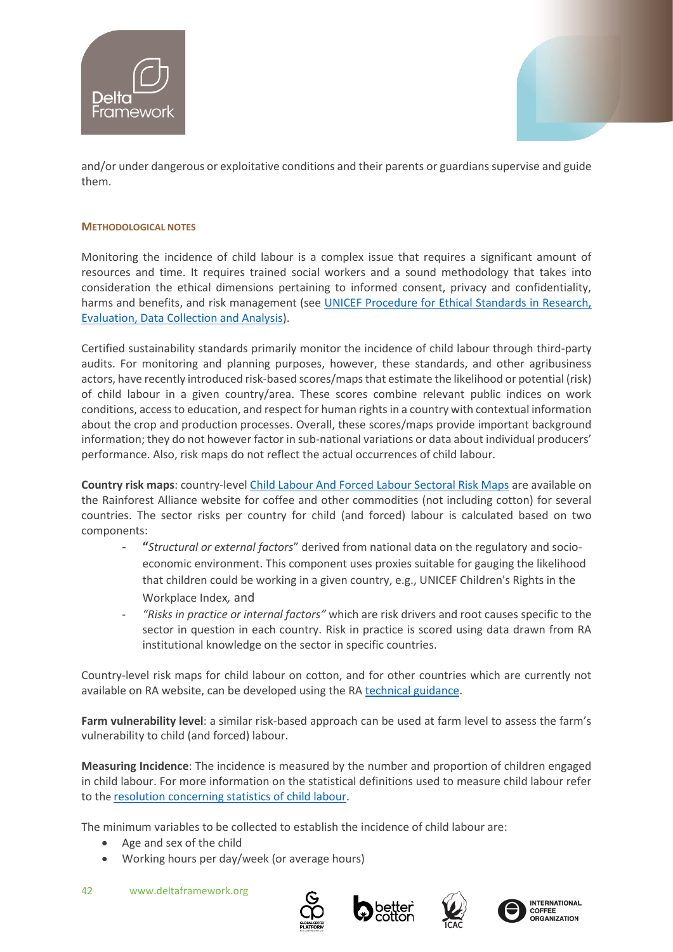![](_page_41_Picture_0.jpeg)

![](_page_41_Picture_1.jpeg)

and/or under dangerous or exploitative conditions and their parents or guardians supervise and guide them.

#### **METHODOLOGICAL NOTES**

Monitoring the incidence of child labour is a complex issue that requires a significant amount of resources and time. It requires trained social workers and a sound methodology that takes into consideration the ethical dimensions pertaining to informed consent, privacy and confidentiality, harms and benefits, and risk management (see [UNICEF Procedure for Ethical Standards in Research,](https://www.unicef.org/evaluation/documents/unicef-procedure-ethical-standards-research-evaluation-data-collection-and-analysis)  [Evaluation, Data Collection and Analysis\)](https://www.unicef.org/evaluation/documents/unicef-procedure-ethical-standards-research-evaluation-data-collection-and-analysis).

Certified sustainability standards primarily monitor the incidence of child labour through third-party audits. For monitoring and planning purposes, however, these standards, and other agribusiness actors, have recently introduced risk-based scores/maps that estimate the likelihood or potential (risk) of child labour in a given country/area. These scores combine relevant public indices on work conditions, access to education, and respect for human rights in a country with contextual information about the crop and production processes. Overall, these scores/maps provide important background information; they do not however factor in sub-national variations or data about individual producers' performance. Also, risk maps do not reflect the actual occurrences of child labour.

**Country risk maps**: country-level [Child Labour And Forced Labour Sectoral Risk Maps](https://www.rainforest-alliance.org/business/wp-content/uploads/2021/03/child-forced-labor-risk-map-guidance.pdf) are available on the Rainforest Alliance website for coffee and other commodities (not including cotton) for several countries. The sector risks per country for child (and forced) labour is calculated based on two components:

- **"***Structural or external factors*" derived from national data on the regulatory and socioeconomic environment. This component uses proxies suitable for gauging the likelihood that children could be working in a given country, e.g., UNICEF Children's Rights in the Workplace Index*,* and
- *"Risks in practice or internal factors"* which are risk drivers and root causes specific to the sector in question in each country. Risk in practice is scored using data drawn from RA institutional knowledge on the sector in specific countries.

Country-level risk maps for child labour on cotton, and for other countries which are currently not available on RA website, can be developed using the RA [technical guidance.](https://www.rainforest-alliance.org/wp-content/uploads/2021/03/child-forced-labor-risk-map-guidance.pdf)

**Farm vulnerability level**: a similar risk-based approach can be used at farm level to assess the farm's vulnerability to child (and forced) labour.

**Measuring Incidence**: The incidence is measured by the number and proportion of children engaged in child labour. For more information on the statistical definitions used to measure child labour refer to the [resolution concerning statistics of child labour.](http://ilo.org/global/statistics-and%20databases/standards-and-guidelines/resolutions-adopted-by-international-conferences-of-labour%20statisticians/WCMS_112458/lang--en/index.htm)

The minimum variables to be collected to establish the incidence of child labour are:

- Age and sex of the child
- Working hours per day/week (or average hours)

![](_page_41_Picture_16.jpeg)

![](_page_41_Picture_17.jpeg)

![](_page_41_Picture_18.jpeg)

![](_page_41_Picture_19.jpeg)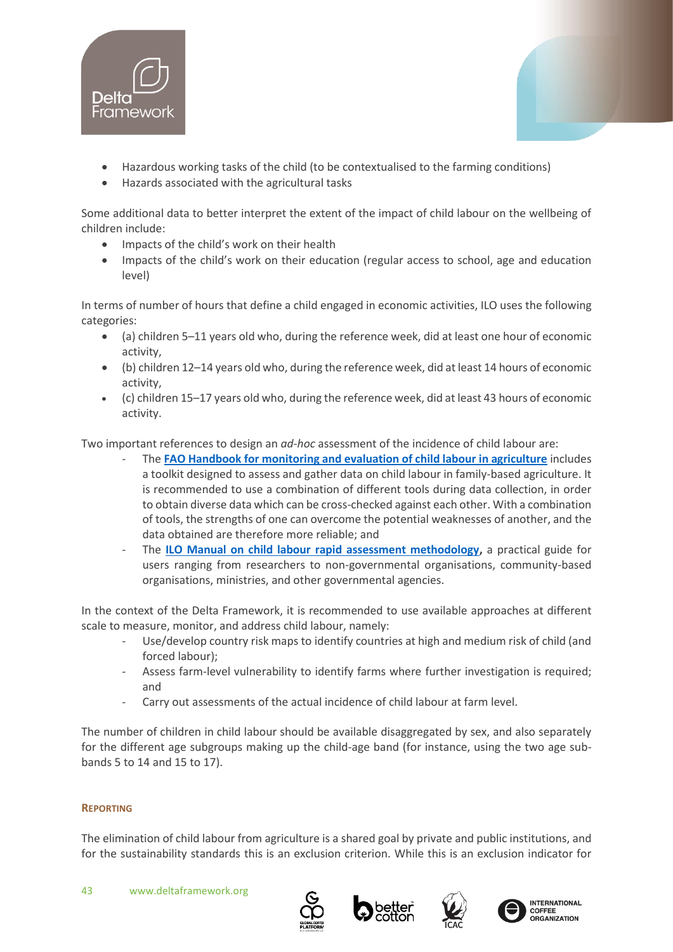![](_page_42_Picture_0.jpeg)

![](_page_42_Picture_1.jpeg)

• Hazards associated with the agricultural tasks

Some additional data to better interpret the extent of the impact of child labour on the wellbeing of children include:

- Impacts of the child's work on their health
- Impacts of the child's work on their education (regular access to school, age and education level)

In terms of number of hours that define a child engaged in economic activities, ILO uses the following categories:

- (a) children 5–11 years old who, during the reference week, did at least one hour of economic activity,
- (b) children 12–14 years old who, during the reference week, did at least 14 hours of economic activity,
- (c) children 15–17 years old who, during the reference week, did at least 43 hours of economic activity.

Two important references to design an *ad-hoc* assessment of the incidence of child labour are:

- The **[FAO Handbook for monitoring and evaluation of child labour in agriculture](http://www.fao.org/3/a-i4630e.pdf)** includes a toolkit designed to assess and gather data on child labour in family-based agriculture. It is recommended to use a combination of different tools during data collection, in order to obtain diverse data which can be cross-checked against each other. With a combination of tools, the strengths of one can overcome the potential weaknesses of another, and the data obtained are therefore more reliable; and
- The **[ILO Manual on child labour rapid assessment methodology,](https://www.ilo.org/ipec/Informationresources/WCMS_IPEC_PUB_1819/lang--en/index.htm)** a practical guide for users ranging from researchers to non-governmental organisations, community-based organisations, ministries, and other governmental agencies.

In the context of the Delta Framework, it is recommended to use available approaches at different scale to measure, monitor, and address child labour, namely:

- Use/develop country risk maps to identify countries at high and medium risk of child (and forced labour);
- Assess farm-level vulnerability to identify farms where further investigation is required; and
- Carry out assessments of the actual incidence of child labour at farm level.

The number of children in child labour should be available disaggregated by sex, and also separately for the different age subgroups making up the child-age band (for instance, using the two age subbands 5 to 14 and 15 to 17).

# **REPORTING**

The elimination of child labour from agriculture is a shared goal by private and public institutions, and for the sustainability standards this is an exclusion criterion. While this is an exclusion indicator for

![](_page_42_Picture_21.jpeg)

![](_page_42_Picture_22.jpeg)

![](_page_42_Picture_23.jpeg)

![](_page_42_Picture_24.jpeg)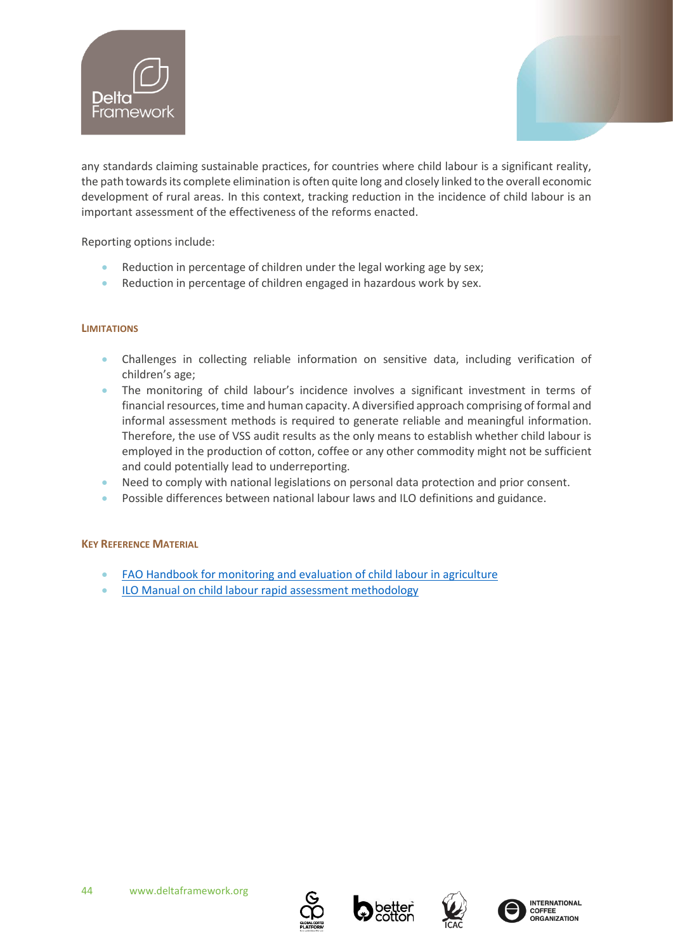![](_page_43_Picture_0.jpeg)

![](_page_43_Picture_1.jpeg)

any standards claiming sustainable practices, for countries where child labour is a significant reality, the path towards its complete elimination is often quite long and closely linked to the overall economic development of rural areas. In this context, tracking reduction in the incidence of child labour is an important assessment of the effectiveness of the reforms enacted.

Reporting options include:

- Reduction in percentage of children under the legal working age by sex;
- Reduction in percentage of children engaged in hazardous work by sex.

# **LIMITATIONS**

- Challenges in collecting reliable information on sensitive data, including verification of children's age;
- The monitoring of child labour's incidence involves a significant investment in terms of financial resources, time and human capacity. A diversified approach comprising of formal and informal assessment methods is required to generate reliable and meaningful information. Therefore, the use of VSS audit results as the only means to establish whether child labour is employed in the production of cotton, coffee or any other commodity might not be sufficient and could potentially lead to underreporting.
- Need to comply with national legislations on personal data protection and prior consent.
- Possible differences between national labour laws and ILO definitions and guidance.

# **KEY REFERENCE MATERIAL**

- [FAO Handbook for monitoring and evaluation of child labour in agriculture](http://www.fao.org/3/a-i4630e.pdf)
- [ILO Manual on child labour rapid assessment methodology](https://www.ilo.org/ipec/Informationresources/WCMS_IPEC_PUB_1819/lang--en/index.htm)

![](_page_43_Picture_15.jpeg)

![](_page_43_Picture_16.jpeg)

![](_page_43_Picture_17.jpeg)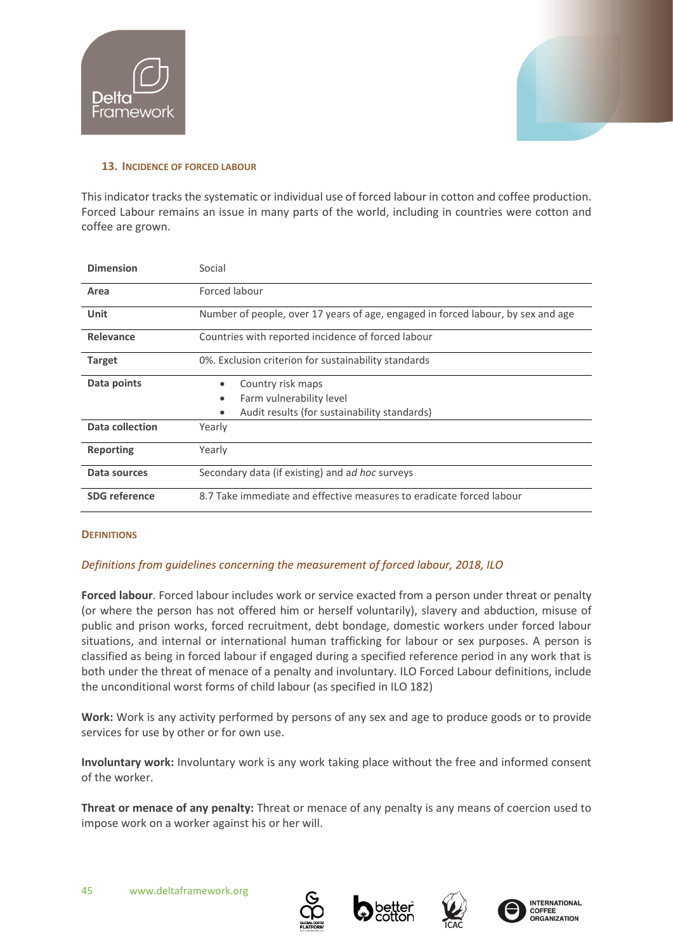![](_page_44_Picture_0.jpeg)

![](_page_44_Picture_1.jpeg)

#### <span id="page-44-0"></span>**13. INCIDENCE OF FORCED LABOUR**

This indicator tracks the systematic or individual use of forced labour in cotton and coffee production. Forced Labour remains an issue in many parts of the world, including in countries were cotton and coffee are grown.

| <b>Dimension</b>     | Social                                                                           |  |
|----------------------|----------------------------------------------------------------------------------|--|
| Area                 | Forced labour                                                                    |  |
| Unit                 | Number of people, over 17 years of age, engaged in forced labour, by sex and age |  |
| Relevance            | Countries with reported incidence of forced labour                               |  |
| <b>Target</b>        | 0%. Exclusion criterion for sustainability standards                             |  |
| Data points          | Country risk maps<br>$\bullet$                                                   |  |
|                      | Farm vulnerability level<br>٠                                                    |  |
|                      | Audit results (for sustainability standards)                                     |  |
| Data collection      | Yearly                                                                           |  |
| <b>Reporting</b>     | Yearly                                                                           |  |
| Data sources         | Secondary data (if existing) and ad hoc surveys                                  |  |
| <b>SDG</b> reference | 8.7 Take immediate and effective measures to eradicate forced labour             |  |

# **DEFINITIONS**

# *Definitions from guidelines concerning the measurement of forced labour, 2018, ILO*

**Forced labour**. Forced labour includes work or service exacted from a person under threat or penalty (or where the person has not offered him or herself voluntarily), slavery and abduction, misuse of public and prison works, forced recruitment, debt bondage, domestic workers under forced labour situations, and internal or international human trafficking for labour or sex purposes. A person is classified as being in forced labour if engaged during a specified reference period in any work that is both under the threat of menace of a penalty and involuntary. ILO Forced Labour definitions, include the unconditional worst forms of child labour (as specified in ILO 182)

**Work:** Work is any activity performed by persons of any sex and age to produce goods or to provide services for use by other or for own use.

**Involuntary work:** Involuntary work is any work taking place without the free and informed consent of the worker.

**Threat or menace of any penalty:** Threat or menace of any penalty is any means of coercion used to impose work on a worker against his or her will.

![](_page_44_Picture_12.jpeg)

![](_page_44_Picture_13.jpeg)

![](_page_44_Picture_14.jpeg)

![](_page_44_Picture_15.jpeg)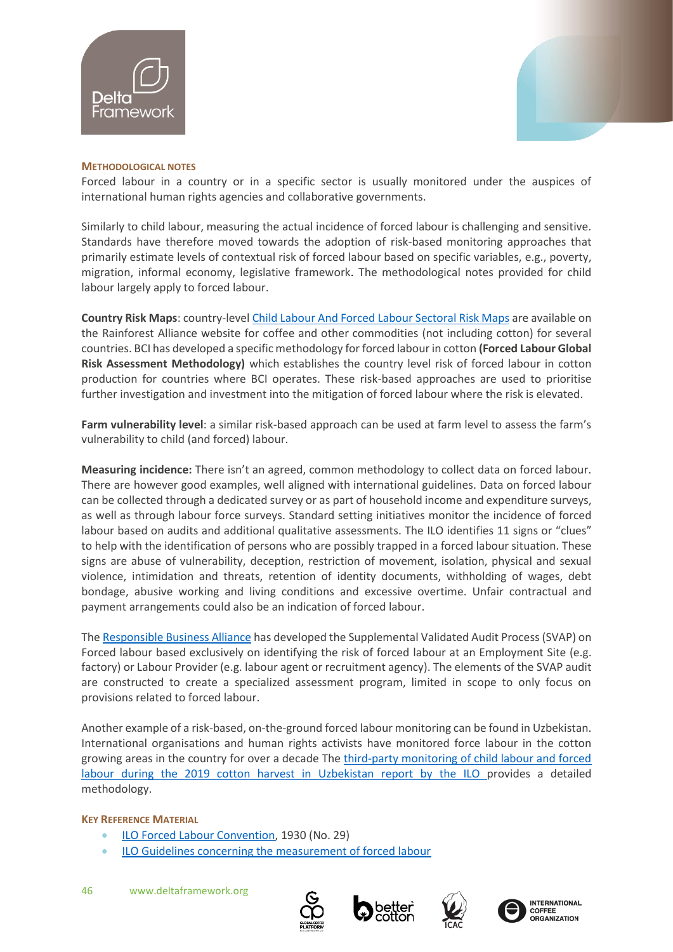![](_page_45_Picture_0.jpeg)

![](_page_45_Picture_1.jpeg)

#### **METHODOLOGICAL NOTES**

Forced labour in a country or in a specific sector is usually monitored under the auspices of international human rights agencies and collaborative governments.

Similarly to child labour, measuring the actual incidence of forced labour is challenging and sensitive. Standards have therefore moved towards the adoption of risk-based monitoring approaches that primarily estimate levels of contextual risk of forced labour based on specific variables, e.g., poverty, migration, informal economy, legislative framework. The methodological notes provided for child labour largely apply to forced labour.

**Country Risk Maps**: country-level [Child Labour And Forced Labour Sectoral Risk Maps](https://www.rainforest-alliance.org/business/wp-content/uploads/2021/03/child-forced-labor-risk-map-guidance.pdf) are available on the Rainforest Alliance website for coffee and other commodities (not including cotton) for several countries. BCI has developed a specific methodology for forced labour in cotton **(Forced Labour Global Risk Assessment Methodology)** which establishes the country level risk of forced labour in cotton production for countries where BCI operates. These risk-based approaches are used to prioritise further investigation and investment into the mitigation of forced labour where the risk is elevated.

**Farm vulnerability level**: a similar risk-based approach can be used at farm level to assess the farm's vulnerability to child (and forced) labour.

**Measuring incidence:** There isn't an agreed, common methodology to collect data on forced labour. There are however good examples, well aligned with international guidelines. Data on forced labour can be collected through a dedicated survey or as part of household income and expenditure surveys, as well as through labour force surveys. Standard setting initiatives monitor the incidence of forced labour based on audits and additional qualitative assessments. The ILO identifies 11 signs or "clues" to help with the identification of persons who are possibly trapped in a forced labour situation. These signs are abuse of vulnerability, deception, restriction of movement, isolation, physical and sexual violence, intimidation and threats, retention of identity documents, withholding of wages, debt bondage, abusive working and living conditions and excessive overtime. Unfair contractual and payment arrangements could also be an indication of forced labour.

The [Responsible Business Alliance](http://www.responsiblebusiness.org/vap/svap-on-forced-labor/) has developed the Supplemental Validated Audit Process (SVAP) on Forced labour based exclusively on identifying the risk of forced labour at an Employment Site (e.g. factory) or Labour Provider (e.g. labour agent or recruitment agency). The elements of the SVAP audit are constructed to create a specialized assessment program, limited in scope to only focus on provisions related to forced labour.

Another example of a risk-based, on-the-ground forced labour monitoring can be found in Uzbekistan. International organisations and human rights activists have monitored force labour in the cotton growing areas in the country for over a decade The third-party monitoring of child labour and forced [labour during the 2019 cotton harvest in Uzbekistan](https://www.ilo.org/wcmsp5/groups/public/---ed_norm/---ipec/documents/publication/wcms_735873.pdf) report by the ILO provides a detailed methodology.

#### **KEY REFERENCE MATERIAL**

- [ILO Forced Labour Convention,](https://www.ilo.org/dyn/normlex/en/f?p=NORMLEXPUB:12100:0::NO::P12100_ILO_CODE:C029) 1930 (No. 29)
- [ILO Guidelines concerning the measurement of forced labour](https://www.ilo.org/wcmsp5/groups/public/---dgreports/---stat/documents/meetingdocument/wcms_648619.pdf)

![](_page_45_Picture_14.jpeg)

![](_page_45_Picture_15.jpeg)

![](_page_45_Picture_16.jpeg)

![](_page_45_Picture_17.jpeg)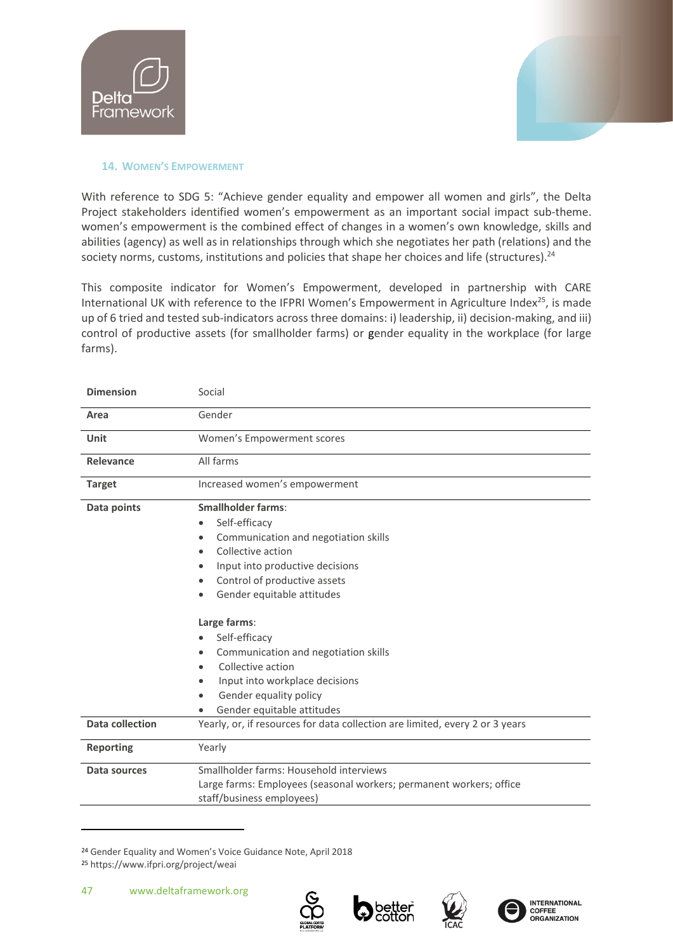![](_page_46_Picture_0.jpeg)

![](_page_46_Picture_1.jpeg)

# <span id="page-46-0"></span>**14. WOMEN'S EMPOWERMENT**

With reference to SDG 5: "Achieve gender equality and empower all women and girls", the Delta Project stakeholders identified women's empowerment as an important social impact sub-theme. women's empowerment is the combined effect of changes in a women's own knowledge, skills and abilities (agency) as well as in relationships through which she negotiates her path (relations) and the society norms, customs, institutions and policies that shape her choices and life (structures).<sup>24</sup>

This composite indicator for Women's Empowerment, developed in partnership with CARE International UK with reference to the IFPRI Women's Empowerment in Agriculture Index<sup>25</sup>, is made up of 6 tried and tested sub-indicators across three domains: i) leadership, ii) decision-making, and iii) control of productive assets (for smallholder farms) or gender equality in the workplace (for large farms).

| <b>Dimension</b> | Social                                                                                                                                                                                                                                                                                                                                                                                           |
|------------------|--------------------------------------------------------------------------------------------------------------------------------------------------------------------------------------------------------------------------------------------------------------------------------------------------------------------------------------------------------------------------------------------------|
| Area             | Gender                                                                                                                                                                                                                                                                                                                                                                                           |
| Unit             | Women's Empowerment scores                                                                                                                                                                                                                                                                                                                                                                       |
| <b>Relevance</b> | All farms                                                                                                                                                                                                                                                                                                                                                                                        |
| <b>Target</b>    | Increased women's empowerment                                                                                                                                                                                                                                                                                                                                                                    |
| Data points      | <b>Smallholder farms:</b><br>Self-efficacy<br>Communication and negotiation skills<br>Collective action<br>Input into productive decisions<br>Control of productive assets<br>Gender equitable attitudes<br>Large farms:<br>Self-efficacy<br>Communication and negotiation skills<br>Collective action<br>Input into workplace decisions<br>Gender equality policy<br>Gender equitable attitudes |
| Data collection  | Yearly, or, if resources for data collection are limited, every 2 or 3 years                                                                                                                                                                                                                                                                                                                     |
| <b>Reporting</b> | Yearly                                                                                                                                                                                                                                                                                                                                                                                           |
| Data sources     | Smallholder farms: Household interviews<br>Large farms: Employees (seasonal workers; permanent workers; office<br>staff/business employees)                                                                                                                                                                                                                                                      |

<sup>24</sup> Gender Equality and Women's Voice Guidance Note, April 2018 <sup>25</sup> https://www.ifpri.org/project/weai

![](_page_46_Picture_8.jpeg)

![](_page_46_Picture_9.jpeg)

![](_page_46_Picture_10.jpeg)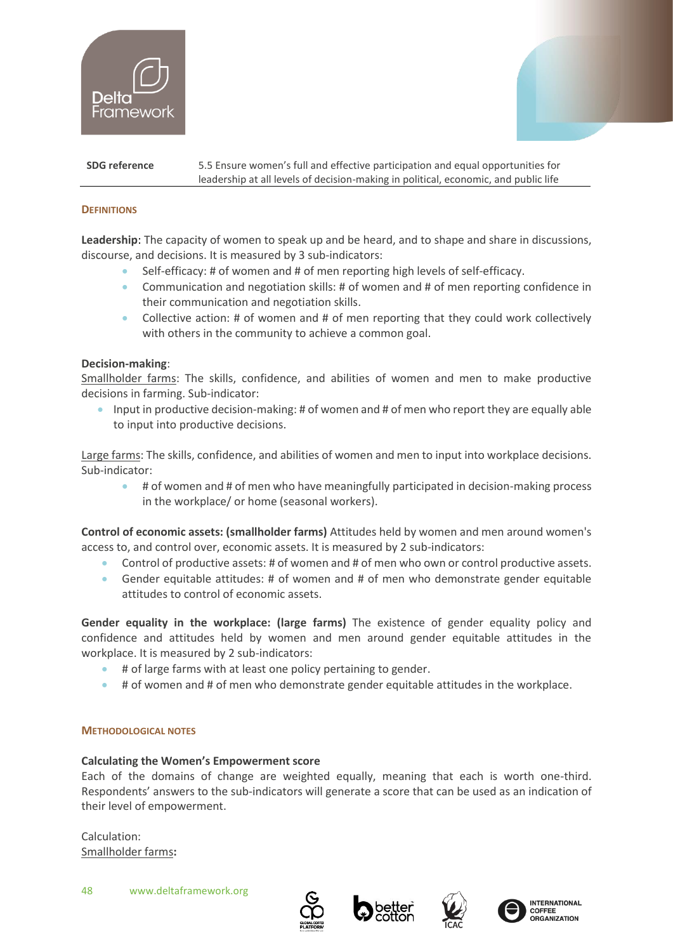![](_page_47_Picture_0.jpeg)

![](_page_47_Picture_1.jpeg)

#### **SDG reference** 5.5 Ensure women's full and effective participation and equal opportunities for leadership at all levels of decision-making in political, economic, and public life

# **DEFINITIONS**

**Leadership**: The capacity of women to speak up and be heard, and to shape and share in discussions, discourse, and decisions. It is measured by 3 sub-indicators:

- Self-efficacy: # of women and # of men reporting high levels of self-efficacy.
- Communication and negotiation skills: # of women and # of men reporting confidence in their communication and negotiation skills.
- Collective action: # of women and # of men reporting that they could work collectively with others in the community to achieve a common goal.

#### **Decision-making**:

Smallholder farms: The skills, confidence, and abilities of women and men to make productive decisions in farming. Sub-indicator:

• Input in productive decision-making: # of women and # of men who report they are equally able to input into productive decisions.

Large farms: The skills, confidence, and abilities of women and men to input into workplace decisions. Sub-indicator:

• # of women and # of men who have meaningfully participated in decision-making process in the workplace/ or home (seasonal workers).

**Control of economic assets: (smallholder farms)** Attitudes held by women and men around women's access to, and control over, economic assets. It is measured by 2 sub-indicators:

- Control of productive assets: # of women and # of men who own or control productive assets.
- Gender equitable attitudes: # of women and # of men who demonstrate gender equitable attitudes to control of economic assets.

**Gender equality in the workplace: (large farms)** The existence of gender equality policy and confidence and attitudes held by women and men around gender equitable attitudes in the workplace. It is measured by 2 sub-indicators:

- # of large farms with at least one policy pertaining to gender.
- # of women and # of men who demonstrate gender equitable attitudes in the workplace.

#### **METHODOLOGICAL NOTES**

# **Calculating the Women's Empowerment score**

Each of the domains of change are weighted equally, meaning that each is worth one-third. Respondents' answers to the sub-indicators will generate a score that can be used as an indication of their level of empowerment.

Calculation: Smallholder farms**:**

![](_page_47_Picture_24.jpeg)

![](_page_47_Picture_25.jpeg)

![](_page_47_Picture_26.jpeg)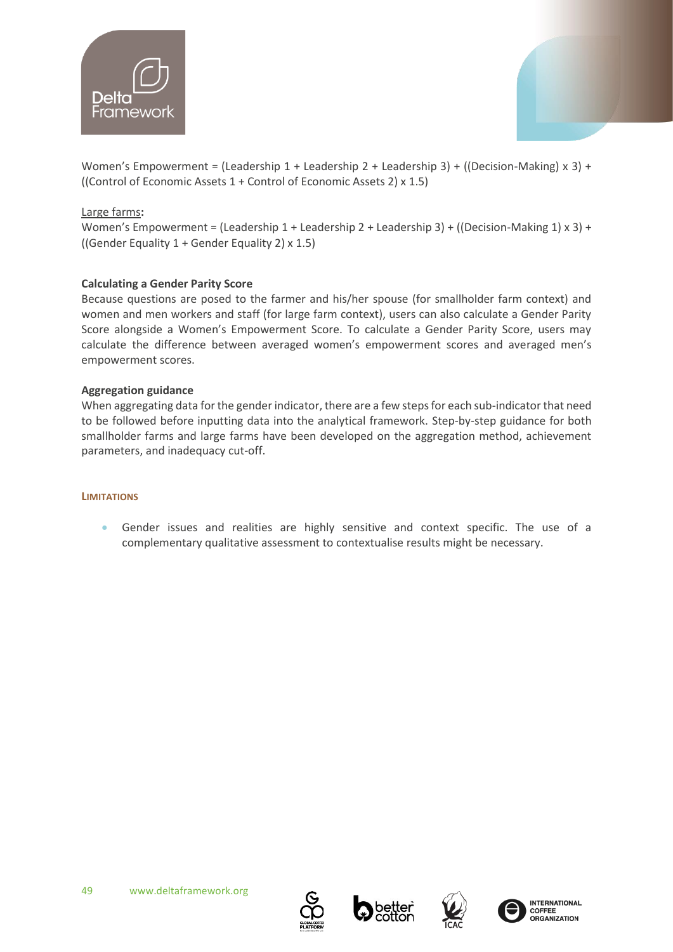![](_page_48_Picture_0.jpeg)

![](_page_48_Picture_1.jpeg)

Women's Empowerment = (Leadership 1 + Leadership 2 + Leadership 3) + ((Decision-Making) x 3) + ((Control of Economic Assets 1 + Control of Economic Assets 2) x 1.5)

# Large farms**:**

Women's Empowerment = (Leadership 1 + Leadership 2 + Leadership 3) + ((Decision-Making 1) x 3) + ((Gender Equality 1 + Gender Equality 2) x 1.5)

# **Calculating a Gender Parity Score**

Because questions are posed to the farmer and his/her spouse (for smallholder farm context) and women and men workers and staff (for large farm context), users can also calculate a Gender Parity Score alongside a Women's Empowerment Score. To calculate a Gender Parity Score, users may calculate the difference between averaged women's empowerment scores and averaged men's empowerment scores.

# **Aggregation guidance**

When aggregating data for the gender indicator, there are a few steps for each sub-indicator that need to be followed before inputting data into the analytical framework. Step-by-step guidance for both smallholder farms and large farms have been developed on the aggregation method, achievement parameters, and inadequacy cut-off.

# **LIMITATIONS**

• Gender issues and realities are highly sensitive and context specific. The use of a complementary qualitative assessment to contextualise results might be necessary.

![](_page_48_Picture_12.jpeg)

![](_page_48_Picture_13.jpeg)

![](_page_48_Picture_14.jpeg)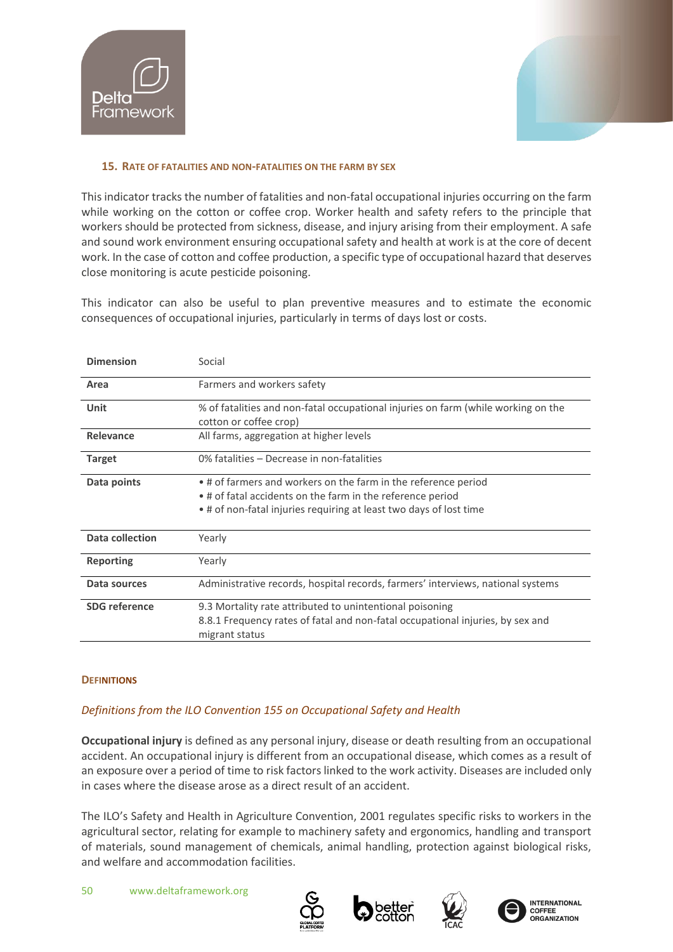![](_page_49_Picture_0.jpeg)

![](_page_49_Picture_1.jpeg)

#### <span id="page-49-0"></span>**15. RATE OF FATALITIES AND NON-FATALITIES ON THE FARM BY SEX**

This indicator tracks the number of fatalities and non-fatal occupational injuries occurring on the farm while working on the cotton or coffee crop. Worker health and safety refers to the principle that workers should be protected from sickness, disease, and injury arising from their employment. A safe and sound work environment ensuring occupational safety and health at work is at the core of decent work. In the case of cotton and coffee production, a specific type of occupational hazard that deserves close monitoring is acute pesticide poisoning.

This indicator can also be useful to plan preventive measures and to estimate the economic consequences of occupational injuries, particularly in terms of days lost or costs.

| <b>Dimension</b>       | Social                                                                                                                                                                                             |
|------------------------|----------------------------------------------------------------------------------------------------------------------------------------------------------------------------------------------------|
| Area                   | Farmers and workers safety                                                                                                                                                                         |
| Unit                   | % of fatalities and non-fatal occupational injuries on farm (while working on the<br>cotton or coffee crop)                                                                                        |
| Relevance              | All farms, aggregation at higher levels                                                                                                                                                            |
| <b>Target</b>          | 0% fatalities – Decrease in non-fatalities                                                                                                                                                         |
| Data points            | . # of farmers and workers on the farm in the reference period<br>• # of fatal accidents on the farm in the reference period<br>• # of non-fatal injuries requiring at least two days of lost time |
| <b>Data collection</b> | Yearly                                                                                                                                                                                             |
| <b>Reporting</b>       | Yearly                                                                                                                                                                                             |
| Data sources           | Administrative records, hospital records, farmers' interviews, national systems                                                                                                                    |
| <b>SDG</b> reference   | 9.3 Mortality rate attributed to unintentional poisoning<br>8.8.1 Frequency rates of fatal and non-fatal occupational injuries, by sex and<br>migrant status                                       |

# **DEFINITIONS**

# *Definitions from th[e ILO Convention 155 on Occupational Safety and Health](https://www.ilo.org/dyn/normlex/en/f?p=NORMLEXPUB:12100:0::NO::P12100_ILO_CODE:C155)*

**Occupational injury** is defined as any personal injury, disease or death resulting from an occupational accident. An occupational injury is different from an occupational disease, which comes as a result of an exposure over a period of time to risk factors linked to the work activity. Diseases are included only in cases where the disease arose as a direct result of an accident.

The ILO's Safety and Health in Agriculture Convention, 2001 regulates specific risks to workers in the agricultural sector, relating for example to machinery safety and ergonomics, handling and transport of materials, sound management of chemicals, animal handling, protection against biological risks, and welfare and accommodation facilities.

![](_page_49_Picture_11.jpeg)

![](_page_49_Picture_12.jpeg)

![](_page_49_Picture_13.jpeg)

![](_page_49_Picture_14.jpeg)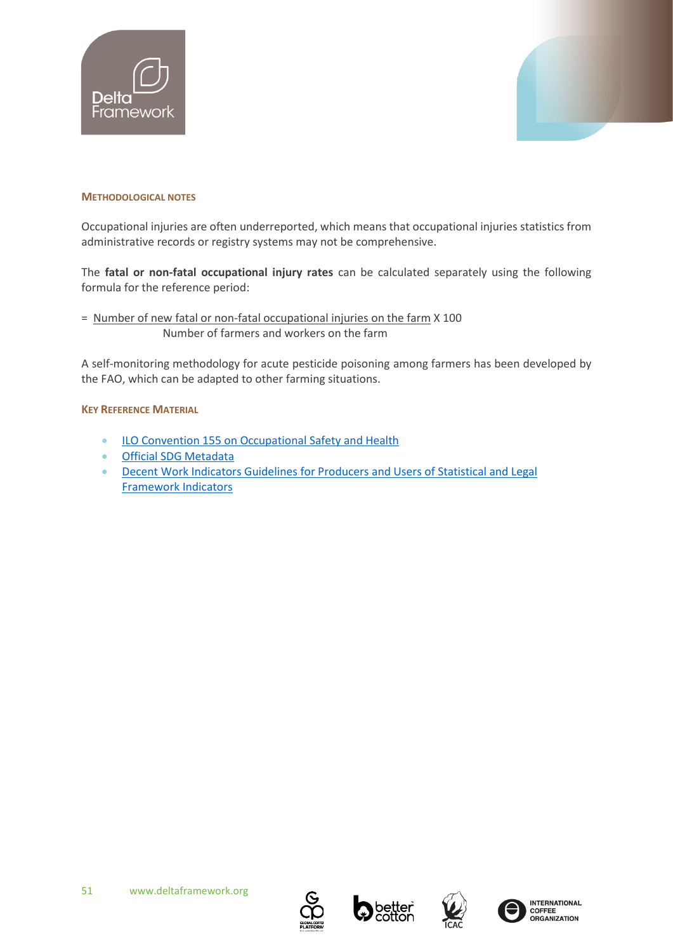![](_page_50_Picture_0.jpeg)

![](_page_50_Picture_1.jpeg)

#### **METHODOLOGICAL NOTES**

Occupational injuries are often underreported, which means that occupational injuries statistics from administrative records or registry systems may not be comprehensive.

The **fatal or non-fatal occupational injury rates** can be calculated separately using the following formula for the reference period:

= Number of new fatal or non-fatal occupational injuries on the farm X 100 Number of farmers and workers on the farm

A self-monitoring methodology for acute pesticide poisoning among farmers has been developed by the FAO, which can be adapted to other farming situations.

#### **KEY REFERENCE MATERIAL**

- [ILO Convention 155 on Occupational Safety and Health](https://www.ilo.org/dyn/normlex/en/f?p=NORMLEXPUB:12100:0::NO::P12100_ILO_CODE:C155)
- [Official SDG Metadata](https://unstats.un.org/sdgs/metadata/files/Metadata-08-08-01.pdf)
- [Decent Work Indicators Guidelines for](http://www.ilo.org/wcmsp5/groups/public/---dgreports/---stat/documents/publication/wcms_223121.pdf) Producers and Users of Statistical and Legal [Framework Indicators](http://www.ilo.org/wcmsp5/groups/public/---dgreports/---stat/documents/publication/wcms_223121.pdf)

![](_page_50_Picture_12.jpeg)

![](_page_50_Picture_13.jpeg)

![](_page_50_Picture_14.jpeg)

![](_page_50_Picture_15.jpeg)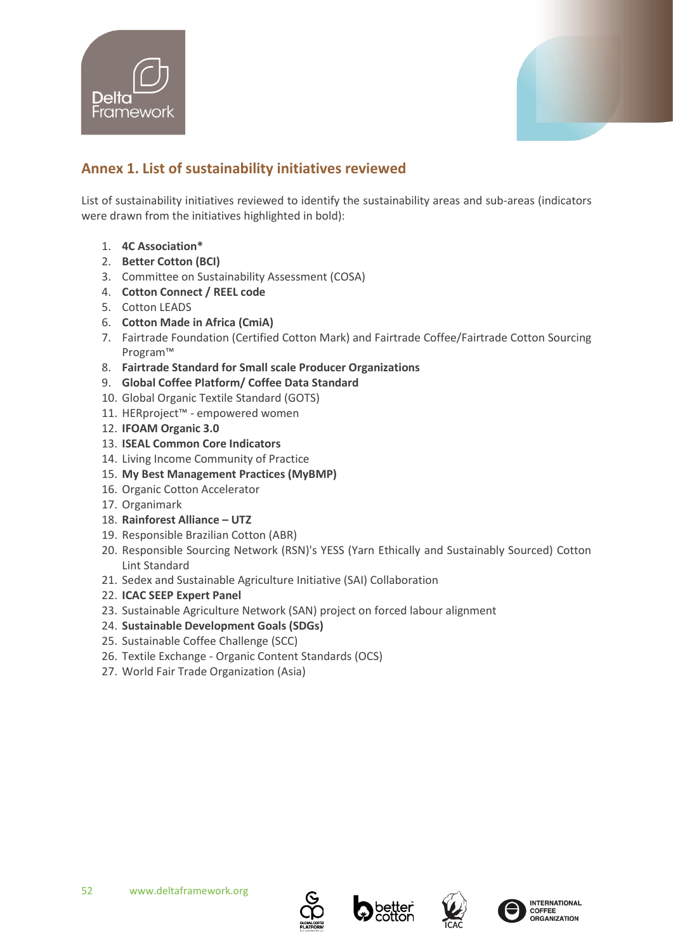![](_page_51_Picture_0.jpeg)

![](_page_51_Picture_1.jpeg)

# <span id="page-51-0"></span>**Annex 1. List of sustainability initiatives reviewed**

List of sustainability initiatives reviewed to identify the sustainability areas and sub-areas (indicators were drawn from the initiatives highlighted in bold):

- 1. **4C Association\***
- 2. **Better Cotton (BCI)**
- 3. Committee on Sustainability Assessment (COSA)
- 4. **Cotton Connect / REEL code**
- 5. Cotton LEADS
- 6. **Cotton Made in Africa (CmiA)**
- 7. Fairtrade Foundation (Certified Cotton Mark) and Fairtrade Coffee/Fairtrade Cotton Sourcing Program™
- 8. **Fairtrade Standard for Small scale Producer Organizations**
- 9. **Global Coffee Platform/ Coffee Data Standard**
- 10. Global Organic Textile Standard (GOTS)
- 11. HERproject™ empowered women
- 12. **IFOAM Organic 3.0**
- 13. **ISEAL Common Core Indicators**
- 14. Living Income Community of Practice
- 15. **My Best Management Practices (MyBMP)**
- 16. Organic Cotton Accelerator
- 17. Organimark
- 18. **Rainforest Alliance – UTZ**
- 19. Responsible Brazilian Cotton (ABR)
- 20. Responsible Sourcing Network (RSN)'s YESS (Yarn Ethically and Sustainably Sourced) Cotton Lint Standard
- 21. Sedex and Sustainable Agriculture Initiative (SAI) Collaboration
- 22. **ICAC SEEP Expert Panel**
- 23. Sustainable Agriculture Network (SAN) project on forced labour alignment
- 24. **Sustainable Development Goals (SDGs)**
- 25. Sustainable Coffee Challenge (SCC)
- 26. Textile Exchange Organic Content Standards (OCS)
- 27. World Fair Trade Organization (Asia)

![](_page_51_Picture_32.jpeg)

![](_page_51_Picture_33.jpeg)

![](_page_51_Picture_34.jpeg)